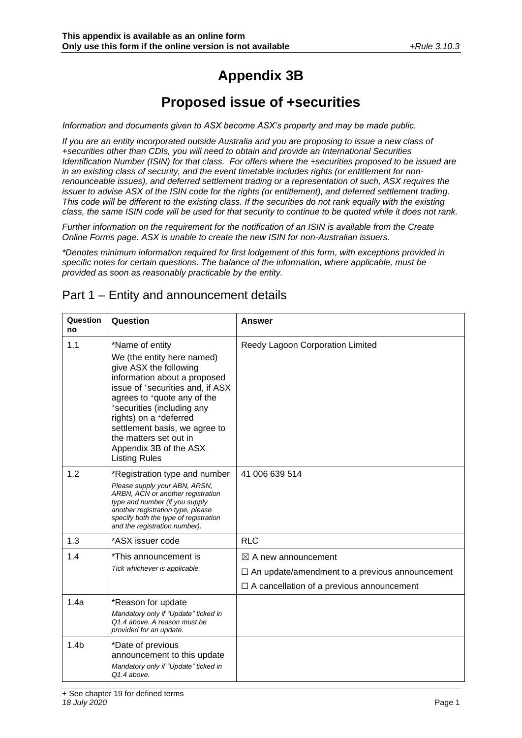# **Appendix 3B**

# **Proposed issue of +securities**

*Information and documents given to ASX become ASX's property and may be made public.*

*If you are an entity incorporated outside Australia and you are proposing to issue a new class of +securities other than CDIs, you will need to obtain and provide an International Securities Identification Number (ISIN) for that class. For offers where the +securities proposed to be issued are in an existing class of security, and the event timetable includes rights (or entitlement for nonrenounceable issues), and deferred settlement trading or a representation of such, ASX requires the issuer to advise ASX of the ISIN code for the rights (or entitlement), and deferred settlement trading. This code will be different to the existing class. If the securities do not rank equally with the existing class, the same ISIN code will be used for that security to continue to be quoted while it does not rank.*

*Further information on the requirement for the notification of an ISIN is available from the Create Online Forms page. ASX is unable to create the new ISIN for non-Australian issuers.*

*\*Denotes minimum information required for first lodgement of this form, with exceptions provided in specific notes for certain questions. The balance of the information, where applicable, must be provided as soon as reasonably practicable by the entity.*

| Question<br>no   | Question                                                                                                                                                                                                                                                                                                                                                    | <b>Answer</b>                                                                                                                               |
|------------------|-------------------------------------------------------------------------------------------------------------------------------------------------------------------------------------------------------------------------------------------------------------------------------------------------------------------------------------------------------------|---------------------------------------------------------------------------------------------------------------------------------------------|
| 1.1              | *Name of entity<br>We (the entity here named)<br>give ASX the following<br>information about a proposed<br>issue of +securities and, if ASX<br>agrees to <sup>+</sup> quote any of the<br>*securities (including any<br>rights) on a +deferred<br>settlement basis, we agree to<br>the matters set out in<br>Appendix 3B of the ASX<br><b>Listing Rules</b> | Reedy Lagoon Corporation Limited                                                                                                            |
| 1.2              | *Registration type and number<br>Please supply your ABN, ARSN,<br>ARBN, ACN or another registration<br>type and number (if you supply<br>another registration type, please<br>specify both the type of registration<br>and the registration number).                                                                                                        | 41 006 639 514                                                                                                                              |
| 1.3              | *ASX issuer code                                                                                                                                                                                                                                                                                                                                            | <b>RLC</b>                                                                                                                                  |
| 1.4              | *This announcement is<br>Tick whichever is applicable.                                                                                                                                                                                                                                                                                                      | $\boxtimes$ A new announcement<br>$\Box$ An update/amendment to a previous announcement<br>$\Box$ A cancellation of a previous announcement |
| 1.4a             | *Reason for update<br>Mandatory only if "Update" ticked in<br>Q1.4 above. A reason must be<br>provided for an update.                                                                                                                                                                                                                                       |                                                                                                                                             |
| 1.4 <sub>b</sub> | *Date of previous<br>announcement to this update<br>Mandatory only if "Update" ticked in<br>Q1.4 above.                                                                                                                                                                                                                                                     |                                                                                                                                             |

# Part 1 – Entity and announcement details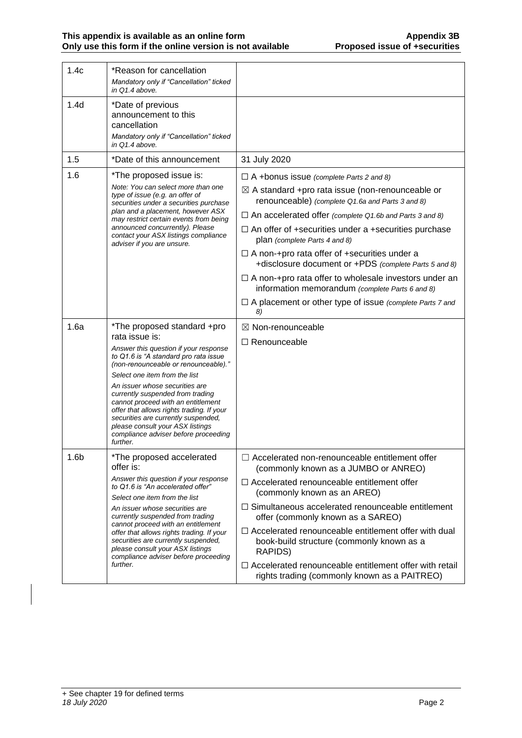| 1.4c             | *Reason for cancellation<br>Mandatory only if "Cancellation" ticked<br>in Q1.4 above.                                                                                                                                                                                                |                                                                                                                                                                   |
|------------------|--------------------------------------------------------------------------------------------------------------------------------------------------------------------------------------------------------------------------------------------------------------------------------------|-------------------------------------------------------------------------------------------------------------------------------------------------------------------|
| 1.4 <sub>d</sub> | *Date of previous<br>announcement to this<br>cancellation<br>Mandatory only if "Cancellation" ticked<br>in $Q1.4$ above.                                                                                                                                                             |                                                                                                                                                                   |
| 1.5              | *Date of this announcement                                                                                                                                                                                                                                                           | 31 July 2020                                                                                                                                                      |
| 1.6              | *The proposed issue is:<br>Note: You can select more than one<br>type of issue (e.g. an offer of<br>securities under a securities purchase<br>plan and a placement, however ASX                                                                                                      | $\Box$ A +bonus issue (complete Parts 2 and 8)<br>$\boxtimes$ A standard +pro rata issue (non-renounceable or<br>renounceable) (complete Q1.6a and Parts 3 and 8) |
|                  | may restrict certain events from being<br>announced concurrently). Please<br>contact your ASX listings compliance                                                                                                                                                                    | $\Box$ An accelerated offer (complete Q1.6b and Parts 3 and 8)<br>$\Box$ An offer of +securities under a +securities purchase<br>plan (complete Parts 4 and 8)    |
|                  | adviser if you are unsure.                                                                                                                                                                                                                                                           | $\Box$ A non-+pro rata offer of +securities under a<br>+disclosure document or +PDS (complete Parts 5 and 8)                                                      |
|                  |                                                                                                                                                                                                                                                                                      | $\Box$ A non-+pro rata offer to wholesale investors under an<br>information memorandum (complete Parts 6 and 8)                                                   |
|                  |                                                                                                                                                                                                                                                                                      | $\Box$ A placement or other type of issue (complete Parts 7 and<br>8)                                                                                             |
| 1.6a             | *The proposed standard +pro<br>rata issue is:                                                                                                                                                                                                                                        | $\boxtimes$ Non-renounceable<br>$\Box$ Renounceable                                                                                                               |
|                  | Answer this question if your response<br>to Q1.6 is "A standard pro rata issue<br>(non-renounceable or renounceable)."                                                                                                                                                               |                                                                                                                                                                   |
|                  | Select one item from the list                                                                                                                                                                                                                                                        |                                                                                                                                                                   |
|                  | An issuer whose securities are<br>currently suspended from trading<br>cannot proceed with an entitlement<br>offer that allows rights trading. If your<br>securities are currently suspended,<br>please consult your ASX listings<br>compliance adviser before proceeding<br>further. |                                                                                                                                                                   |
| 1.6 <sub>b</sub> | *The proposed accelerated<br>offer is:                                                                                                                                                                                                                                               | $\Box$ Accelerated non-renounceable entitlement offer<br>(commonly known as a JUMBO or ANREO)                                                                     |
|                  | Answer this question if your response<br>to Q1.6 is "An accelerated offer"<br>Select one item from the list                                                                                                                                                                          | $\Box$ Accelerated renounceable entitlement offer<br>(commonly known as an AREO)                                                                                  |
|                  | An issuer whose securities are<br>currently suspended from trading<br>cannot proceed with an entitlement                                                                                                                                                                             | $\Box$ Simultaneous accelerated renounceable entitlement<br>offer (commonly known as a SAREO)                                                                     |
|                  | offer that allows rights trading. If your<br>securities are currently suspended,<br>please consult your ASX listings<br>compliance adviser before proceeding                                                                                                                         | $\Box$ Accelerated renounceable entitlement offer with dual<br>book-build structure (commonly known as a<br>RAPIDS)                                               |
|                  | further.                                                                                                                                                                                                                                                                             | $\Box$ Accelerated renounceable entitlement offer with retail<br>rights trading (commonly known as a PAITREO)                                                     |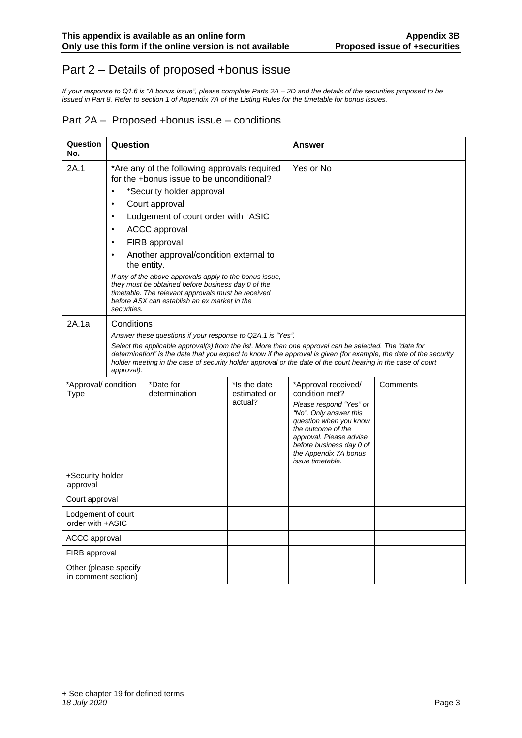# Part 2 – Details of proposed +bonus issue

*If your response to Q1.6 is "A bonus issue", please complete Parts 2A – 2D and the details of the securities proposed to be issued in Part 8. Refer to section 1 of Appendix 7A of the Listing Rules for the timetable for bonus issues.*

#### Part 2A – Proposed +bonus issue – conditions

| Question<br>No.                              | Question                                                                                                                                                                                                                           |                                                                                                                                                                                                                                                                                                                                                                                                            |                                         | Answer                                                                                                                                                                                                                                                |          |
|----------------------------------------------|------------------------------------------------------------------------------------------------------------------------------------------------------------------------------------------------------------------------------------|------------------------------------------------------------------------------------------------------------------------------------------------------------------------------------------------------------------------------------------------------------------------------------------------------------------------------------------------------------------------------------------------------------|-----------------------------------------|-------------------------------------------------------------------------------------------------------------------------------------------------------------------------------------------------------------------------------------------------------|----------|
| 2A.1                                         | *Are any of the following approvals required<br>for the +bonus issue to be unconditional?                                                                                                                                          |                                                                                                                                                                                                                                                                                                                                                                                                            | Yes or No                               |                                                                                                                                                                                                                                                       |          |
|                                              |                                                                                                                                                                                                                                    | *Security holder approval                                                                                                                                                                                                                                                                                                                                                                                  |                                         |                                                                                                                                                                                                                                                       |          |
|                                              | $\bullet$                                                                                                                                                                                                                          | Court approval                                                                                                                                                                                                                                                                                                                                                                                             |                                         |                                                                                                                                                                                                                                                       |          |
|                                              | $\bullet$<br>$\bullet$                                                                                                                                                                                                             | Lodgement of court order with +ASIC                                                                                                                                                                                                                                                                                                                                                                        |                                         |                                                                                                                                                                                                                                                       |          |
|                                              | $\bullet$                                                                                                                                                                                                                          | <b>ACCC</b> approval                                                                                                                                                                                                                                                                                                                                                                                       |                                         |                                                                                                                                                                                                                                                       |          |
|                                              |                                                                                                                                                                                                                                    | FIRB approval<br>Another approval/condition external to<br>the entity.                                                                                                                                                                                                                                                                                                                                     |                                         |                                                                                                                                                                                                                                                       |          |
|                                              | If any of the above approvals apply to the bonus issue,<br>they must be obtained before business day 0 of the<br>timetable. The relevant approvals must be received<br>before ASX can establish an ex market in the<br>securities. |                                                                                                                                                                                                                                                                                                                                                                                                            |                                         |                                                                                                                                                                                                                                                       |          |
| 2A.1a                                        | Conditions<br>approval).                                                                                                                                                                                                           | Answer these questions if your response to Q2A.1 is "Yes".<br>Select the applicable approval(s) from the list. More than one approval can be selected. The "date for<br>determination" is the date that you expect to know if the approval is given (for example, the date of the security<br>holder meeting in the case of security holder approval or the date of the court hearing in the case of court |                                         |                                                                                                                                                                                                                                                       |          |
| *Approval/ condition<br>Type                 |                                                                                                                                                                                                                                    | *Date for<br>determination                                                                                                                                                                                                                                                                                                                                                                                 | *Is the date<br>estimated or<br>actual? | *Approval received/<br>condition met?<br>Please respond "Yes" or<br>"No". Only answer this<br>question when you know<br>the outcome of the<br>approval. Please advise<br>before business day 0 of<br>the Appendix 7A bonus<br><i>issue timetable.</i> | Comments |
| +Security holder<br>approval                 |                                                                                                                                                                                                                                    |                                                                                                                                                                                                                                                                                                                                                                                                            |                                         |                                                                                                                                                                                                                                                       |          |
| Court approval                               |                                                                                                                                                                                                                                    |                                                                                                                                                                                                                                                                                                                                                                                                            |                                         |                                                                                                                                                                                                                                                       |          |
| Lodgement of court<br>order with +ASIC       |                                                                                                                                                                                                                                    |                                                                                                                                                                                                                                                                                                                                                                                                            |                                         |                                                                                                                                                                                                                                                       |          |
| ACCC approval                                |                                                                                                                                                                                                                                    |                                                                                                                                                                                                                                                                                                                                                                                                            |                                         |                                                                                                                                                                                                                                                       |          |
| FIRB approval                                |                                                                                                                                                                                                                                    |                                                                                                                                                                                                                                                                                                                                                                                                            |                                         |                                                                                                                                                                                                                                                       |          |
| Other (please specify<br>in comment section) |                                                                                                                                                                                                                                    |                                                                                                                                                                                                                                                                                                                                                                                                            |                                         |                                                                                                                                                                                                                                                       |          |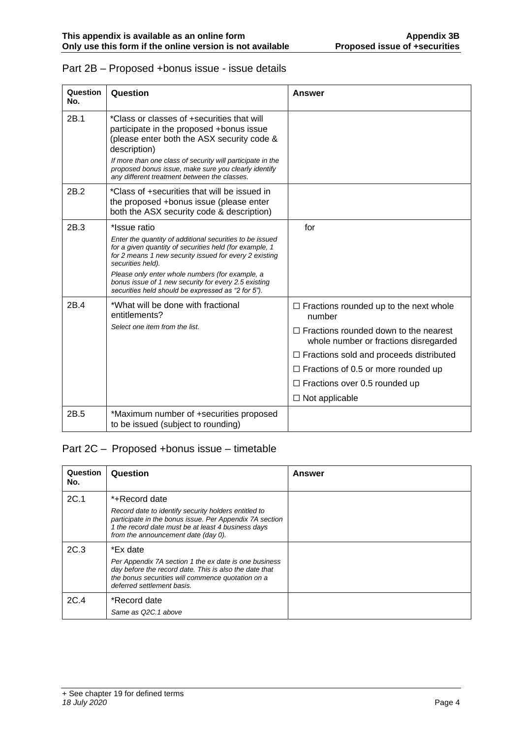| Question<br>No.  | Question                                                                                                                                                                                                                                                                                                                                                                            | Answer                                                                                                                                                                                                                                                                                                            |
|------------------|-------------------------------------------------------------------------------------------------------------------------------------------------------------------------------------------------------------------------------------------------------------------------------------------------------------------------------------------------------------------------------------|-------------------------------------------------------------------------------------------------------------------------------------------------------------------------------------------------------------------------------------------------------------------------------------------------------------------|
| 2B.1             | *Class or classes of +securities that will<br>participate in the proposed +bonus issue<br>(please enter both the ASX security code &<br>description)<br>If more than one class of security will participate in the<br>proposed bonus issue, make sure you clearly identify<br>any different treatment between the classes.                                                          |                                                                                                                                                                                                                                                                                                                   |
| 2B.2             | *Class of +securities that will be issued in<br>the proposed +bonus issue (please enter<br>both the ASX security code & description)                                                                                                                                                                                                                                                |                                                                                                                                                                                                                                                                                                                   |
| 2B.3             | *Issue ratio<br>Enter the quantity of additional securities to be issued<br>for a given quantity of securities held (for example, 1<br>for 2 means 1 new security issued for every 2 existing<br>securities held).<br>Please only enter whole numbers (for example, a<br>bonus issue of 1 new security for every 2.5 existing<br>securities held should be expressed as "2 for 5"). | for                                                                                                                                                                                                                                                                                                               |
| 2 <sub>R</sub> 4 | *What will be done with fractional<br>entitlements?<br>Select one item from the list.                                                                                                                                                                                                                                                                                               | $\Box$ Fractions rounded up to the next whole<br>number<br>$\Box$ Fractions rounded down to the nearest<br>whole number or fractions disregarded<br>$\Box$ Fractions sold and proceeds distributed<br>$\Box$ Fractions of 0.5 or more rounded up<br>$\Box$ Fractions over 0.5 rounded up<br>$\Box$ Not applicable |
| 2B.5             | *Maximum number of +securities proposed<br>to be issued (subject to rounding)                                                                                                                                                                                                                                                                                                       |                                                                                                                                                                                                                                                                                                                   |

### Part 2B – Proposed +bonus issue - issue details

# Part 2C – Proposed +bonus issue – timetable

| Question<br>No. | Question                                                                                                                                                                                                                      | Answer |
|-----------------|-------------------------------------------------------------------------------------------------------------------------------------------------------------------------------------------------------------------------------|--------|
| 2C.1            | *+Record date<br>Record date to identify security holders entitled to<br>participate in the bonus issue. Per Appendix 7A section<br>1 the record date must be at least 4 business days<br>from the announcement date (day 0). |        |
| 2C.3            | *Ex date<br>Per Appendix 7A section 1 the ex date is one business<br>day before the record date. This is also the date that<br>the bonus securities will commence quotation on a<br>deferred settlement basis.                |        |
| 2C.4            | *Record date<br>Same as Q2C.1 above                                                                                                                                                                                           |        |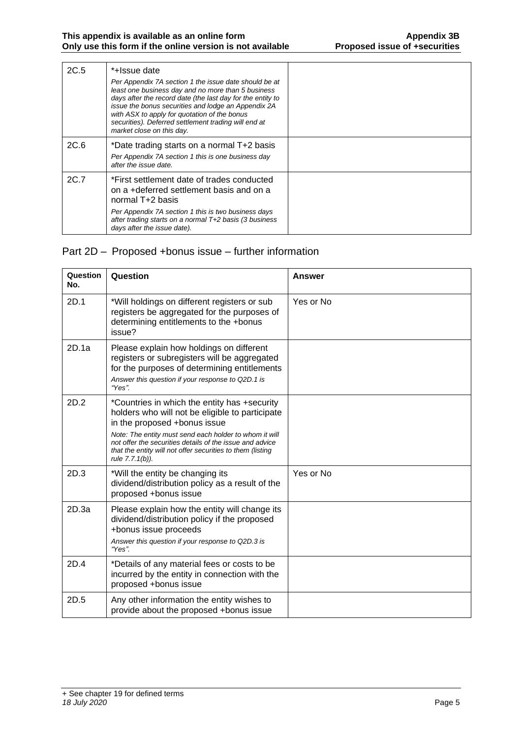| 2C.5 | *+Issue date<br>Per Appendix 7A section 1 the issue date should be at<br>least one business day and no more than 5 business<br>days after the record date (the last day for the entity to<br>issue the bonus securities and lodge an Appendix 2A<br>with ASX to apply for quotation of the bonus<br>securities). Deferred settlement trading will end at<br>market close on this day. |  |
|------|---------------------------------------------------------------------------------------------------------------------------------------------------------------------------------------------------------------------------------------------------------------------------------------------------------------------------------------------------------------------------------------|--|
| 2C.6 | *Date trading starts on a normal T+2 basis<br>Per Appendix 7A section 1 this is one business day<br>after the issue date.                                                                                                                                                                                                                                                             |  |
| 2C.7 | *First settlement date of trades conducted<br>on a +deferred settlement basis and on a<br>normal T+2 basis<br>Per Appendix 7A section 1 this is two business days<br>after trading starts on a normal T+2 basis (3 business<br>days after the issue date).                                                                                                                            |  |

## Part 2D – Proposed +bonus issue – further information

| Question<br>No. | Question                                                                                                                                                                                                                                                                                                                               | <b>Answer</b> |
|-----------------|----------------------------------------------------------------------------------------------------------------------------------------------------------------------------------------------------------------------------------------------------------------------------------------------------------------------------------------|---------------|
| 2D.1            | *Will holdings on different registers or sub<br>registers be aggregated for the purposes of<br>determining entitlements to the +bonus<br>issue?                                                                                                                                                                                        | Yes or No     |
| 2D.1a           | Please explain how holdings on different<br>registers or subregisters will be aggregated<br>for the purposes of determining entitlements<br>Answer this question if your response to Q2D.1 is<br>"Yes".                                                                                                                                |               |
| 2D.2            | *Countries in which the entity has +security<br>holders who will not be eligible to participate<br>in the proposed +bonus issue<br>Note: The entity must send each holder to whom it will<br>not offer the securities details of the issue and advice<br>that the entity will not offer securities to them (listing<br>rule 7.7.1(b)). |               |
| 2D.3            | *Will the entity be changing its<br>dividend/distribution policy as a result of the<br>proposed +bonus issue                                                                                                                                                                                                                           | Yes or No     |
| 2D.3a           | Please explain how the entity will change its<br>dividend/distribution policy if the proposed<br>+bonus issue proceeds<br>Answer this question if your response to Q2D.3 is<br>"Yes".                                                                                                                                                  |               |
| 2D.4            | *Details of any material fees or costs to be<br>incurred by the entity in connection with the<br>proposed +bonus issue                                                                                                                                                                                                                 |               |
| 2D.5            | Any other information the entity wishes to<br>provide about the proposed +bonus issue                                                                                                                                                                                                                                                  |               |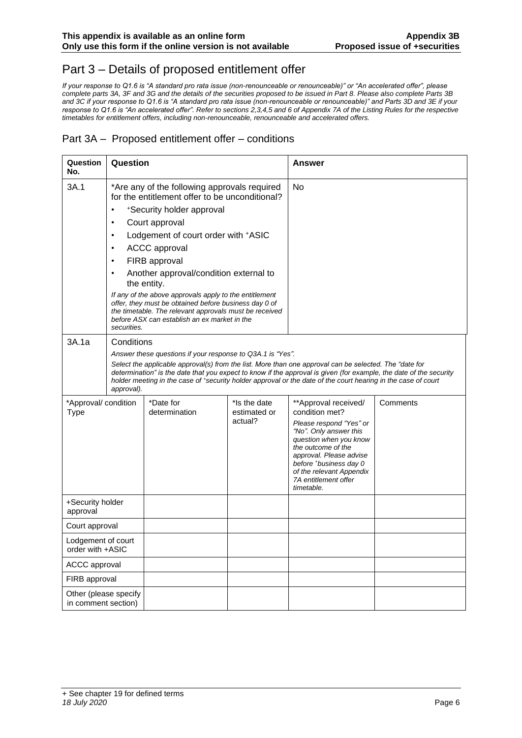# Part 3 – Details of proposed entitlement offer

*If your response to Q1.6 is "A standard pro rata issue (non-renounceable or renounceable)" or "An accelerated offer", please complete parts 3A, 3F and 3G and the details of the securities proposed to be issued in Part 8. Please also complete Parts 3B and 3C if your response to Q1.6 is "A standard pro rata issue (non-renounceable or renounceable)" and Parts 3D and 3E if your response to Q1.6 is "An accelerated offer". Refer to sections 2,3,4,5 and 6 of Appendix 7A of the Listing Rules for the respective timetables for entitlement offers, including non-renounceable, renounceable and accelerated offers.*

#### Part 3A – Proposed entitlement offer – conditions

| Question<br>No.                              | Question                                                                                                                    |                                                                                                                                                                                                                                                                                                                                               |                                         | Answer                                                                                                                                                                                                                                                             |          |
|----------------------------------------------|-----------------------------------------------------------------------------------------------------------------------------|-----------------------------------------------------------------------------------------------------------------------------------------------------------------------------------------------------------------------------------------------------------------------------------------------------------------------------------------------|-----------------------------------------|--------------------------------------------------------------------------------------------------------------------------------------------------------------------------------------------------------------------------------------------------------------------|----------|
| 3A.1                                         | *Are any of the following approvals required<br>for the entitlement offer to be unconditional?<br>*Security holder approval |                                                                                                                                                                                                                                                                                                                                               | No                                      |                                                                                                                                                                                                                                                                    |          |
|                                              | ٠                                                                                                                           | Court approval                                                                                                                                                                                                                                                                                                                                |                                         |                                                                                                                                                                                                                                                                    |          |
|                                              | $\bullet$                                                                                                                   | Lodgement of court order with +ASIC                                                                                                                                                                                                                                                                                                           |                                         |                                                                                                                                                                                                                                                                    |          |
|                                              | $\bullet$                                                                                                                   | <b>ACCC</b> approval                                                                                                                                                                                                                                                                                                                          |                                         |                                                                                                                                                                                                                                                                    |          |
|                                              | $\bullet$                                                                                                                   | FIRB approval                                                                                                                                                                                                                                                                                                                                 |                                         |                                                                                                                                                                                                                                                                    |          |
|                                              | $\bullet$                                                                                                                   | Another approval/condition external to<br>the entity.                                                                                                                                                                                                                                                                                         |                                         |                                                                                                                                                                                                                                                                    |          |
|                                              | securities.                                                                                                                 | If any of the above approvals apply to the entitlement<br>offer, they must be obtained before business day 0 of<br>the timetable. The relevant approvals must be received<br>before ASX can establish an ex market in the                                                                                                                     |                                         |                                                                                                                                                                                                                                                                    |          |
| 3A.1a                                        | Conditions                                                                                                                  |                                                                                                                                                                                                                                                                                                                                               |                                         |                                                                                                                                                                                                                                                                    |          |
|                                              |                                                                                                                             | Answer these questions if your response to Q3A.1 is "Yes".                                                                                                                                                                                                                                                                                    |                                         |                                                                                                                                                                                                                                                                    |          |
|                                              | approval).                                                                                                                  | Select the applicable approval(s) from the list. More than one approval can be selected. The "date for<br>determination" is the date that you expect to know if the approval is given (for example, the date of the security<br>holder meeting in the case of *security holder approval or the date of the court hearing in the case of court |                                         |                                                                                                                                                                                                                                                                    |          |
| *Approval/ condition<br><b>Type</b>          |                                                                                                                             | *Date for<br>determination                                                                                                                                                                                                                                                                                                                    | *Is the date<br>estimated or<br>actual? | **Approval received/<br>condition met?<br>Please respond "Yes" or<br>"No". Only answer this<br>question when you know<br>the outcome of the<br>approval. Please advise<br>before *business day 0<br>of the relevant Appendix<br>7A entitlement offer<br>timetable. | Comments |
| +Security holder<br>approval                 |                                                                                                                             |                                                                                                                                                                                                                                                                                                                                               |                                         |                                                                                                                                                                                                                                                                    |          |
| Court approval                               |                                                                                                                             |                                                                                                                                                                                                                                                                                                                                               |                                         |                                                                                                                                                                                                                                                                    |          |
| Lodgement of court<br>order with +ASIC       |                                                                                                                             |                                                                                                                                                                                                                                                                                                                                               |                                         |                                                                                                                                                                                                                                                                    |          |
| <b>ACCC approval</b>                         |                                                                                                                             |                                                                                                                                                                                                                                                                                                                                               |                                         |                                                                                                                                                                                                                                                                    |          |
| FIRB approval                                |                                                                                                                             |                                                                                                                                                                                                                                                                                                                                               |                                         |                                                                                                                                                                                                                                                                    |          |
| Other (please specify<br>in comment section) |                                                                                                                             |                                                                                                                                                                                                                                                                                                                                               |                                         |                                                                                                                                                                                                                                                                    |          |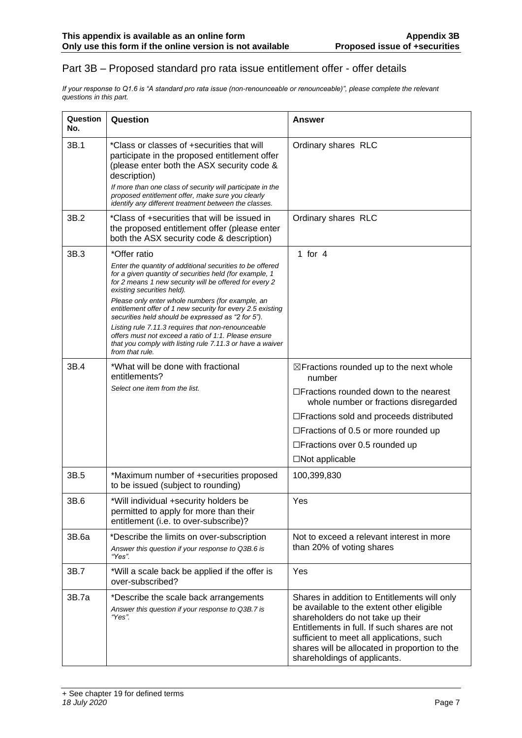#### Part 3B – Proposed standard pro rata issue entitlement offer - offer details

*If your response to Q1.6 is "A standard pro rata issue (non-renounceable or renounceable)", please complete the relevant questions in this part.*

| Question<br>No. | Question                                                                                                                                                                                                     | <b>Answer</b>                                                                                                                                                                                                                                                                                                |
|-----------------|--------------------------------------------------------------------------------------------------------------------------------------------------------------------------------------------------------------|--------------------------------------------------------------------------------------------------------------------------------------------------------------------------------------------------------------------------------------------------------------------------------------------------------------|
| 3B.1            | *Class or classes of +securities that will<br>participate in the proposed entitlement offer<br>(please enter both the ASX security code &<br>description)                                                    | Ordinary shares RLC                                                                                                                                                                                                                                                                                          |
|                 | If more than one class of security will participate in the<br>proposed entitlement offer, make sure you clearly<br>identify any different treatment between the classes.                                     |                                                                                                                                                                                                                                                                                                              |
| 3B.2            | *Class of +securities that will be issued in<br>the proposed entitlement offer (please enter<br>both the ASX security code & description)                                                                    | Ordinary shares RLC                                                                                                                                                                                                                                                                                          |
| 3B.3            | *Offer ratio                                                                                                                                                                                                 | 1 for $4$                                                                                                                                                                                                                                                                                                    |
|                 | Enter the quantity of additional securities to be offered<br>for a given quantity of securities held (for example, 1<br>for 2 means 1 new security will be offered for every 2<br>existing securities held). |                                                                                                                                                                                                                                                                                                              |
|                 | Please only enter whole numbers (for example, an<br>entitlement offer of 1 new security for every 2.5 existing<br>securities held should be expressed as "2 for 5").                                         |                                                                                                                                                                                                                                                                                                              |
|                 | Listing rule 7.11.3 requires that non-renounceable<br>offers must not exceed a ratio of 1:1. Please ensure<br>that you comply with listing rule 7.11.3 or have a waiver<br>from that rule.                   |                                                                                                                                                                                                                                                                                                              |
| 3B.4            | *What will be done with fractional<br>entitlements?                                                                                                                                                          | ⊠Fractions rounded up to the next whole<br>number                                                                                                                                                                                                                                                            |
|                 | Select one item from the list.                                                                                                                                                                               | $\Box$ Fractions rounded down to the nearest<br>whole number or fractions disregarded                                                                                                                                                                                                                        |
|                 |                                                                                                                                                                                                              | □ Fractions sold and proceeds distributed                                                                                                                                                                                                                                                                    |
|                 |                                                                                                                                                                                                              | $\Box$ Fractions of 0.5 or more rounded up                                                                                                                                                                                                                                                                   |
|                 |                                                                                                                                                                                                              | $\Box$ Fractions over 0.5 rounded up                                                                                                                                                                                                                                                                         |
|                 |                                                                                                                                                                                                              | $\square$ Not applicable                                                                                                                                                                                                                                                                                     |
| 3B.5            | *Maximum number of +securities proposed<br>to be issued (subject to rounding)                                                                                                                                | 100,399,830                                                                                                                                                                                                                                                                                                  |
| 3B.6            | *Will individual +security holders be<br>permitted to apply for more than their<br>entitlement (i.e. to over-subscribe)?                                                                                     | Yes                                                                                                                                                                                                                                                                                                          |
| 3B.6a           | *Describe the limits on over-subscription<br>Answer this question if your response to Q3B.6 is<br>"Yes".                                                                                                     | Not to exceed a relevant interest in more<br>than 20% of voting shares                                                                                                                                                                                                                                       |
| 3B.7            | *Will a scale back be applied if the offer is<br>over-subscribed?                                                                                                                                            | Yes                                                                                                                                                                                                                                                                                                          |
| 3B.7a           | *Describe the scale back arrangements<br>Answer this question if your response to Q3B.7 is<br>"Yes".                                                                                                         | Shares in addition to Entitlements will only<br>be available to the extent other eligible<br>shareholders do not take up their<br>Entitlements in full. If such shares are not<br>sufficient to meet all applications, such<br>shares will be allocated in proportion to the<br>shareholdings of applicants. |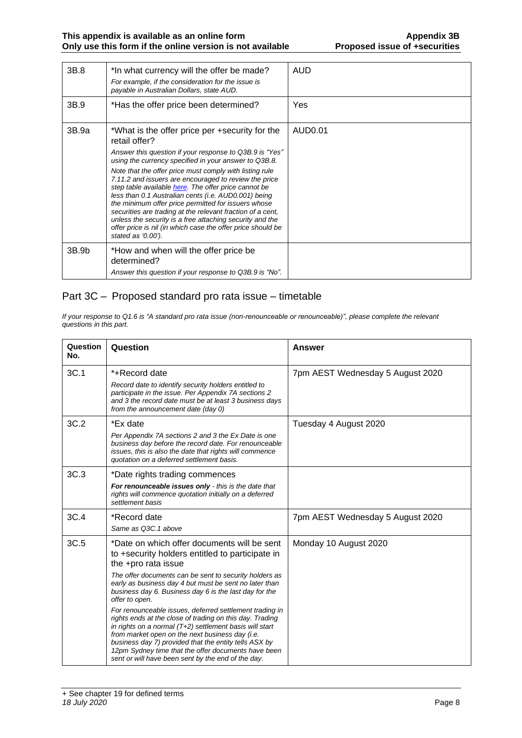| 3B.8  | *In what currency will the offer be made?<br>For example, if the consideration for the issue is<br>payable in Australian Dollars, state AUD.                                                                                                                                                                                                                                                                                                                                                                                                                                                                                                                                                  | AUD     |
|-------|-----------------------------------------------------------------------------------------------------------------------------------------------------------------------------------------------------------------------------------------------------------------------------------------------------------------------------------------------------------------------------------------------------------------------------------------------------------------------------------------------------------------------------------------------------------------------------------------------------------------------------------------------------------------------------------------------|---------|
| 3B.9  | *Has the offer price been determined?                                                                                                                                                                                                                                                                                                                                                                                                                                                                                                                                                                                                                                                         | Yes     |
| 3B.9a | *What is the offer price per +security for the<br>retail offer?<br>Answer this question if your response to Q3B.9 is "Yes"<br>using the currency specified in your answer to Q3B.8.<br>Note that the offer price must comply with listing rule<br>7.11.2 and issuers are encouraged to review the price<br>step table available here. The offer price cannot be<br>less than 0.1 Australian cents (i.e. AUD0.001) being<br>the minimum offer price permitted for issuers whose<br>securities are trading at the relevant fraction of a cent,<br>unless the security is a free attaching security and the<br>offer price is nil (in which case the offer price should be<br>stated as '0.00'). | AUD0.01 |
| 3B.9b | *How and when will the offer price be<br>determined?<br>Answer this question if your response to Q3B.9 is "No".                                                                                                                                                                                                                                                                                                                                                                                                                                                                                                                                                                               |         |

### Part 3C – Proposed standard pro rata issue – timetable

*If your response to Q1.6 is "A standard pro rata issue (non-renounceable or renounceable)", please complete the relevant questions in this part.*

| Question<br>No. | Question                                                                                                                                                                                                                                                                                                                                                                                                                                                                                                                                                                                                                                                                                                                         | Answer                           |
|-----------------|----------------------------------------------------------------------------------------------------------------------------------------------------------------------------------------------------------------------------------------------------------------------------------------------------------------------------------------------------------------------------------------------------------------------------------------------------------------------------------------------------------------------------------------------------------------------------------------------------------------------------------------------------------------------------------------------------------------------------------|----------------------------------|
| 3C.1            | *+Record date<br>Record date to identify security holders entitled to<br>participate in the issue. Per Appendix 7A sections 2<br>and 3 the record date must be at least 3 business days<br>from the announcement date (day 0)                                                                                                                                                                                                                                                                                                                                                                                                                                                                                                    | 7pm AEST Wednesday 5 August 2020 |
| 3C.2            | *Ex date<br>Per Appendix 7A sections 2 and 3 the Ex Date is one<br>business day before the record date. For renounceable<br>issues, this is also the date that rights will commence<br>quotation on a deferred settlement basis.                                                                                                                                                                                                                                                                                                                                                                                                                                                                                                 | Tuesday 4 August 2020            |
| 3C.3            | *Date rights trading commences<br>For renounceable issues only - this is the date that<br>rights will commence quotation initially on a deferred<br>settlement basis                                                                                                                                                                                                                                                                                                                                                                                                                                                                                                                                                             |                                  |
| 3C.4            | *Record date<br>Same as Q3C.1 above                                                                                                                                                                                                                                                                                                                                                                                                                                                                                                                                                                                                                                                                                              | 7pm AEST Wednesday 5 August 2020 |
| 3C.5            | *Date on which offer documents will be sent<br>to +security holders entitled to participate in<br>the +pro rata issue<br>The offer documents can be sent to security holders as<br>early as business day 4 but must be sent no later than<br>business day 6. Business day 6 is the last day for the<br>offer to open.<br>For renounceable issues, deferred settlement trading in<br>rights ends at the close of trading on this day. Trading<br>in rights on a normal (T+2) settlement basis will start<br>from market open on the next business day (i.e.<br>business day 7) provided that the entity tells ASX by<br>12pm Sydney time that the offer documents have been<br>sent or will have been sent by the end of the day. | Monday 10 August 2020            |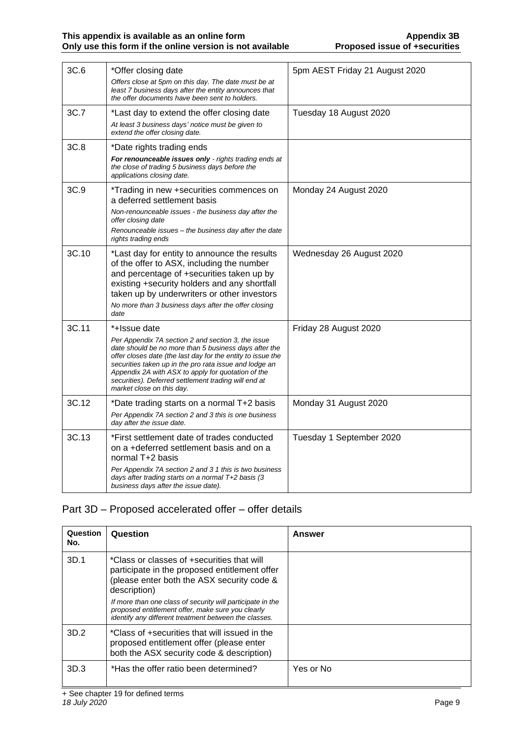| 3C.6  | *Offer closing date<br>Offers close at 5pm on this day. The date must be at<br>least 7 business days after the entity announces that<br>the offer documents have been sent to holders.                                                                                                                                                                                                          | 5pm AEST Friday 21 August 2020 |
|-------|-------------------------------------------------------------------------------------------------------------------------------------------------------------------------------------------------------------------------------------------------------------------------------------------------------------------------------------------------------------------------------------------------|--------------------------------|
| 3C.7  | *Last day to extend the offer closing date<br>At least 3 business days' notice must be given to<br>extend the offer closing date.                                                                                                                                                                                                                                                               | Tuesday 18 August 2020         |
| 3C.8  | *Date rights trading ends<br>For renounceable issues only - rights trading ends at<br>the close of trading 5 business days before the<br>applications closing date.                                                                                                                                                                                                                             |                                |
| 3C.9  | *Trading in new +securities commences on<br>a deferred settlement basis<br>Non-renounceable issues - the business day after the<br>offer closing date<br>Renounceable issues – the business day after the date<br>rights trading ends                                                                                                                                                           | Monday 24 August 2020          |
| 3C.10 | *Last day for entity to announce the results<br>of the offer to ASX, including the number<br>and percentage of +securities taken up by<br>existing +security holders and any shortfall<br>taken up by underwriters or other investors<br>No more than 3 business days after the offer closing<br>date                                                                                           | Wednesday 26 August 2020       |
| 3C.11 | *+Issue date<br>Per Appendix 7A section 2 and section 3, the issue<br>date should be no more than 5 business days after the<br>offer closes date (the last day for the entity to issue the<br>securities taken up in the pro rata issue and lodge an<br>Appendix 2A with ASX to apply for quotation of the<br>securities). Deferred settlement trading will end at<br>market close on this day. | Friday 28 August 2020          |
| 3C.12 | *Date trading starts on a normal T+2 basis<br>Per Appendix 7A section 2 and 3 this is one business<br>day after the issue date.                                                                                                                                                                                                                                                                 | Monday 31 August 2020          |
| 3C.13 | *First settlement date of trades conducted<br>on a +deferred settlement basis and on a<br>normal T+2 basis<br>Per Appendix 7A section 2 and 3 1 this is two business<br>days after trading starts on a normal T+2 basis (3<br>business days after the issue date).                                                                                                                              | Tuesday 1 September 2020       |

### Part 3D – Proposed accelerated offer – offer details

| Question<br>No. | Question                                                                                                                                                                 | Answer    |
|-----------------|--------------------------------------------------------------------------------------------------------------------------------------------------------------------------|-----------|
| 3D.1            | *Class or classes of +securities that will<br>participate in the proposed entitlement offer<br>(please enter both the ASX security code &<br>description)                |           |
|                 | If more than one class of security will participate in the<br>proposed entitlement offer, make sure you clearly<br>identify any different treatment between the classes. |           |
| 3D.2            | *Class of +securities that will issued in the<br>proposed entitlement offer (please enter<br>both the ASX security code & description)                                   |           |
| 3D.3            | *Has the offer ratio been determined?                                                                                                                                    | Yes or No |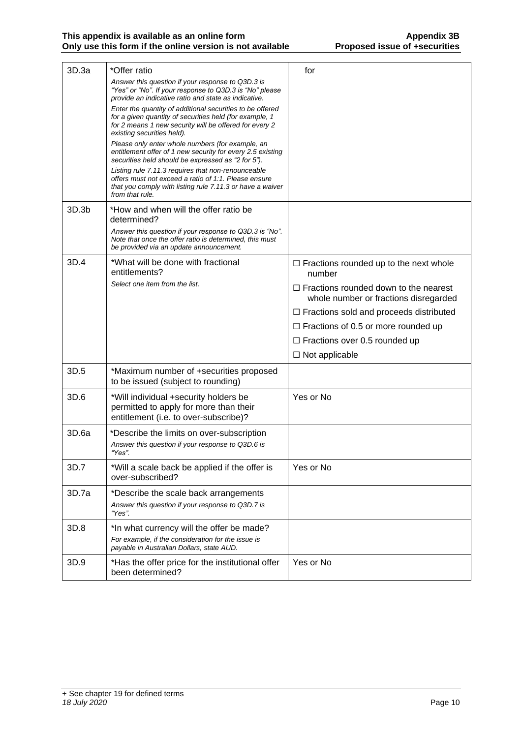| 3D.3a | *Offer ratio                                                                                                                                                                                                 | for                                                                                   |
|-------|--------------------------------------------------------------------------------------------------------------------------------------------------------------------------------------------------------------|---------------------------------------------------------------------------------------|
|       | Answer this question if your response to Q3D.3 is<br>"Yes" or "No". If your response to Q3D.3 is "No" please<br>provide an indicative ratio and state as indicative.                                         |                                                                                       |
|       | Enter the quantity of additional securities to be offered<br>for a given quantity of securities held (for example, 1<br>for 2 means 1 new security will be offered for every 2<br>existing securities held). |                                                                                       |
|       | Please only enter whole numbers (for example, an<br>entitlement offer of 1 new security for every 2.5 existing<br>securities held should be expressed as "2 for 5").                                         |                                                                                       |
|       | Listing rule 7.11.3 requires that non-renounceable<br>offers must not exceed a ratio of 1:1. Please ensure<br>that you comply with listing rule 7.11.3 or have a waiver<br>from that rule.                   |                                                                                       |
| 3D.3b | *How and when will the offer ratio be<br>determined?                                                                                                                                                         |                                                                                       |
|       | Answer this question if your response to Q3D.3 is "No".<br>Note that once the offer ratio is determined, this must<br>be provided via an update announcement.                                                |                                                                                       |
| 3D.4  | *What will be done with fractional<br>entitlements?                                                                                                                                                          | $\Box$ Fractions rounded up to the next whole<br>number                               |
|       | Select one item from the list.                                                                                                                                                                               | $\Box$ Fractions rounded down to the nearest<br>whole number or fractions disregarded |
|       |                                                                                                                                                                                                              | $\Box$ Fractions sold and proceeds distributed                                        |
|       |                                                                                                                                                                                                              | $\Box$ Fractions of 0.5 or more rounded up                                            |
|       |                                                                                                                                                                                                              | $\Box$ Fractions over 0.5 rounded up                                                  |
|       |                                                                                                                                                                                                              | $\Box$ Not applicable                                                                 |
| 3D.5  | *Maximum number of +securities proposed<br>to be issued (subject to rounding)                                                                                                                                |                                                                                       |
| 3D.6  | *Will individual +security holders be<br>permitted to apply for more than their<br>entitlement (i.e. to over-subscribe)?                                                                                     | Yes or No                                                                             |
| 3D.6a | *Describe the limits on over-subscription<br>Answer this question if your response to Q3D.6 is<br>"Yes".                                                                                                     |                                                                                       |
| 3D.7  | *Will a scale back be applied if the offer is<br>over-subscribed?                                                                                                                                            | Yes or No                                                                             |
| 3D.7a | *Describe the scale back arrangements<br>Answer this question if your response to Q3D.7 is<br>"Yes".                                                                                                         |                                                                                       |
| 3D.8  | *In what currency will the offer be made?<br>For example, if the consideration for the issue is<br>payable in Australian Dollars, state AUD.                                                                 |                                                                                       |
| 3D.9  | *Has the offer price for the institutional offer<br>been determined?                                                                                                                                         | Yes or No                                                                             |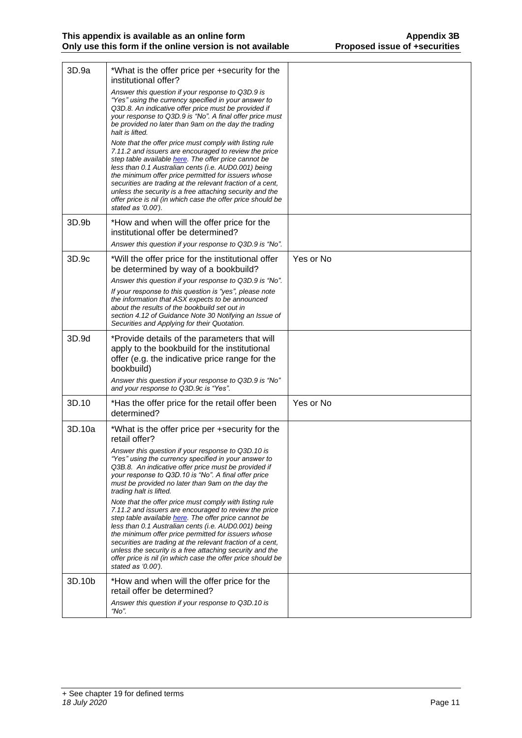| 3D.9a  | *What is the offer price per +security for the<br>institutional offer?                                                                                                                                                                                                                                                                                                                                                                                                                                 |           |
|--------|--------------------------------------------------------------------------------------------------------------------------------------------------------------------------------------------------------------------------------------------------------------------------------------------------------------------------------------------------------------------------------------------------------------------------------------------------------------------------------------------------------|-----------|
|        | Answer this question if your response to Q3D.9 is<br>"Yes" using the currency specified in your answer to<br>Q3D.8. An indicative offer price must be provided if<br>your response to Q3D.9 is "No". A final offer price must<br>be provided no later than 9am on the day the trading<br>halt is lifted.                                                                                                                                                                                               |           |
|        | Note that the offer price must comply with listing rule<br>7.11.2 and issuers are encouraged to review the price<br>step table available here. The offer price cannot be<br>less than 0.1 Australian cents (i.e. AUD0.001) being<br>the minimum offer price permitted for issuers whose<br>securities are trading at the relevant fraction of a cent,<br>unless the security is a free attaching security and the<br>offer price is nil (in which case the offer price should be<br>stated as '0.00'). |           |
| 3D.9b  | *How and when will the offer price for the<br>institutional offer be determined?<br>Answer this question if your response to Q3D.9 is "No".                                                                                                                                                                                                                                                                                                                                                            |           |
| 3D.9c  | *Will the offer price for the institutional offer<br>be determined by way of a bookbuild?                                                                                                                                                                                                                                                                                                                                                                                                              | Yes or No |
|        | Answer this question if your response to Q3D.9 is "No".<br>If your response to this question is "yes", please note<br>the information that ASX expects to be announced<br>about the results of the bookbuild set out in<br>section 4.12 of Guidance Note 30 Notifying an Issue of<br>Securities and Applying for their Quotation.                                                                                                                                                                      |           |
| 3D.9d  | *Provide details of the parameters that will<br>apply to the bookbuild for the institutional<br>offer (e.g. the indicative price range for the<br>bookbuild)<br>Answer this question if your response to Q3D.9 is "No"<br>and your response to Q3D.9c is "Yes".                                                                                                                                                                                                                                        |           |
| 3D.10  | *Has the offer price for the retail offer been<br>determined?                                                                                                                                                                                                                                                                                                                                                                                                                                          | Yes or No |
| 3D.10a | *What is the offer price per +security for the<br>retail offer?                                                                                                                                                                                                                                                                                                                                                                                                                                        |           |
|        | Answer this question if your response to Q3D.10 is<br>"Yes" using the currency specified in your answer to<br>Q3B.8. An indicative offer price must be provided if<br>your response to Q3D.10 is "No". A final offer price<br>must be provided no later than 9am on the day the<br>trading halt is lifted.                                                                                                                                                                                             |           |
|        | Note that the offer price must comply with listing rule<br>7.11.2 and issuers are encouraged to review the price<br>step table available here. The offer price cannot be<br>less than 0.1 Australian cents (i.e. AUD0.001) being<br>the minimum offer price permitted for issuers whose<br>securities are trading at the relevant fraction of a cent,<br>unless the security is a free attaching security and the<br>offer price is nil (in which case the offer price should be<br>stated as '0.00'). |           |
| 3D.10b | *How and when will the offer price for the<br>retail offer be determined?<br>Answer this question if your response to Q3D.10 is<br>"No".                                                                                                                                                                                                                                                                                                                                                               |           |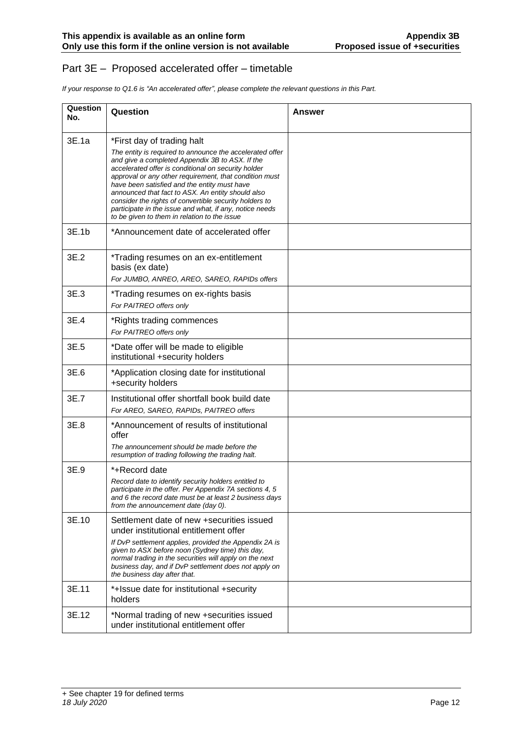#### Part 3E – Proposed accelerated offer – timetable

*If your response to Q1.6 is "An accelerated offer", please complete the relevant questions in this Part.*

| Question<br>No. | Question                                                                                                                                                                                                                                                                                                                                                                                                                                                                                                                             | <b>Answer</b> |
|-----------------|--------------------------------------------------------------------------------------------------------------------------------------------------------------------------------------------------------------------------------------------------------------------------------------------------------------------------------------------------------------------------------------------------------------------------------------------------------------------------------------------------------------------------------------|---------------|
| 3E.1a           | *First day of trading halt<br>The entity is required to announce the accelerated offer<br>and give a completed Appendix 3B to ASX. If the<br>accelerated offer is conditional on security holder<br>approval or any other requirement, that condition must<br>have been satisfied and the entity must have<br>announced that fact to ASX. An entity should also<br>consider the rights of convertible security holders to<br>participate in the issue and what, if any, notice needs<br>to be given to them in relation to the issue |               |
| 3E.1b           | *Announcement date of accelerated offer                                                                                                                                                                                                                                                                                                                                                                                                                                                                                              |               |
| 3E.2            | *Trading resumes on an ex-entitlement<br>basis (ex date)<br>For JUMBO, ANREO, AREO, SAREO, RAPIDs offers                                                                                                                                                                                                                                                                                                                                                                                                                             |               |
| 3E.3            | *Trading resumes on ex-rights basis<br>For PAITREO offers only                                                                                                                                                                                                                                                                                                                                                                                                                                                                       |               |
| 3E.4            | *Rights trading commences<br>For PAITREO offers only                                                                                                                                                                                                                                                                                                                                                                                                                                                                                 |               |
| 3E.5            | *Date offer will be made to eligible<br>institutional +security holders                                                                                                                                                                                                                                                                                                                                                                                                                                                              |               |
| 3E.6            | *Application closing date for institutional<br>+security holders                                                                                                                                                                                                                                                                                                                                                                                                                                                                     |               |
| 3E.7            | Institutional offer shortfall book build date<br>For AREO, SAREO, RAPIDs, PAITREO offers                                                                                                                                                                                                                                                                                                                                                                                                                                             |               |
| 3E.8            | *Announcement of results of institutional<br>offer<br>The announcement should be made before the<br>resumption of trading following the trading halt.                                                                                                                                                                                                                                                                                                                                                                                |               |
| 3E.9            | *+Record date<br>Record date to identify security holders entitled to<br>participate in the offer. Per Appendix 7A sections 4, 5<br>and 6 the record date must be at least 2 business days<br>from the announcement date (day 0).                                                                                                                                                                                                                                                                                                    |               |
| 3E.10           | Settlement date of new +securities issued<br>under institutional entitlement offer<br>If DvP settlement applies, provided the Appendix 2A is<br>given to ASX before noon (Sydney time) this day,<br>normal trading in the securities will apply on the next<br>business day, and if DvP settlement does not apply on<br>the business day after that.                                                                                                                                                                                 |               |
| 3E.11           | *+Issue date for institutional +security<br>holders                                                                                                                                                                                                                                                                                                                                                                                                                                                                                  |               |
| 3E.12           | *Normal trading of new +securities issued<br>under institutional entitlement offer                                                                                                                                                                                                                                                                                                                                                                                                                                                   |               |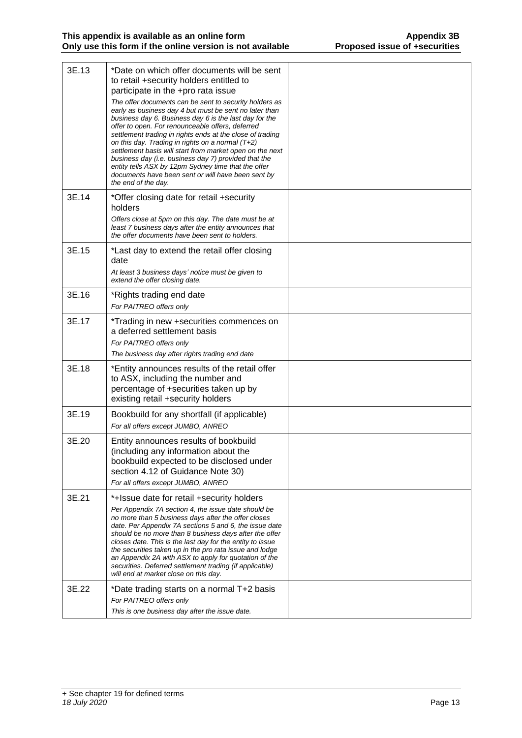| 3E.13 | *Date on which offer documents will be sent<br>to retail +security holders entitled to<br>participate in the +pro rata issue<br>The offer documents can be sent to security holders as<br>early as business day 4 but must be sent no later than<br>business day 6. Business day 6 is the last day for the<br>offer to open. For renounceable offers, deferred<br>settlement trading in rights ends at the close of trading<br>on this day. Trading in rights on a normal $(T+2)$<br>settlement basis will start from market open on the next<br>business day (i.e. business day 7) provided that the<br>entity tells ASX by 12pm Sydney time that the offer<br>documents have been sent or will have been sent by<br>the end of the day. |  |
|-------|-------------------------------------------------------------------------------------------------------------------------------------------------------------------------------------------------------------------------------------------------------------------------------------------------------------------------------------------------------------------------------------------------------------------------------------------------------------------------------------------------------------------------------------------------------------------------------------------------------------------------------------------------------------------------------------------------------------------------------------------|--|
| 3E.14 | *Offer closing date for retail +security<br>holders<br>Offers close at 5pm on this day. The date must be at                                                                                                                                                                                                                                                                                                                                                                                                                                                                                                                                                                                                                               |  |
|       | least 7 business days after the entity announces that<br>the offer documents have been sent to holders.                                                                                                                                                                                                                                                                                                                                                                                                                                                                                                                                                                                                                                   |  |
| 3E.15 | *Last day to extend the retail offer closing<br>date<br>At least 3 business days' notice must be given to                                                                                                                                                                                                                                                                                                                                                                                                                                                                                                                                                                                                                                 |  |
|       | extend the offer closing date.                                                                                                                                                                                                                                                                                                                                                                                                                                                                                                                                                                                                                                                                                                            |  |
| 3E.16 | *Rights trading end date<br>For PAITREO offers only                                                                                                                                                                                                                                                                                                                                                                                                                                                                                                                                                                                                                                                                                       |  |
| 3E.17 | *Trading in new +securities commences on<br>a deferred settlement basis<br>For PAITREO offers only                                                                                                                                                                                                                                                                                                                                                                                                                                                                                                                                                                                                                                        |  |
|       | The business day after rights trading end date                                                                                                                                                                                                                                                                                                                                                                                                                                                                                                                                                                                                                                                                                            |  |
| 3E.18 | *Entity announces results of the retail offer<br>to ASX, including the number and<br>percentage of +securities taken up by<br>existing retail +security holders                                                                                                                                                                                                                                                                                                                                                                                                                                                                                                                                                                           |  |
| 3E.19 | Bookbuild for any shortfall (if applicable)<br>For all offers except JUMBO, ANREO                                                                                                                                                                                                                                                                                                                                                                                                                                                                                                                                                                                                                                                         |  |
| 3E.20 | Entity announces results of bookbuild<br>(including any information about the<br>bookbuild expected to be disclosed under<br>section 4.12 of Guidance Note 30)<br>For all offers except JUMBO, ANREO                                                                                                                                                                                                                                                                                                                                                                                                                                                                                                                                      |  |
| 3E.21 | *+Issue date for retail +security holders<br>Per Appendix 7A section 4, the issue date should be<br>no more than 5 business days after the offer closes<br>date. Per Appendix 7A sections 5 and 6, the issue date<br>should be no more than 8 business days after the offer<br>closes date. This is the last day for the entity to issue<br>the securities taken up in the pro rata issue and lodge<br>an Appendix 2A with ASX to apply for quotation of the<br>securities. Deferred settlement trading (if applicable)<br>will end at market close on this day.                                                                                                                                                                          |  |
| 3E.22 | *Date trading starts on a normal T+2 basis<br>For PAITREO offers only<br>This is one business day after the issue date.                                                                                                                                                                                                                                                                                                                                                                                                                                                                                                                                                                                                                   |  |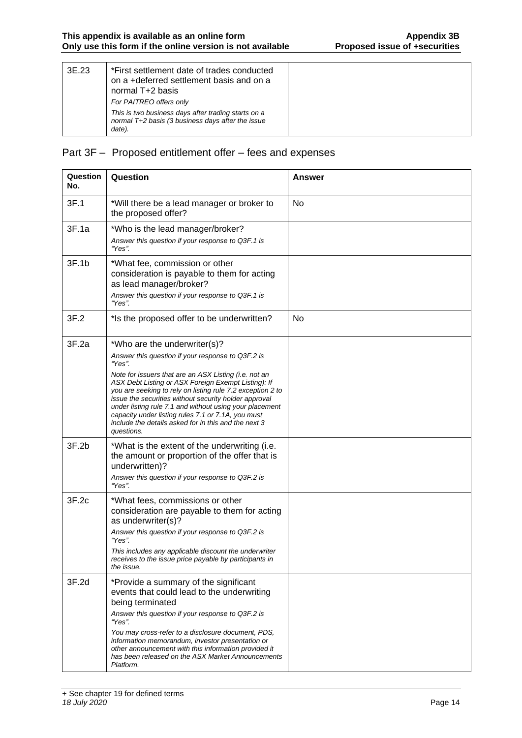| 3E.23 | *First settlement date of trades conducted<br>on a +deferred settlement basis and on a<br>normal T+2 basis                                    |  |
|-------|-----------------------------------------------------------------------------------------------------------------------------------------------|--|
|       | For PAITREO offers only<br>This is two business days after trading starts on a<br>normal T+2 basis (3 business days after the issue<br>date). |  |

# Part 3F – Proposed entitlement offer – fees and expenses

| Question<br>No. | Question                                                                                                                                                                                                                                                                                                                                                                                                                                                                                                                  | <b>Answer</b> |  |
|-----------------|---------------------------------------------------------------------------------------------------------------------------------------------------------------------------------------------------------------------------------------------------------------------------------------------------------------------------------------------------------------------------------------------------------------------------------------------------------------------------------------------------------------------------|---------------|--|
| 3F.1            | *Will there be a lead manager or broker to<br>the proposed offer?                                                                                                                                                                                                                                                                                                                                                                                                                                                         | No            |  |
| 3F.1a           | *Who is the lead manager/broker?<br>Answer this question if your response to Q3F.1 is<br>"Yes".                                                                                                                                                                                                                                                                                                                                                                                                                           |               |  |
| 3F.1b           | *What fee, commission or other<br>consideration is payable to them for acting<br>as lead manager/broker?<br>Answer this question if your response to Q3F.1 is<br>"Yes".                                                                                                                                                                                                                                                                                                                                                   |               |  |
| 3F.2            | *Is the proposed offer to be underwritten?                                                                                                                                                                                                                                                                                                                                                                                                                                                                                | No            |  |
| 3F.2a           | *Who are the underwriter(s)?<br>Answer this question if your response to Q3F.2 is<br>"Yes".<br>Note for issuers that are an ASX Listing (i.e. not an<br>ASX Debt Listing or ASX Foreign Exempt Listing): If<br>you are seeking to rely on listing rule 7.2 exception 2 to<br>issue the securities without security holder approval<br>under listing rule 7.1 and without using your placement<br>capacity under listing rules 7.1 or 7.1A, you must<br>include the details asked for in this and the next 3<br>questions. |               |  |
| 3F.2b           | *What is the extent of the underwriting (i.e.<br>the amount or proportion of the offer that is<br>underwritten)?<br>Answer this question if your response to Q3F.2 is<br>"Yes".                                                                                                                                                                                                                                                                                                                                           |               |  |
| 3F.2c           | *What fees, commissions or other<br>consideration are payable to them for acting<br>as underwriter(s)?<br>Answer this question if your response to Q3F.2 is<br>"Yes".<br>This includes any applicable discount the underwriter<br>receives to the issue price payable by participants in<br>the issue.                                                                                                                                                                                                                    |               |  |
| 3F.2d           | *Provide a summary of the significant<br>events that could lead to the underwriting<br>being terminated<br>Answer this question if your response to Q3F.2 is<br>"Yes".<br>You may cross-refer to a disclosure document, PDS,<br>information memorandum, investor presentation or<br>other announcement with this information provided it<br>has been released on the ASX Market Announcements<br>Platform.                                                                                                                |               |  |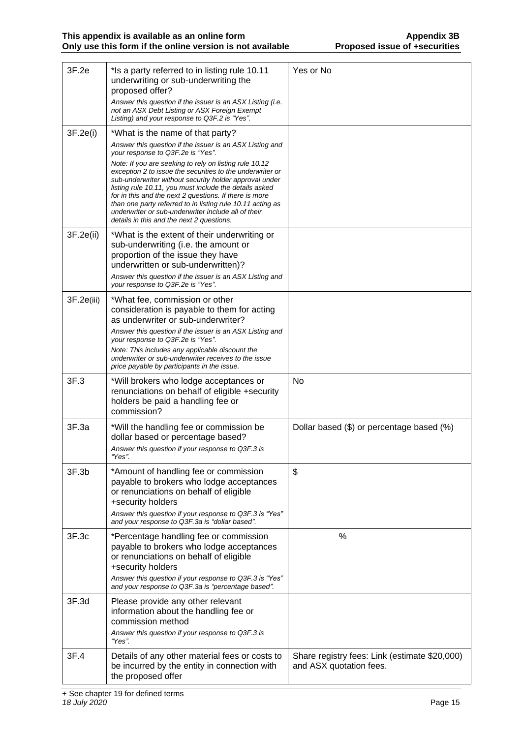| 3F.2e      | *Is a party referred to in listing rule 10.11<br>underwriting or sub-underwriting the<br>proposed offer?<br>Answer this question if the issuer is an ASX Listing (i.e.<br>not an ASX Debt Listing or ASX Foreign Exempt<br>Listing) and your response to Q3F.2 is "Yes".                                                                                                                                                                                                                                                                                                                                 | Yes or No                                 |
|------------|----------------------------------------------------------------------------------------------------------------------------------------------------------------------------------------------------------------------------------------------------------------------------------------------------------------------------------------------------------------------------------------------------------------------------------------------------------------------------------------------------------------------------------------------------------------------------------------------------------|-------------------------------------------|
| 3F.2e(i)   | *What is the name of that party?<br>Answer this question if the issuer is an ASX Listing and<br>your response to Q3F.2e is "Yes".<br>Note: If you are seeking to rely on listing rule 10.12<br>exception 2 to issue the securities to the underwriter or<br>sub-underwriter without security holder approval under<br>listing rule 10.11, you must include the details asked<br>for in this and the next 2 questions. If there is more<br>than one party referred to in listing rule 10.11 acting as<br>underwriter or sub-underwriter include all of their<br>details in this and the next 2 questions. |                                           |
| 3F.2e(ii)  | *What is the extent of their underwriting or<br>sub-underwriting (i.e. the amount or<br>proportion of the issue they have<br>underwritten or sub-underwritten)?<br>Answer this question if the issuer is an ASX Listing and<br>your response to Q3F.2e is "Yes".                                                                                                                                                                                                                                                                                                                                         |                                           |
| 3F.2e(iii) | *What fee, commission or other<br>consideration is payable to them for acting<br>as underwriter or sub-underwriter?<br>Answer this question if the issuer is an ASX Listing and<br>your response to Q3F.2e is "Yes".<br>Note: This includes any applicable discount the<br>underwriter or sub-underwriter receives to the issue<br>price payable by participants in the issue.                                                                                                                                                                                                                           |                                           |
| 3F.3       | *Will brokers who lodge acceptances or<br>renunciations on behalf of eligible +security<br>holders be paid a handling fee or                                                                                                                                                                                                                                                                                                                                                                                                                                                                             | <b>No</b>                                 |
|            | commission?                                                                                                                                                                                                                                                                                                                                                                                                                                                                                                                                                                                              |                                           |
| 3F.3a      | *Will the handling fee or commission be<br>dollar based or percentage based?<br>Answer this question if your response to Q3F.3 is<br>"Yes".                                                                                                                                                                                                                                                                                                                                                                                                                                                              | Dollar based (\$) or percentage based (%) |
| 3F.3b      | *Amount of handling fee or commission<br>payable to brokers who lodge acceptances<br>or renunciations on behalf of eligible<br>+security holders<br>Answer this question if your response to Q3F.3 is "Yes"<br>and your response to Q3F.3a is "dollar based".                                                                                                                                                                                                                                                                                                                                            | \$                                        |
| 3F.3c      | *Percentage handling fee or commission<br>payable to brokers who lodge acceptances<br>or renunciations on behalf of eligible<br>+security holders<br>Answer this question if your response to Q3F.3 is "Yes"<br>and your response to Q3F.3a is "percentage based".                                                                                                                                                                                                                                                                                                                                       | %                                         |
| 3F.3d      | Please provide any other relevant<br>information about the handling fee or<br>commission method<br>Answer this question if your response to Q3F.3 is<br>"Yes"                                                                                                                                                                                                                                                                                                                                                                                                                                            |                                           |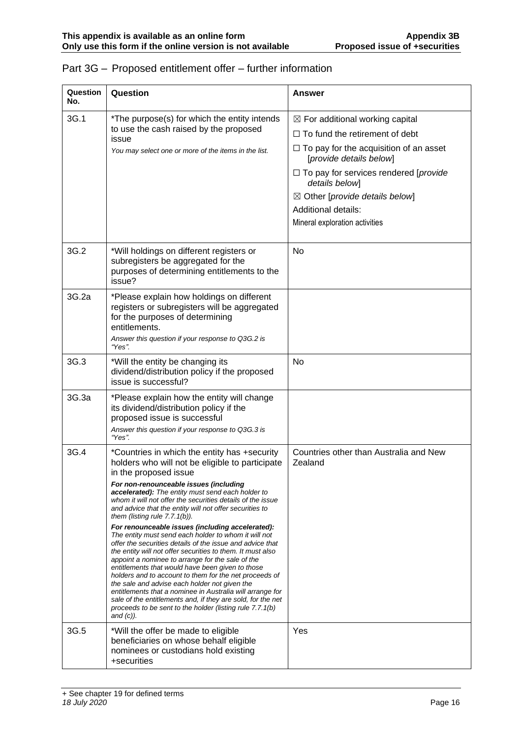| Question<br>No. | Question                                                                                                                                                                                                                                                                                                                                                                                                                                                                                                                                                                                                                                                                                                                                                                                                                                                                                                                                                                                                                                               | Answer                                                                                                                                                                                                                                                                                                                                         |  |
|-----------------|--------------------------------------------------------------------------------------------------------------------------------------------------------------------------------------------------------------------------------------------------------------------------------------------------------------------------------------------------------------------------------------------------------------------------------------------------------------------------------------------------------------------------------------------------------------------------------------------------------------------------------------------------------------------------------------------------------------------------------------------------------------------------------------------------------------------------------------------------------------------------------------------------------------------------------------------------------------------------------------------------------------------------------------------------------|------------------------------------------------------------------------------------------------------------------------------------------------------------------------------------------------------------------------------------------------------------------------------------------------------------------------------------------------|--|
| 3G.1            | *The purpose(s) for which the entity intends<br>to use the cash raised by the proposed<br>issue<br>You may select one or more of the items in the list.                                                                                                                                                                                                                                                                                                                                                                                                                                                                                                                                                                                                                                                                                                                                                                                                                                                                                                | $\boxtimes$ For additional working capital<br>$\Box$ To fund the retirement of debt<br>$\Box$ To pay for the acquisition of an asset<br>[provide details below]<br>$\Box$ To pay for services rendered [provide<br>details below]<br>$\boxtimes$ Other [provide details below]<br><b>Additional details:</b><br>Mineral exploration activities |  |
| 3G.2            | *Will holdings on different registers or<br>subregisters be aggregated for the<br>purposes of determining entitlements to the<br>issue?                                                                                                                                                                                                                                                                                                                                                                                                                                                                                                                                                                                                                                                                                                                                                                                                                                                                                                                | <b>No</b>                                                                                                                                                                                                                                                                                                                                      |  |
| 3G.2a           | *Please explain how holdings on different<br>registers or subregisters will be aggregated<br>for the purposes of determining<br>entitlements.<br>Answer this question if your response to Q3G.2 is<br>"Yes".                                                                                                                                                                                                                                                                                                                                                                                                                                                                                                                                                                                                                                                                                                                                                                                                                                           |                                                                                                                                                                                                                                                                                                                                                |  |
| 3G.3            | *Will the entity be changing its<br>dividend/distribution policy if the proposed<br>issue is successful?                                                                                                                                                                                                                                                                                                                                                                                                                                                                                                                                                                                                                                                                                                                                                                                                                                                                                                                                               | No                                                                                                                                                                                                                                                                                                                                             |  |
| 3G.3a           | *Please explain how the entity will change<br>its dividend/distribution policy if the<br>proposed issue is successful<br>Answer this question if your response to Q3G.3 is<br>"Yes".                                                                                                                                                                                                                                                                                                                                                                                                                                                                                                                                                                                                                                                                                                                                                                                                                                                                   |                                                                                                                                                                                                                                                                                                                                                |  |
| 3G.4            | *Countries in which the entity has +security<br>holders who will not be eligible to participate<br>in the proposed issue<br>For non-renounceable issues (including<br>accelerated): The entity must send each holder to<br>whom it will not offer the securities details of the issue<br>and advice that the entity will not offer securities to<br>them (listing rule $7.7.1(b)$ ).<br>For renounceable issues (including accelerated):<br>The entity must send each holder to whom it will not<br>offer the securities details of the issue and advice that<br>the entity will not offer securities to them. It must also<br>appoint a nominee to arrange for the sale of the<br>entitlements that would have been given to those<br>holders and to account to them for the net proceeds of<br>the sale and advise each holder not given the<br>entitlements that a nominee in Australia will arrange for<br>sale of the entitlements and, if they are sold, for the net<br>proceeds to be sent to the holder (listing rule 7.7.1(b)<br>and $(c)$ ). | Countries other than Australia and New<br>Zealand                                                                                                                                                                                                                                                                                              |  |
| 3G.5            | *Will the offer be made to eligible<br>beneficiaries on whose behalf eligible<br>nominees or custodians hold existing<br>+securities                                                                                                                                                                                                                                                                                                                                                                                                                                                                                                                                                                                                                                                                                                                                                                                                                                                                                                                   | Yes                                                                                                                                                                                                                                                                                                                                            |  |

# Part 3G – Proposed entitlement offer – further information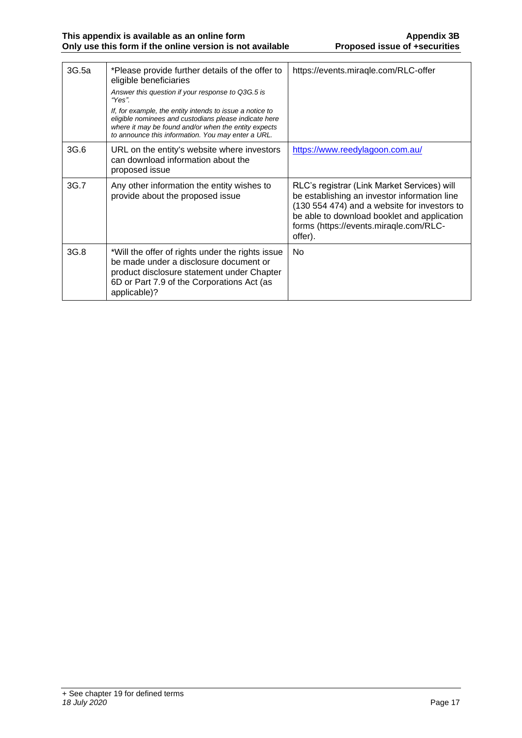| 3G.5a | *Please provide further details of the offer to<br>eligible beneficiaries<br>Answer this question if your response to Q3G.5 is<br>"Yes"<br>If, for example, the entity intends to issue a notice to<br>eligible nominees and custodians please indicate here<br>where it may be found and/or when the entity expects<br>to announce this information. You may enter a URL. | https://events.miragle.com/RLC-offer                                                                                                                                                                                                            |
|-------|----------------------------------------------------------------------------------------------------------------------------------------------------------------------------------------------------------------------------------------------------------------------------------------------------------------------------------------------------------------------------|-------------------------------------------------------------------------------------------------------------------------------------------------------------------------------------------------------------------------------------------------|
| 3G.6  | URL on the entity's website where investors<br>can download information about the<br>proposed issue                                                                                                                                                                                                                                                                        | https://www.reedylagoon.com.au/                                                                                                                                                                                                                 |
| 3G.7  | Any other information the entity wishes to<br>provide about the proposed issue                                                                                                                                                                                                                                                                                             | RLC's registrar (Link Market Services) will<br>be establishing an investor information line<br>(130 554 474) and a website for investors to<br>be able to download booklet and application<br>forms (https://events.miraqle.com/RLC-<br>offer). |
| 3G.8  | *Will the offer of rights under the rights issue<br>be made under a disclosure document or<br>product disclosure statement under Chapter<br>6D or Part 7.9 of the Corporations Act (as<br>applicable)?                                                                                                                                                                     | <b>No</b>                                                                                                                                                                                                                                       |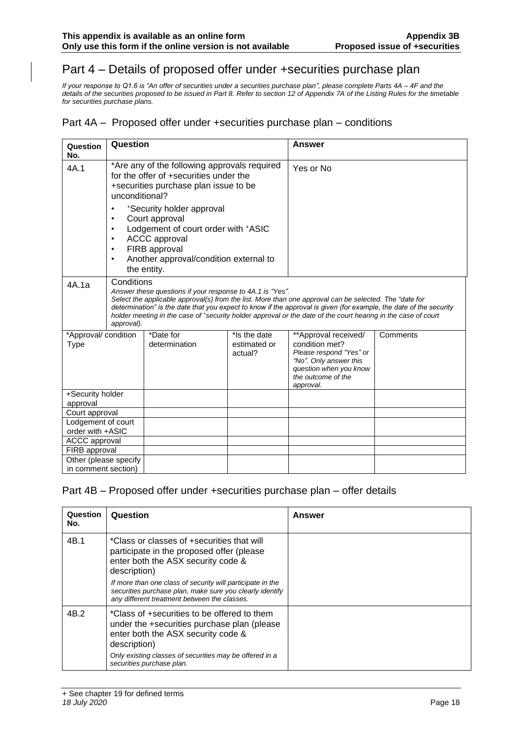# Part 4 – Details of proposed offer under +securities purchase plan

*If your response to Q1.6 is "An offer of securities under a securities purchase plan", please complete Parts 4A – 4F and the details of the securities proposed to be issued in Part 8. Refer to section 12 of Appendix 7A of the Listing Rules for the timetable for securities purchase plans.*

#### Part 4A – Proposed offer under +securities purchase plan – conditions

| Question<br>No.                                                                                              | Question                                                                                                                                                                                                                                                           |                                                                                                                                                                                                                                                                                                                                                                                                            |          | Answer    |  |
|--------------------------------------------------------------------------------------------------------------|--------------------------------------------------------------------------------------------------------------------------------------------------------------------------------------------------------------------------------------------------------------------|------------------------------------------------------------------------------------------------------------------------------------------------------------------------------------------------------------------------------------------------------------------------------------------------------------------------------------------------------------------------------------------------------------|----------|-----------|--|
| 4A.1                                                                                                         |                                                                                                                                                                                                                                                                    | *Are any of the following approvals required<br>for the offer of +securities under the<br>+securities purchase plan issue to be<br>unconditional?                                                                                                                                                                                                                                                          |          | Yes or No |  |
|                                                                                                              | *Security holder approval<br>$\bullet$<br>Court approval<br>$\bullet$<br>Lodgement of court order with +ASIC<br>$\bullet$<br><b>ACCC</b> approval<br>$\bullet$<br>FIRB approval<br>$\bullet$<br>Another approval/condition external to<br>$\bullet$<br>the entity. |                                                                                                                                                                                                                                                                                                                                                                                                            |          |           |  |
| 4A.1a                                                                                                        | Conditions<br>approval).                                                                                                                                                                                                                                           | Answer these questions if your response to 4A.1 is "Yes".<br>Select the applicable approval(s) from the list. More than one approval can be selected. The "date for<br>determination" is the date that you expect to know if the approval is given (for example, the date of the security<br>holder meeting in the case of *security holder approval or the date of the court hearing in the case of court |          |           |  |
| *Is the date<br>*Approval/ condition<br>*Date for<br>determination<br><b>Type</b><br>estimated or<br>actual? |                                                                                                                                                                                                                                                                    | **Approval received/<br>condition met?<br>Please respond "Yes" or<br>"No". Only answer this<br>question when you know<br>the outcome of the<br>approval.                                                                                                                                                                                                                                                   | Comments |           |  |
| +Security holder<br>approval                                                                                 |                                                                                                                                                                                                                                                                    |                                                                                                                                                                                                                                                                                                                                                                                                            |          |           |  |
| Court approval<br>Lodgement of court<br>order with +ASIC                                                     |                                                                                                                                                                                                                                                                    |                                                                                                                                                                                                                                                                                                                                                                                                            |          |           |  |
| <b>ACCC approval</b><br>FIRB approval                                                                        |                                                                                                                                                                                                                                                                    |                                                                                                                                                                                                                                                                                                                                                                                                            |          |           |  |
| Other (please specify<br>in comment section)                                                                 |                                                                                                                                                                                                                                                                    |                                                                                                                                                                                                                                                                                                                                                                                                            |          |           |  |

#### Part 4B – Proposed offer under +securities purchase plan – offer details

| Question<br>No. | Question                                                                                                                                                               | Answer |
|-----------------|------------------------------------------------------------------------------------------------------------------------------------------------------------------------|--------|
| 4B.1            | *Class or classes of +securities that will<br>participate in the proposed offer (please<br>enter both the ASX security code &<br>description)                          |        |
|                 | If more than one class of security will participate in the<br>securities purchase plan, make sure you clearly identify<br>any different treatment between the classes. |        |
| 4B.2            | *Class of +securities to be offered to them<br>under the +securities purchase plan (please<br>enter both the ASX security code &<br>description)                       |        |
|                 | Only existing classes of securities may be offered in a<br>securities purchase plan.                                                                                   |        |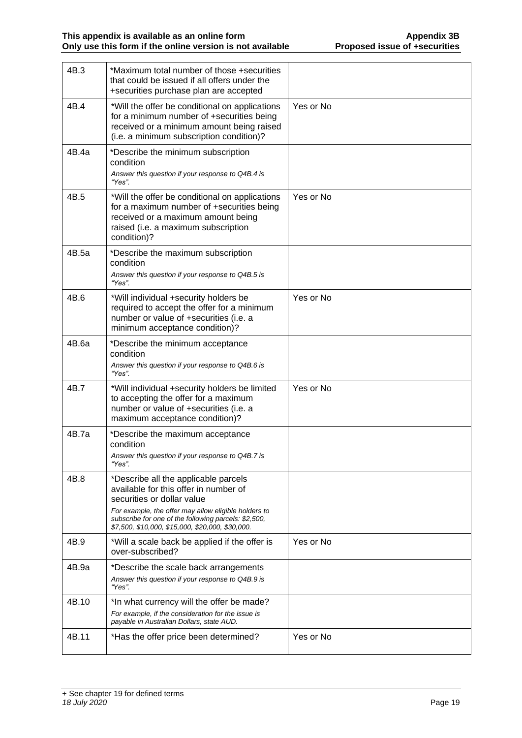| 4B.3  | *Maximum total number of those +securities<br>that could be issued if all offers under the<br>+securities purchase plan are accepted                                                                                                                                            |           |
|-------|---------------------------------------------------------------------------------------------------------------------------------------------------------------------------------------------------------------------------------------------------------------------------------|-----------|
| 4B.4  | *Will the offer be conditional on applications<br>for a minimum number of +securities being<br>received or a minimum amount being raised<br>(i.e. a minimum subscription condition)?                                                                                            | Yes or No |
| 4B.4a | *Describe the minimum subscription<br>condition<br>Answer this question if your response to Q4B.4 is<br>"Yes".                                                                                                                                                                  |           |
| 4B.5  | *Will the offer be conditional on applications<br>for a maximum number of +securities being<br>received or a maximum amount being<br>raised (i.e. a maximum subscription<br>condition)?                                                                                         | Yes or No |
| 4B.5a | *Describe the maximum subscription<br>condition<br>Answer this question if your response to Q4B.5 is<br>"Yes".                                                                                                                                                                  |           |
| 4B.6  | *Will individual +security holders be<br>required to accept the offer for a minimum<br>number or value of +securities (i.e. a<br>minimum acceptance condition)?                                                                                                                 | Yes or No |
| 4B.6a | *Describe the minimum acceptance<br>condition<br>Answer this question if your response to Q4B.6 is<br>"Yes".                                                                                                                                                                    |           |
| 4B.7  | *Will individual +security holders be limited<br>to accepting the offer for a maximum<br>number or value of +securities (i.e. a<br>maximum acceptance condition)?                                                                                                               | Yes or No |
| 4B.7a | *Describe the maximum acceptance<br>condition<br>Answer this question if your response to Q4B.7 is<br>"Yes".                                                                                                                                                                    |           |
| 4B.8  | *Describe all the applicable parcels<br>available for this offer in number of<br>securities or dollar value<br>For example, the offer may allow eligible holders to<br>subscribe for one of the following parcels: \$2,500,<br>\$7,500, \$10,000, \$15,000, \$20,000, \$30,000. |           |
| 4B.9  | *Will a scale back be applied if the offer is<br>over-subscribed?                                                                                                                                                                                                               | Yes or No |
| 4B.9a | *Describe the scale back arrangements<br>Answer this question if your response to Q4B.9 is<br>"Yes".                                                                                                                                                                            |           |
| 4B.10 | *In what currency will the offer be made?<br>For example, if the consideration for the issue is<br>payable in Australian Dollars, state AUD.                                                                                                                                    |           |
| 4B.11 | *Has the offer price been determined?                                                                                                                                                                                                                                           | Yes or No |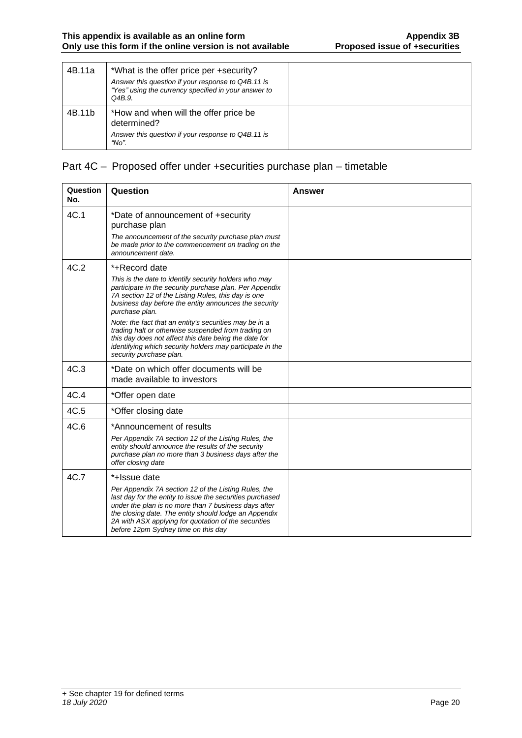| 4B.11a | *What is the offer price per +security?<br>Answer this question if your response to Q4B.11 is<br>"Yes" using the currency specified in your answer to<br>Q4B.9. |  |
|--------|-----------------------------------------------------------------------------------------------------------------------------------------------------------------|--|
| 4B.11b | *How and when will the offer price be<br>determined?<br>Answer this question if your response to Q4B.11 is<br>"No".                                             |  |

### Part 4C – Proposed offer under +securities purchase plan – timetable

| Question<br>No. | Question                                                                                                                                                                                                                                                                                                                          | Answer |
|-----------------|-----------------------------------------------------------------------------------------------------------------------------------------------------------------------------------------------------------------------------------------------------------------------------------------------------------------------------------|--------|
| 4C.1            | *Date of announcement of +security<br>purchase plan                                                                                                                                                                                                                                                                               |        |
|                 | The announcement of the security purchase plan must<br>be made prior to the commencement on trading on the<br>announcement date.                                                                                                                                                                                                  |        |
| 4C.2            | *+Record date                                                                                                                                                                                                                                                                                                                     |        |
|                 | This is the date to identify security holders who may<br>participate in the security purchase plan. Per Appendix<br>7A section 12 of the Listing Rules, this day is one<br>business day before the entity announces the security<br>purchase plan.                                                                                |        |
|                 | Note: the fact that an entity's securities may be in a<br>trading halt or otherwise suspended from trading on<br>this day does not affect this date being the date for<br>identifying which security holders may participate in the<br>security purchase plan.                                                                    |        |
| 4C.3            | *Date on which offer documents will be<br>made available to investors                                                                                                                                                                                                                                                             |        |
| 4C.4            | *Offer open date                                                                                                                                                                                                                                                                                                                  |        |
| 4C.5            | *Offer closing date                                                                                                                                                                                                                                                                                                               |        |
| 4C.6            | *Announcement of results                                                                                                                                                                                                                                                                                                          |        |
|                 | Per Appendix 7A section 12 of the Listing Rules, the<br>entity should announce the results of the security<br>purchase plan no more than 3 business days after the<br>offer closing date                                                                                                                                          |        |
| 4C.7            | *+Issue date                                                                                                                                                                                                                                                                                                                      |        |
|                 | Per Appendix 7A section 12 of the Listing Rules, the<br>last day for the entity to issue the securities purchased<br>under the plan is no more than 7 business days after<br>the closing date. The entity should lodge an Appendix<br>2A with ASX applying for quotation of the securities<br>before 12pm Sydney time on this day |        |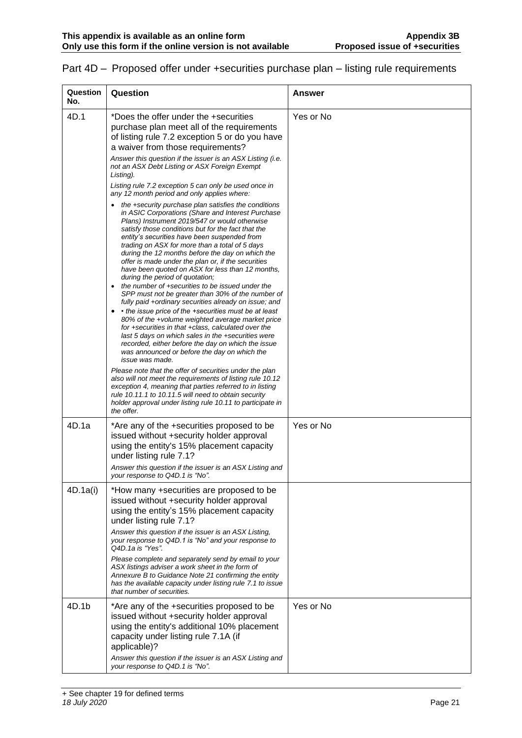| Question<br>No. | Question                                                                                                                                                                                                                                                                                                                                                                                                                                                                                                                                                                                                                                                                                                                                                                                                                                                                            | Answer    |
|-----------------|-------------------------------------------------------------------------------------------------------------------------------------------------------------------------------------------------------------------------------------------------------------------------------------------------------------------------------------------------------------------------------------------------------------------------------------------------------------------------------------------------------------------------------------------------------------------------------------------------------------------------------------------------------------------------------------------------------------------------------------------------------------------------------------------------------------------------------------------------------------------------------------|-----------|
| 4D.1            | *Does the offer under the +securities<br>purchase plan meet all of the requirements<br>of listing rule 7.2 exception 5 or do you have<br>a waiver from those requirements?                                                                                                                                                                                                                                                                                                                                                                                                                                                                                                                                                                                                                                                                                                          | Yes or No |
|                 | Answer this question if the issuer is an ASX Listing (i.e.<br>not an ASX Debt Listing or ASX Foreign Exempt<br>Listing).                                                                                                                                                                                                                                                                                                                                                                                                                                                                                                                                                                                                                                                                                                                                                            |           |
|                 | Listing rule 7.2 exception 5 can only be used once in<br>any 12 month period and only applies where:                                                                                                                                                                                                                                                                                                                                                                                                                                                                                                                                                                                                                                                                                                                                                                                |           |
|                 | the +security purchase plan satisfies the conditions<br>in ASIC Corporations (Share and Interest Purchase<br>Plans) Instrument 2019/547 or would otherwise<br>satisfy those conditions but for the fact that the<br>entity's securities have been suspended from<br>trading on ASX for more than a total of 5 days<br>during the 12 months before the day on which the<br>offer is made under the plan or, if the securities<br>have been quoted on ASX for less than 12 months,<br>during the period of quotation;<br>the number of +securities to be issued under the<br>$\bullet$<br>SPP must not be greater than 30% of the number of<br>fully paid +ordinary securities already on issue; and<br>• the issue price of the +securities must be at least<br>$\bullet$<br>80% of the +volume weighted average market price<br>for +securities in that +class, calculated over the |           |
|                 | last 5 days on which sales in the +securities were<br>recorded, either before the day on which the issue<br>was announced or before the day on which the<br>issue was made.                                                                                                                                                                                                                                                                                                                                                                                                                                                                                                                                                                                                                                                                                                         |           |
|                 | Please note that the offer of securities under the plan<br>also will not meet the requirements of listing rule 10.12<br>exception 4, meaning that parties referred to in listing<br>rule 10.11.1 to 10.11.5 will need to obtain security<br>holder approval under listing rule 10.11 to participate in<br>the offer.                                                                                                                                                                                                                                                                                                                                                                                                                                                                                                                                                                |           |
| 4D.1a           | *Are any of the +securities proposed to be<br>issued without +security holder approval<br>using the entity's 15% placement capacity<br>under listing rule 7.1?<br>Answer this question if the issuer is an ASX Listing and<br>your response to Q4D.1 is "No".                                                                                                                                                                                                                                                                                                                                                                                                                                                                                                                                                                                                                       | Yes or No |
| 4D.1a(i)        | *How many +securities are proposed to be<br>issued without +security holder approval<br>using the entity's 15% placement capacity<br>under listing rule 7.1?<br>Answer this question if the issuer is an ASX Listing,                                                                                                                                                                                                                                                                                                                                                                                                                                                                                                                                                                                                                                                               |           |
|                 | your response to Q4D.1 is "No" and your response to<br>Q4D.1a is "Yes".                                                                                                                                                                                                                                                                                                                                                                                                                                                                                                                                                                                                                                                                                                                                                                                                             |           |
|                 | Please complete and separately send by email to your<br>ASX listings adviser a work sheet in the form of<br>Annexure B to Guidance Note 21 confirming the entity<br>has the available capacity under listing rule 7.1 to issue<br>that number of securities.                                                                                                                                                                                                                                                                                                                                                                                                                                                                                                                                                                                                                        |           |
| 4D.1b           | *Are any of the +securities proposed to be<br>issued without +security holder approval<br>using the entity's additional 10% placement<br>capacity under listing rule 7.1A (if<br>applicable)?                                                                                                                                                                                                                                                                                                                                                                                                                                                                                                                                                                                                                                                                                       | Yes or No |
|                 | Answer this question if the issuer is an ASX Listing and<br>your response to Q4D.1 is "No".                                                                                                                                                                                                                                                                                                                                                                                                                                                                                                                                                                                                                                                                                                                                                                                         |           |

# Part 4D – Proposed offer under +securities purchase plan – listing rule requirements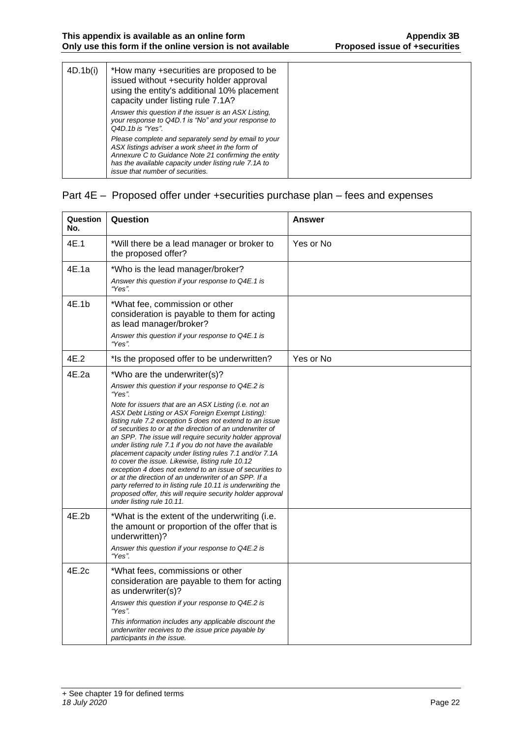| 4D.1b(i) | *How many +securities are proposed to be<br>issued without +security holder approval<br>using the entity's additional 10% placement<br>capacity under listing rule 7.1A?                                                                                      |  |
|----------|---------------------------------------------------------------------------------------------------------------------------------------------------------------------------------------------------------------------------------------------------------------|--|
|          | Answer this question if the issuer is an ASX Listing,<br>your response to Q4D.1 is "No" and your response to<br>Q4D.1b is "Yes".                                                                                                                              |  |
|          | Please complete and separately send by email to your<br>ASX listings adviser a work sheet in the form of<br>Annexure C to Guidance Note 21 confirming the entity<br>has the available capacity under listing rule 7.1A to<br>issue that number of securities. |  |

#### Part 4E – Proposed offer under +securities purchase plan – fees and expenses

| Question<br>No. | Question                                                                                                                                                                                                                                                                                                                                                                                                                                                                                                                                                                                                                                                                                                                                                                                                                                             | Answer    |
|-----------------|------------------------------------------------------------------------------------------------------------------------------------------------------------------------------------------------------------------------------------------------------------------------------------------------------------------------------------------------------------------------------------------------------------------------------------------------------------------------------------------------------------------------------------------------------------------------------------------------------------------------------------------------------------------------------------------------------------------------------------------------------------------------------------------------------------------------------------------------------|-----------|
| 4E.1            | *Will there be a lead manager or broker to<br>the proposed offer?                                                                                                                                                                                                                                                                                                                                                                                                                                                                                                                                                                                                                                                                                                                                                                                    | Yes or No |
| 4E.1a           | *Who is the lead manager/broker?<br>Answer this question if your response to Q4E.1 is<br>"Yes".                                                                                                                                                                                                                                                                                                                                                                                                                                                                                                                                                                                                                                                                                                                                                      |           |
| 4E.1b           | *What fee, commission or other<br>consideration is payable to them for acting<br>as lead manager/broker?<br>Answer this question if your response to Q4E.1 is<br>"Yes".                                                                                                                                                                                                                                                                                                                                                                                                                                                                                                                                                                                                                                                                              |           |
| 4E.2            | *Is the proposed offer to be underwritten?                                                                                                                                                                                                                                                                                                                                                                                                                                                                                                                                                                                                                                                                                                                                                                                                           | Yes or No |
| 4E.2a           | *Who are the underwriter(s)?<br>Answer this question if your response to Q4E.2 is<br>"Yes".<br>Note for issuers that are an ASX Listing (i.e. not an<br>ASX Debt Listing or ASX Foreign Exempt Listing):<br>listing rule 7.2 exception 5 does not extend to an issue<br>of securities to or at the direction of an underwriter of<br>an SPP. The issue will require security holder approval<br>under listing rule 7.1 if you do not have the available<br>placement capacity under listing rules 7.1 and/or 7.1A<br>to cover the issue. Likewise, listing rule 10.12<br>exception 4 does not extend to an issue of securities to<br>or at the direction of an underwriter of an SPP. If a<br>party referred to in listing rule 10.11 is underwriting the<br>proposed offer, this will require security holder approval<br>under listing rule 10.11. |           |
| 4E.2b           | *What is the extent of the underwriting (i.e.<br>the amount or proportion of the offer that is<br>underwritten)?<br>Answer this question if your response to Q4E.2 is<br>"Yes".                                                                                                                                                                                                                                                                                                                                                                                                                                                                                                                                                                                                                                                                      |           |
| 4E.2c           | *What fees, commissions or other<br>consideration are payable to them for acting<br>as underwriter(s)?<br>Answer this question if your response to Q4E.2 is<br>"Yes".<br>This information includes any applicable discount the<br>underwriter receives to the issue price payable by<br>participants in the issue.                                                                                                                                                                                                                                                                                                                                                                                                                                                                                                                                   |           |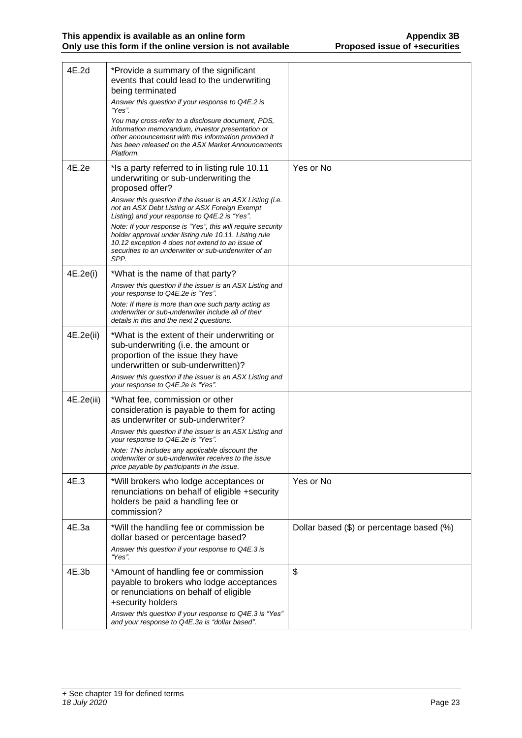| 4E.2d      | *Provide a summary of the significant<br>events that could lead to the underwriting<br>being terminated<br>Answer this question if your response to Q4E.2 is<br>"Yes".<br>You may cross-refer to a disclosure document, PDS,<br>information memorandum, investor presentation or<br>other announcement with this information provided it<br>has been released on the ASX Market Announcements<br>Platform. |                                           |
|------------|------------------------------------------------------------------------------------------------------------------------------------------------------------------------------------------------------------------------------------------------------------------------------------------------------------------------------------------------------------------------------------------------------------|-------------------------------------------|
| 4E.2e      | *Is a party referred to in listing rule 10.11<br>underwriting or sub-underwriting the<br>proposed offer?<br>Answer this question if the issuer is an ASX Listing (i.e.                                                                                                                                                                                                                                     | Yes or No                                 |
|            | not an ASX Debt Listing or ASX Foreign Exempt<br>Listing) and your response to Q4E.2 is "Yes".<br>Note: If your response is "Yes", this will require security<br>holder approval under listing rule 10.11. Listing rule<br>10.12 exception 4 does not extend to an issue of<br>securities to an underwriter or sub-underwriter of an<br>SPP.                                                               |                                           |
| 4E.2e(i)   | *What is the name of that party?                                                                                                                                                                                                                                                                                                                                                                           |                                           |
|            | Answer this question if the issuer is an ASX Listing and<br>your response to Q4E.2e is "Yes".                                                                                                                                                                                                                                                                                                              |                                           |
|            | Note: If there is more than one such party acting as<br>underwriter or sub-underwriter include all of their<br>details in this and the next 2 questions.                                                                                                                                                                                                                                                   |                                           |
| 4E.2e(ii)  | *What is the extent of their underwriting or<br>sub-underwriting (i.e. the amount or<br>proportion of the issue they have<br>underwritten or sub-underwritten)?                                                                                                                                                                                                                                            |                                           |
|            | Answer this question if the issuer is an ASX Listing and<br>your response to Q4E.2e is "Yes".                                                                                                                                                                                                                                                                                                              |                                           |
| 4E.2e(iii) | *What fee, commission or other<br>consideration is payable to them for acting<br>as underwriter or sub-underwriter?<br>Answer this question if the issuer is an ASX Listing and<br>your response to Q4E.2e is "Yes".<br>Note: This includes any applicable discount the                                                                                                                                    |                                           |
|            | underwriter or sub-underwriter receives to the issue<br>price payable by participants in the issue.                                                                                                                                                                                                                                                                                                        |                                           |
| 4E.3       | *Will brokers who lodge acceptances or<br>renunciations on behalf of eligible +security<br>holders be paid a handling fee or<br>commission?                                                                                                                                                                                                                                                                | Yes or No                                 |
| 4E.3a      | *Will the handling fee or commission be<br>dollar based or percentage based?<br>Answer this question if your response to Q4E.3 is<br>"Yes".                                                                                                                                                                                                                                                                | Dollar based (\$) or percentage based (%) |
| 4E.3b      | *Amount of handling fee or commission<br>payable to brokers who lodge acceptances<br>or renunciations on behalf of eligible<br>+security holders<br>Answer this question if your response to Q4E.3 is "Yes"<br>and your response to Q4E.3a is "dollar based".                                                                                                                                              | \$                                        |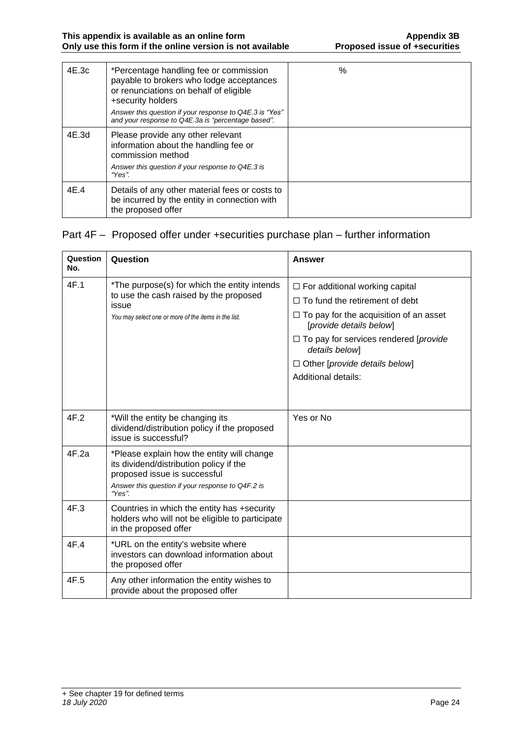| 4E.3c | *Percentage handling fee or commission<br>payable to brokers who lodge acceptances<br>or renunciations on behalf of eligible<br>+security holders<br>Answer this question if your response to Q4E.3 is "Yes"<br>and your response to Q4E.3a is "percentage based". | $\%$ |
|-------|--------------------------------------------------------------------------------------------------------------------------------------------------------------------------------------------------------------------------------------------------------------------|------|
| 4E.3d | Please provide any other relevant<br>information about the handling fee or<br>commission method<br>Answer this question if your response to Q4E.3 is<br>"Yes".                                                                                                     |      |
| 4E.4  | Details of any other material fees or costs to<br>be incurred by the entity in connection with<br>the proposed offer                                                                                                                                               |      |

#### Part 4F – Proposed offer under +securities purchase plan – further information

| Question<br>No. | Question                                                                                                                                                                            | Answer                                                                   |  |
|-----------------|-------------------------------------------------------------------------------------------------------------------------------------------------------------------------------------|--------------------------------------------------------------------------|--|
| 4F.1            | *The purpose(s) for which the entity intends<br>to use the cash raised by the proposed<br>issue                                                                                     | $\Box$ For additional working capital                                    |  |
|                 |                                                                                                                                                                                     | $\Box$ To fund the retirement of debt                                    |  |
|                 | You may select one or more of the items in the list.                                                                                                                                | $\Box$ To pay for the acquisition of an asset<br>[provide details below] |  |
|                 |                                                                                                                                                                                     | $\Box$ To pay for services rendered [ <i>provide</i><br>details below]   |  |
|                 |                                                                                                                                                                                     | $\Box$ Other [provide details below]                                     |  |
|                 |                                                                                                                                                                                     | <b>Additional details:</b>                                               |  |
|                 |                                                                                                                                                                                     |                                                                          |  |
| 4F.2            | *Will the entity be changing its<br>dividend/distribution policy if the proposed<br>issue is successful?                                                                            | Yes or No                                                                |  |
| 4F.2a           | *Please explain how the entity will change<br>its dividend/distribution policy if the<br>proposed issue is successful<br>Answer this question if your response to Q4F.2 is<br>"Yes" |                                                                          |  |
| 4F.3            | Countries in which the entity has +security<br>holders who will not be eligible to participate<br>in the proposed offer                                                             |                                                                          |  |
| 4F.4            | *URL on the entity's website where<br>investors can download information about<br>the proposed offer                                                                                |                                                                          |  |
| 4F.5            | Any other information the entity wishes to<br>provide about the proposed offer                                                                                                      |                                                                          |  |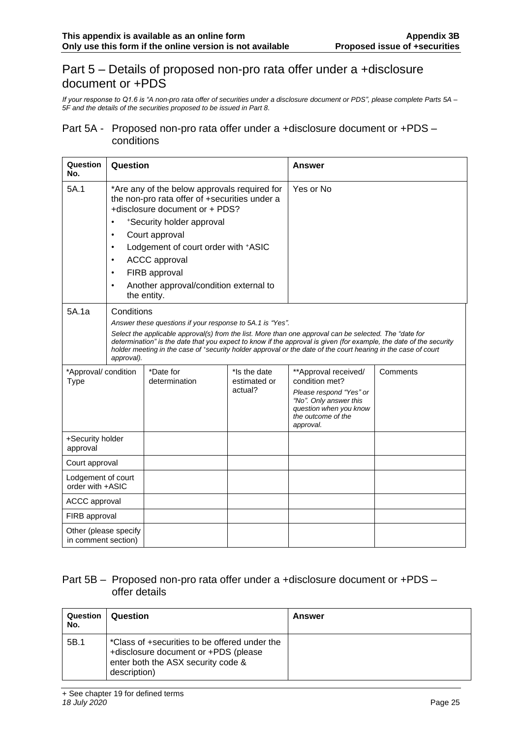# Part 5 – Details of proposed non-pro rata offer under a +disclosure document or +PDS

*If your response to Q1.6 is "A non-pro rata offer of securities under a disclosure document or PDS", please complete Parts 5A – 5F and the details of the securities proposed to be issued in Part 8.*

#### Part 5A - Proposed non-pro rata offer under a +disclosure document or +PDS – conditions

| Question<br>No.                              | Question                                                                   |                                                                                                                                                                                                                                                                                                                                                                                                                          |                                         | Answer                                                                                                                                                   |          |
|----------------------------------------------|----------------------------------------------------------------------------|--------------------------------------------------------------------------------------------------------------------------------------------------------------------------------------------------------------------------------------------------------------------------------------------------------------------------------------------------------------------------------------------------------------------------|-----------------------------------------|----------------------------------------------------------------------------------------------------------------------------------------------------------|----------|
| 5A.1                                         | $\bullet$<br>$\bullet$<br>$\bullet$<br>$\bullet$<br>$\bullet$<br>$\bullet$ | *Are any of the below approvals required for<br>the non-pro rata offer of +securities under a<br>+disclosure document or + PDS?<br>*Security holder approval<br>Court approval<br>Lodgement of court order with +ASIC<br><b>ACCC</b> approval<br>FIRB approval<br>Another approval/condition external to<br>the entity.                                                                                                  |                                         | Yes or No                                                                                                                                                |          |
| 5A.1a                                        | approval).                                                                 | Conditions<br>Answer these questions if your response to 5A.1 is "Yes".<br>Select the applicable approval(s) from the list. More than one approval can be selected. The "date for<br>determination" is the date that you expect to know if the approval is given (for example, the date of the security<br>holder meeting in the case of *security holder approval or the date of the court hearing in the case of court |                                         |                                                                                                                                                          |          |
| *Approval/ condition<br><b>Type</b>          |                                                                            | *Date for<br>determination                                                                                                                                                                                                                                                                                                                                                                                               | *Is the date<br>estimated or<br>actual? | **Approval received/<br>condition met?<br>Please respond "Yes" or<br>"No". Only answer this<br>question when you know<br>the outcome of the<br>approval. | Comments |
| +Security holder<br>approval                 |                                                                            |                                                                                                                                                                                                                                                                                                                                                                                                                          |                                         |                                                                                                                                                          |          |
| Court approval                               |                                                                            |                                                                                                                                                                                                                                                                                                                                                                                                                          |                                         |                                                                                                                                                          |          |
| Lodgement of court<br>order with +ASIC       |                                                                            |                                                                                                                                                                                                                                                                                                                                                                                                                          |                                         |                                                                                                                                                          |          |
| <b>ACCC</b> approval                         |                                                                            |                                                                                                                                                                                                                                                                                                                                                                                                                          |                                         |                                                                                                                                                          |          |
| FIRB approval                                |                                                                            |                                                                                                                                                                                                                                                                                                                                                                                                                          |                                         |                                                                                                                                                          |          |
| Other (please specify<br>in comment section) |                                                                            |                                                                                                                                                                                                                                                                                                                                                                                                                          |                                         |                                                                                                                                                          |          |

#### Part 5B – Proposed non-pro rata offer under a +disclosure document or +PDS – offer details

| Question<br>No. | Question                                                                                                                                    | Answer |
|-----------------|---------------------------------------------------------------------------------------------------------------------------------------------|--------|
| 5B.1            | *Class of +securities to be offered under the<br>+disclosure document or +PDS (please<br>enter both the ASX security code &<br>description) |        |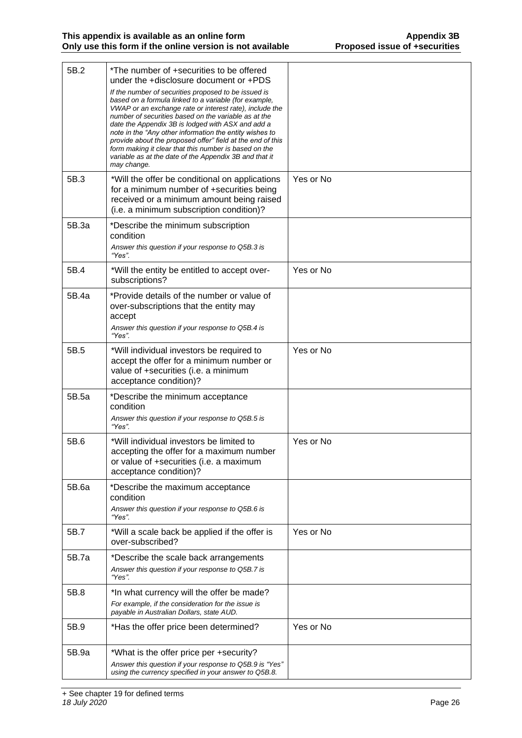| 5B.2  | *The number of +securities to be offered<br>under the +disclosure document or +PDS<br>If the number of securities proposed to be issued is<br>based on a formula linked to a variable (for example,<br>VWAP or an exchange rate or interest rate), include the<br>number of securities based on the variable as at the<br>date the Appendix 3B is lodged with ASX and add a<br>note in the "Any other information the entity wishes to<br>provide about the proposed offer" field at the end of this<br>form making it clear that this number is based on the<br>variable as at the date of the Appendix 3B and that it<br>may change. |           |
|-------|----------------------------------------------------------------------------------------------------------------------------------------------------------------------------------------------------------------------------------------------------------------------------------------------------------------------------------------------------------------------------------------------------------------------------------------------------------------------------------------------------------------------------------------------------------------------------------------------------------------------------------------|-----------|
| 5B.3  | *Will the offer be conditional on applications<br>for a minimum number of +securities being<br>received or a minimum amount being raised<br>(i.e. a minimum subscription condition)?                                                                                                                                                                                                                                                                                                                                                                                                                                                   | Yes or No |
| 5B.3a | *Describe the minimum subscription<br>condition<br>Answer this question if your response to Q5B.3 is<br>"Yes".                                                                                                                                                                                                                                                                                                                                                                                                                                                                                                                         |           |
| 5B.4  | *Will the entity be entitled to accept over-<br>subscriptions?                                                                                                                                                                                                                                                                                                                                                                                                                                                                                                                                                                         | Yes or No |
| 5B.4a | *Provide details of the number or value of<br>over-subscriptions that the entity may<br>accept<br>Answer this question if your response to Q5B.4 is<br>"Yes".                                                                                                                                                                                                                                                                                                                                                                                                                                                                          |           |
| 5B.5  | *Will individual investors be required to<br>accept the offer for a minimum number or<br>value of +securities (i.e. a minimum<br>acceptance condition)?                                                                                                                                                                                                                                                                                                                                                                                                                                                                                | Yes or No |
| 5B.5a | *Describe the minimum acceptance<br>condition<br>Answer this question if your response to Q5B.5 is<br>"Yes".                                                                                                                                                                                                                                                                                                                                                                                                                                                                                                                           |           |
| 5B.6  | *Will individual investors be limited to<br>accepting the offer for a maximum number<br>or value of +securities (i.e. a maximum<br>acceptance condition)?                                                                                                                                                                                                                                                                                                                                                                                                                                                                              | Yes or No |
| 5B.6a | *Describe the maximum acceptance<br>condition<br>Answer this question if your response to Q5B.6 is<br>"Yes".                                                                                                                                                                                                                                                                                                                                                                                                                                                                                                                           |           |
| 5B.7  | *Will a scale back be applied if the offer is<br>over-subscribed?                                                                                                                                                                                                                                                                                                                                                                                                                                                                                                                                                                      | Yes or No |
| 5B.7a | *Describe the scale back arrangements<br>Answer this question if your response to Q5B.7 is<br>"Yes".                                                                                                                                                                                                                                                                                                                                                                                                                                                                                                                                   |           |
| 5B.8  | *In what currency will the offer be made?<br>For example, if the consideration for the issue is<br>payable in Australian Dollars, state AUD.                                                                                                                                                                                                                                                                                                                                                                                                                                                                                           |           |
| 5B.9  | *Has the offer price been determined?                                                                                                                                                                                                                                                                                                                                                                                                                                                                                                                                                                                                  | Yes or No |
| 5B.9a | *What is the offer price per +security?<br>Answer this question if your response to Q5B.9 is "Yes"<br>using the currency specified in your answer to Q5B.8.                                                                                                                                                                                                                                                                                                                                                                                                                                                                            |           |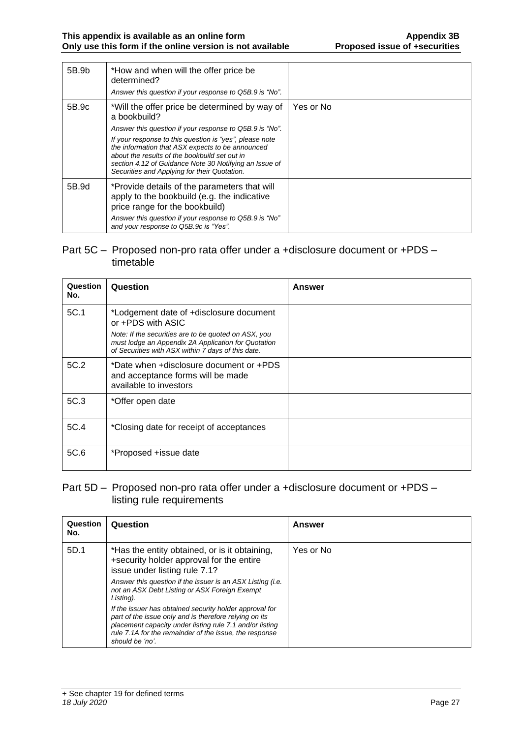| 5B.9b | *How and when will the offer price be<br>determined?<br>Answer this question if your response to Q5B.9 is "No".                                                                                                                                                        |           |
|-------|------------------------------------------------------------------------------------------------------------------------------------------------------------------------------------------------------------------------------------------------------------------------|-----------|
| 5B.9c | *Will the offer price be determined by way of<br>a bookbuild?                                                                                                                                                                                                          | Yes or No |
|       | Answer this question if your response to Q5B.9 is "No".                                                                                                                                                                                                                |           |
|       | If your response to this question is "yes", please note<br>the information that ASX expects to be announced<br>about the results of the bookbuild set out in<br>section 4.12 of Guidance Note 30 Notifying an Issue of<br>Securities and Applying for their Quotation. |           |
| 5B.9d | *Provide details of the parameters that will<br>apply to the bookbuild (e.g. the indicative<br>price range for the bookbuild)<br>Answer this question if your response to Q5B.9 is "No"                                                                                |           |
|       | and your response to Q5B.9c is "Yes".                                                                                                                                                                                                                                  |           |

#### Part 5C – Proposed non-pro rata offer under a +disclosure document or +PDS – timetable

| Question<br>No. | Question                                                                                                                                                          | Answer |
|-----------------|-------------------------------------------------------------------------------------------------------------------------------------------------------------------|--------|
| 5C.1            | *Lodgement date of +disclosure document<br>or +PDS with ASIC                                                                                                      |        |
|                 | Note: If the securities are to be quoted on ASX, you<br>must lodge an Appendix 2A Application for Quotation<br>of Securities with ASX within 7 days of this date. |        |
| 5C.2            | *Date when + disclosure document or +PDS<br>and acceptance forms will be made<br>available to investors                                                           |        |
| 5C.3            | *Offer open date                                                                                                                                                  |        |
| 5C.4            | *Closing date for receipt of acceptances                                                                                                                          |        |
| 5C.6            | *Proposed +issue date                                                                                                                                             |        |

### Part 5D – Proposed non-pro rata offer under a +disclosure document or +PDS – listing rule requirements

| Question<br>No. | Question                                                                                                                                                                                                                                                   | Answer    |
|-----------------|------------------------------------------------------------------------------------------------------------------------------------------------------------------------------------------------------------------------------------------------------------|-----------|
| 5D.1            | *Has the entity obtained, or is it obtaining,<br>+security holder approval for the entire<br>issue under listing rule 7.1?                                                                                                                                 | Yes or No |
|                 | Answer this question if the issuer is an ASX Listing (i.e.<br>not an ASX Debt Listing or ASX Foreign Exempt<br>Listing).                                                                                                                                   |           |
|                 | If the issuer has obtained security holder approval for<br>part of the issue only and is therefore relying on its<br>placement capacity under listing rule 7.1 and/or listing<br>rule 7.1A for the remainder of the issue, the response<br>should be 'no'. |           |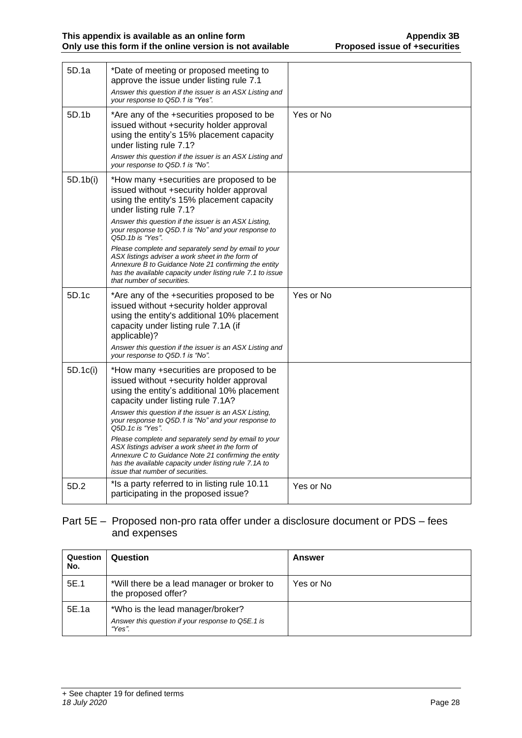| 5D.1a    | *Date of meeting or proposed meeting to<br>approve the issue under listing rule 7.1<br>Answer this question if the issuer is an ASX Listing and<br>your response to Q5D.1 is "Yes".                                                                                                                                                                                                                                                                                                                                                                                            |           |
|----------|--------------------------------------------------------------------------------------------------------------------------------------------------------------------------------------------------------------------------------------------------------------------------------------------------------------------------------------------------------------------------------------------------------------------------------------------------------------------------------------------------------------------------------------------------------------------------------|-----------|
| 5D.1b    | *Are any of the +securities proposed to be<br>issued without +security holder approval<br>using the entity's 15% placement capacity<br>under listing rule 7.1?<br>Answer this question if the issuer is an ASX Listing and<br>your response to Q5D.1 is "No".                                                                                                                                                                                                                                                                                                                  | Yes or No |
| 5D.1b(i) | *How many +securities are proposed to be<br>issued without +security holder approval<br>using the entity's 15% placement capacity<br>under listing rule 7.1?<br>Answer this question if the issuer is an ASX Listing,<br>your response to Q5D.1 is "No" and your response to<br>Q5D.1b is "Yes".<br>Please complete and separately send by email to your<br>ASX listings adviser a work sheet in the form of<br>Annexure B to Guidance Note 21 confirming the entity<br>has the available capacity under listing rule 7.1 to issue<br>that number of securities.               |           |
| 5D.1c    | *Are any of the +securities proposed to be<br>issued without +security holder approval<br>using the entity's additional 10% placement<br>capacity under listing rule 7.1A (if<br>applicable)?<br>Answer this question if the issuer is an ASX Listing and<br>your response to Q5D.1 is "No".                                                                                                                                                                                                                                                                                   | Yes or No |
| 5D.1c(i) | *How many +securities are proposed to be<br>issued without +security holder approval<br>using the entity's additional 10% placement<br>capacity under listing rule 7.1A?<br>Answer this question if the issuer is an ASX Listing,<br>your response to Q5D.1 is "No" and your response to<br>Q5D, 1c is "Yes".<br>Please complete and separately send by email to your<br>ASX listings adviser a work sheet in the form of<br>Annexure C to Guidance Note 21 confirming the entity<br>has the available capacity under listing rule 7.1A to<br>issue that number of securities. |           |
| 5D.2     | *Is a party referred to in listing rule 10.11<br>participating in the proposed issue?                                                                                                                                                                                                                                                                                                                                                                                                                                                                                          | Yes or No |

## Part 5E – Proposed non-pro rata offer under a disclosure document or PDS – fees and expenses

| Question<br>No. | Question                                                                                        | Answer    |
|-----------------|-------------------------------------------------------------------------------------------------|-----------|
| 5E.1            | *Will there be a lead manager or broker to<br>the proposed offer?                               | Yes or No |
| 5E.1a           | *Who is the lead manager/broker?<br>Answer this question if your response to Q5E.1 is<br>"Yes". |           |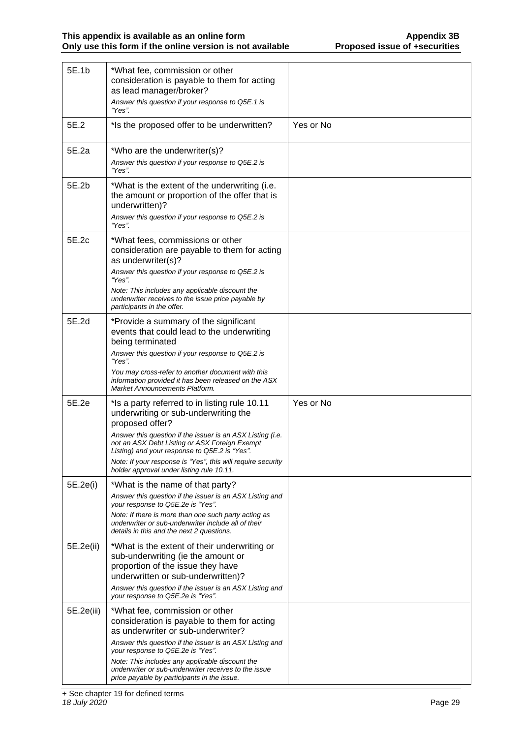| 5E.1b      | *What fee, commission or other<br>consideration is payable to them for acting<br>as lead manager/broker?<br>Answer this question if your response to Q5E.1 is<br>"Yes".                                                                                                                                                                                                              |           |
|------------|--------------------------------------------------------------------------------------------------------------------------------------------------------------------------------------------------------------------------------------------------------------------------------------------------------------------------------------------------------------------------------------|-----------|
| 5E.2       | *Is the proposed offer to be underwritten?                                                                                                                                                                                                                                                                                                                                           | Yes or No |
| 5E.2a      | *Who are the underwriter(s)?<br>Answer this question if your response to Q5E.2 is<br>"Yes".                                                                                                                                                                                                                                                                                          |           |
| 5E.2b      | *What is the extent of the underwriting (i.e.<br>the amount or proportion of the offer that is<br>underwritten)?<br>Answer this question if your response to Q5E.2 is<br>"Yes".                                                                                                                                                                                                      |           |
| 5E.2c      | *What fees, commissions or other<br>consideration are payable to them for acting<br>as underwriter(s)?<br>Answer this question if your response to Q5E.2 is<br>"Yes".<br>Note: This includes any applicable discount the<br>underwriter receives to the issue price payable by<br>participants in the offer.                                                                         |           |
| 5E.2d      | *Provide a summary of the significant<br>events that could lead to the underwriting<br>being terminated<br>Answer this question if your response to Q5E.2 is<br>"Yes".<br>You may cross-refer to another document with this<br>information provided it has been released on the ASX<br><b>Market Announcements Platform.</b>                                                         |           |
| 5E.2e      | *Is a party referred to in listing rule 10.11<br>underwriting or sub-underwriting the<br>proposed offer?<br>Answer this question if the issuer is an ASX Listing (i.e.<br>not an ASX Debt Listing or ASX Foreign Exempt<br>Listing) and your response to Q5E.2 is "Yes".<br>Note: If your response is "Yes", this will require security<br>holder approval under listing rule 10.11. | Yes or No |
| 5E.2e(i)   | *What is the name of that party?<br>Answer this question if the issuer is an ASX Listing and<br>your response to Q5E.2e is "Yes".<br>Note: If there is more than one such party acting as<br>underwriter or sub-underwriter include all of their<br>details in this and the next 2 questions.                                                                                        |           |
| 5E.2e(ii)  | *What is the extent of their underwriting or<br>sub-underwriting (ie the amount or<br>proportion of the issue they have<br>underwritten or sub-underwritten)?<br>Answer this question if the issuer is an ASX Listing and<br>your response to Q5E.2e is "Yes".                                                                                                                       |           |
| 5E.2e(iii) | *What fee, commission or other<br>consideration is payable to them for acting<br>as underwriter or sub-underwriter?<br>Answer this question if the issuer is an ASX Listing and<br>your response to Q5E.2e is "Yes".<br>Note: This includes any applicable discount the<br>underwriter or sub-underwriter receives to the issue<br>price payable by participants in the issue.       |           |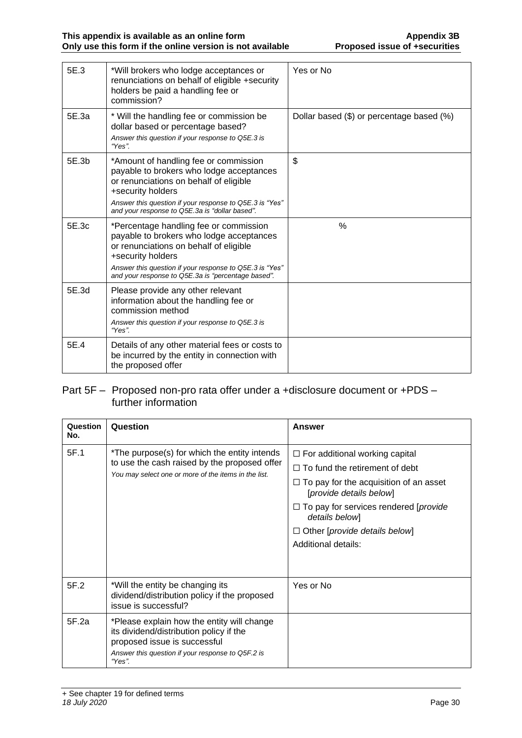| 5E.3  | *Will brokers who lodge acceptances or<br>renunciations on behalf of eligible +security<br>holders be paid a handling fee or<br>commission?                                                                                                                        | Yes or No                                 |
|-------|--------------------------------------------------------------------------------------------------------------------------------------------------------------------------------------------------------------------------------------------------------------------|-------------------------------------------|
| 5E.3a | * Will the handling fee or commission be<br>dollar based or percentage based?<br>Answer this question if your response to Q5E.3 is<br>"Yes".                                                                                                                       | Dollar based (\$) or percentage based (%) |
| 5E.3b | *Amount of handling fee or commission<br>payable to brokers who lodge acceptances<br>or renunciations on behalf of eligible<br>+security holders<br>Answer this question if your response to Q5E.3 is "Yes"<br>and your response to Q5E.3a is "dollar based".      | \$                                        |
| 5E.3c | *Percentage handling fee or commission<br>payable to brokers who lodge acceptances<br>or renunciations on behalf of eligible<br>+security holders<br>Answer this question if your response to Q5E.3 is "Yes"<br>and your response to Q5E.3a is "percentage based". | $\%$                                      |
| 5E.3d | Please provide any other relevant<br>information about the handling fee or<br>commission method<br>Answer this question if your response to Q5E.3 is<br>"Yes".                                                                                                     |                                           |
| 5E.4  | Details of any other material fees or costs to<br>be incurred by the entity in connection with<br>the proposed offer                                                                                                                                               |                                           |

### Part 5F – Proposed non-pro rata offer under a +disclosure document or +PDS – further information

| Question<br>No. | Question                                                                                                                                                                             | Answer                                                                                                                                                                                                                                                                                              |
|-----------------|--------------------------------------------------------------------------------------------------------------------------------------------------------------------------------------|-----------------------------------------------------------------------------------------------------------------------------------------------------------------------------------------------------------------------------------------------------------------------------------------------------|
| 5F.1            | *The purpose(s) for which the entity intends<br>to use the cash raised by the proposed offer<br>You may select one or more of the items in the list.                                 | $\Box$ For additional working capital<br>$\Box$ To fund the retirement of debt<br>$\Box$ To pay for the acquisition of an asset<br>[provide details below]<br>$\Box$ To pay for services rendered [ <i>provide</i><br>details below]<br>$\Box$ Other [provide details below]<br>Additional details: |
| 5F.2            | *Will the entity be changing its<br>dividend/distribution policy if the proposed<br>issue is successful?                                                                             | Yes or No                                                                                                                                                                                                                                                                                           |
| 5F.2a           | *Please explain how the entity will change<br>its dividend/distribution policy if the<br>proposed issue is successful<br>Answer this question if your response to Q5F.2 is<br>"Yes". |                                                                                                                                                                                                                                                                                                     |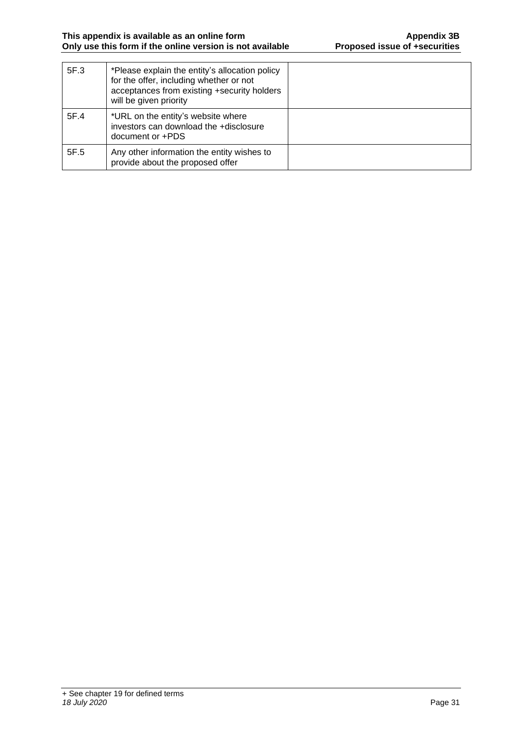| 5F.3 | *Please explain the entity's allocation policy<br>for the offer, including whether or not<br>acceptances from existing +security holders<br>will be given priority |  |
|------|--------------------------------------------------------------------------------------------------------------------------------------------------------------------|--|
| 5F.4 | *URL on the entity's website where<br>investors can download the +disclosure<br>document or +PDS                                                                   |  |
| 5F.5 | Any other information the entity wishes to<br>provide about the proposed offer                                                                                     |  |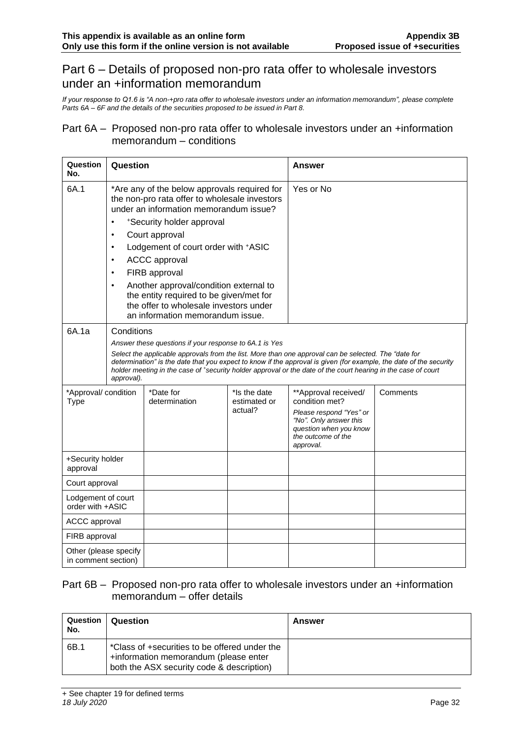# Part 6 – Details of proposed non-pro rata offer to wholesale investors under an +information memorandum

*If your response to Q1.6 is "A non-+pro rata offer to wholesale investors under an information memorandum", please complete Parts 6A – 6F and the details of the securities proposed to be issued in Part 8.*

#### Part 6A – Proposed non-pro rata offer to wholesale investors under an +information memorandum – conditions

| Question<br>No.                              | Question                                                                   |                                                                                                                                                                                                                                                                                                                                                                                                                                           | <b>Answer</b>                           |                                                                                                                                                                                                                                                                                                                                             |          |
|----------------------------------------------|----------------------------------------------------------------------------|-------------------------------------------------------------------------------------------------------------------------------------------------------------------------------------------------------------------------------------------------------------------------------------------------------------------------------------------------------------------------------------------------------------------------------------------|-----------------------------------------|---------------------------------------------------------------------------------------------------------------------------------------------------------------------------------------------------------------------------------------------------------------------------------------------------------------------------------------------|----------|
| 6A.1                                         | $\bullet$<br>$\bullet$<br>$\bullet$<br>$\bullet$<br>$\bullet$<br>$\bullet$ | *Are any of the below approvals required for<br>the non-pro rata offer to wholesale investors<br>under an information memorandum issue?<br>*Security holder approval<br>Court approval<br>Lodgement of court order with +ASIC<br><b>ACCC</b> approval<br>FIRB approval<br>Another approval/condition external to<br>the entity required to be given/met for<br>the offer to wholesale investors under<br>an information memorandum issue. |                                         | Yes or No                                                                                                                                                                                                                                                                                                                                   |          |
| 6A.1a                                        | Conditions<br>approval).                                                   | Answer these questions if your response to 6A.1 is Yes                                                                                                                                                                                                                                                                                                                                                                                    |                                         | Select the applicable approvals from the list. More than one approval can be selected. The "date for<br>determination" is the date that you expect to know if the approval is given (for example, the date of the security<br>holder meeting in the case of *security holder approval or the date of the court hearing in the case of court |          |
| *Approval/ condition<br><b>Type</b>          |                                                                            | *Date for<br>determination                                                                                                                                                                                                                                                                                                                                                                                                                | *Is the date<br>estimated or<br>actual? | **Approval received/<br>condition met?<br>Please respond "Yes" or<br>"No". Only answer this<br>question when you know<br>the outcome of the<br>approval.                                                                                                                                                                                    | Comments |
| +Security holder<br>approval                 |                                                                            |                                                                                                                                                                                                                                                                                                                                                                                                                                           |                                         |                                                                                                                                                                                                                                                                                                                                             |          |
| Court approval                               |                                                                            |                                                                                                                                                                                                                                                                                                                                                                                                                                           |                                         |                                                                                                                                                                                                                                                                                                                                             |          |
| Lodgement of court<br>order with +ASIC       |                                                                            |                                                                                                                                                                                                                                                                                                                                                                                                                                           |                                         |                                                                                                                                                                                                                                                                                                                                             |          |
| <b>ACCC</b> approval                         |                                                                            |                                                                                                                                                                                                                                                                                                                                                                                                                                           |                                         |                                                                                                                                                                                                                                                                                                                                             |          |
| FIRB approval                                |                                                                            |                                                                                                                                                                                                                                                                                                                                                                                                                                           |                                         |                                                                                                                                                                                                                                                                                                                                             |          |
| Other (please specify<br>in comment section) |                                                                            |                                                                                                                                                                                                                                                                                                                                                                                                                                           |                                         |                                                                                                                                                                                                                                                                                                                                             |          |

#### Part 6B – Proposed non-pro rata offer to wholesale investors under an +information memorandum – offer details

| Question<br>No. | Question                                                                                                                            | <b>Answer</b> |
|-----------------|-------------------------------------------------------------------------------------------------------------------------------------|---------------|
| 6B.1            | *Class of +securities to be offered under the<br>+information memorandum (please enter<br>both the ASX security code & description) |               |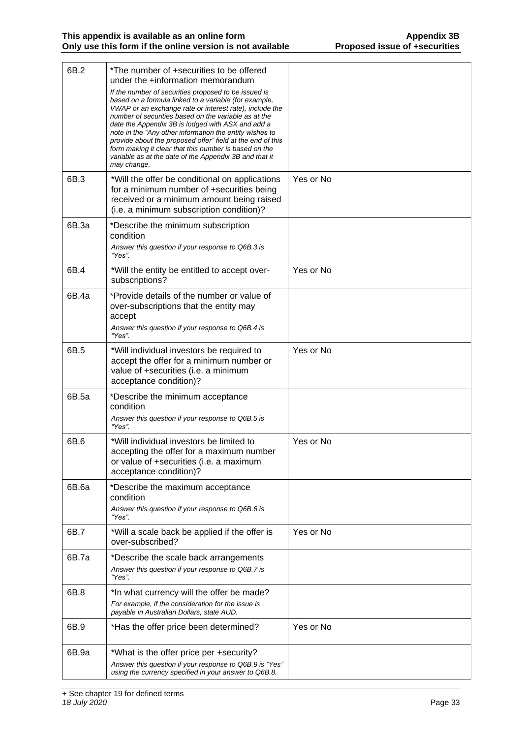| 6B.2  | *The number of +securities to be offered<br>under the +information memorandum<br>If the number of securities proposed to be issued is<br>based on a formula linked to a variable (for example,<br>VWAP or an exchange rate or interest rate), include the<br>number of securities based on the variable as at the<br>date the Appendix 3B is lodged with ASX and add a<br>note in the "Any other information the entity wishes to<br>provide about the proposed offer" field at the end of this<br>form making it clear that this number is based on the<br>variable as at the date of the Appendix 3B and that it<br>may change. |           |
|-------|-----------------------------------------------------------------------------------------------------------------------------------------------------------------------------------------------------------------------------------------------------------------------------------------------------------------------------------------------------------------------------------------------------------------------------------------------------------------------------------------------------------------------------------------------------------------------------------------------------------------------------------|-----------|
| 6B.3  | *Will the offer be conditional on applications<br>for a minimum number of +securities being<br>received or a minimum amount being raised<br>(i.e. a minimum subscription condition)?                                                                                                                                                                                                                                                                                                                                                                                                                                              | Yes or No |
| 6B.3a | *Describe the minimum subscription<br>condition<br>Answer this question if your response to Q6B.3 is<br>"Yes".                                                                                                                                                                                                                                                                                                                                                                                                                                                                                                                    |           |
| 6B.4  | *Will the entity be entitled to accept over-<br>subscriptions?                                                                                                                                                                                                                                                                                                                                                                                                                                                                                                                                                                    | Yes or No |
| 6B.4a | *Provide details of the number or value of<br>over-subscriptions that the entity may<br>accept<br>Answer this question if your response to Q6B.4 is<br>"Yes".                                                                                                                                                                                                                                                                                                                                                                                                                                                                     |           |
| 6B.5  | *Will individual investors be required to<br>accept the offer for a minimum number or<br>value of +securities (i.e. a minimum<br>acceptance condition)?                                                                                                                                                                                                                                                                                                                                                                                                                                                                           | Yes or No |
| 6B.5a | *Describe the minimum acceptance<br>condition<br>Answer this question if your response to Q6B.5 is<br>"Yes".                                                                                                                                                                                                                                                                                                                                                                                                                                                                                                                      |           |
| 6B.6  | *Will individual investors be limited to<br>accepting the offer for a maximum number<br>or value of +securities (i.e. a maximum<br>acceptance condition)?                                                                                                                                                                                                                                                                                                                                                                                                                                                                         | Yes or No |
| 6B.6a | *Describe the maximum acceptance<br>condition<br>Answer this question if your response to Q6B.6 is<br>"Yes".                                                                                                                                                                                                                                                                                                                                                                                                                                                                                                                      |           |
| 6B.7  | *Will a scale back be applied if the offer is<br>over-subscribed?                                                                                                                                                                                                                                                                                                                                                                                                                                                                                                                                                                 | Yes or No |
| 6B.7a | *Describe the scale back arrangements<br>Answer this question if your response to Q6B.7 is<br>"Yes".                                                                                                                                                                                                                                                                                                                                                                                                                                                                                                                              |           |
| 6B.8  | *In what currency will the offer be made?<br>For example, if the consideration for the issue is<br>payable in Australian Dollars, state AUD.                                                                                                                                                                                                                                                                                                                                                                                                                                                                                      |           |
| 6B.9  | *Has the offer price been determined?                                                                                                                                                                                                                                                                                                                                                                                                                                                                                                                                                                                             | Yes or No |
| 6B.9a | *What is the offer price per +security?<br>Answer this question if your response to Q6B.9 is "Yes"<br>using the currency specified in your answer to Q6B.8.                                                                                                                                                                                                                                                                                                                                                                                                                                                                       |           |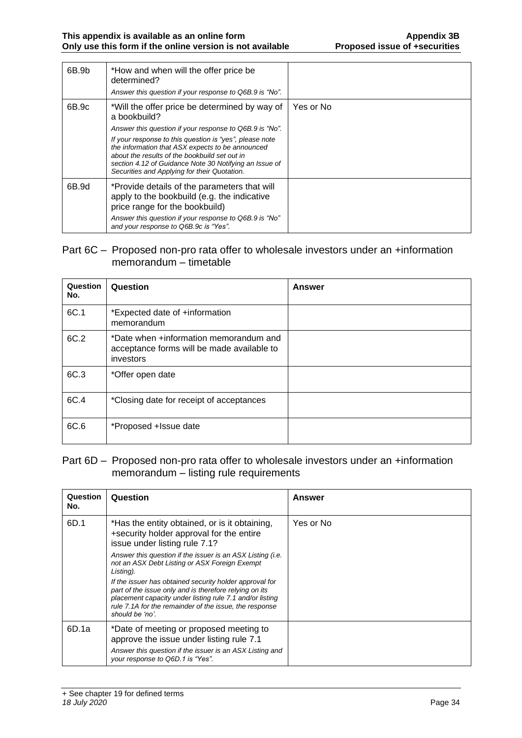| 6B.9b | *How and when will the offer price be<br>determined?<br>Answer this question if your response to Q6B.9 is "No".                                                                                                                                                        |           |
|-------|------------------------------------------------------------------------------------------------------------------------------------------------------------------------------------------------------------------------------------------------------------------------|-----------|
| 6B.9c | *Will the offer price be determined by way of<br>a bookbuild?                                                                                                                                                                                                          | Yes or No |
|       | Answer this question if your response to Q6B.9 is "No".                                                                                                                                                                                                                |           |
|       | If your response to this question is "yes", please note<br>the information that ASX expects to be announced<br>about the results of the bookbuild set out in<br>section 4.12 of Guidance Note 30 Notifying an Issue of<br>Securities and Applying for their Quotation. |           |
| 6B.9d | *Provide details of the parameters that will<br>apply to the bookbuild (e.g. the indicative<br>price range for the bookbuild)                                                                                                                                          |           |
|       | Answer this question if your response to Q6B.9 is "No"<br>and your response to Q6B.9c is "Yes".                                                                                                                                                                        |           |

#### Part 6C – Proposed non-pro rata offer to wholesale investors under an +information memorandum – timetable

| Question<br>No. | Question                                                                                          | Answer |
|-----------------|---------------------------------------------------------------------------------------------------|--------|
| 6C.1            | *Expected date of +information<br>memorandum                                                      |        |
| 6C.2            | *Date when +information memorandum and<br>acceptance forms will be made available to<br>investors |        |
| 6C.3            | *Offer open date                                                                                  |        |
| 6C.4            | *Closing date for receipt of acceptances                                                          |        |
| 6C.6            | *Proposed +Issue date                                                                             |        |

#### Part 6D – Proposed non-pro rata offer to wholesale investors under an +information memorandum – listing rule requirements

| Question<br>No. | Question                                                                                                                                                                                                                                                   | Answer    |
|-----------------|------------------------------------------------------------------------------------------------------------------------------------------------------------------------------------------------------------------------------------------------------------|-----------|
| 6D.1            | *Has the entity obtained, or is it obtaining,<br>+security holder approval for the entire<br>issue under listing rule 7.1?                                                                                                                                 | Yes or No |
|                 | Answer this question if the issuer is an ASX Listing (i.e.<br>not an ASX Debt Listing or ASX Foreign Exempt<br>Listing).                                                                                                                                   |           |
|                 | If the issuer has obtained security holder approval for<br>part of the issue only and is therefore relying on its<br>placement capacity under listing rule 7.1 and/or listing<br>rule 7.1A for the remainder of the issue, the response<br>should be 'no'. |           |
| 6D.1a           | *Date of meeting or proposed meeting to<br>approve the issue under listing rule 7.1<br>Answer this question if the issuer is an ASX Listing and<br>your response to Q6D 1 is "Yes".                                                                        |           |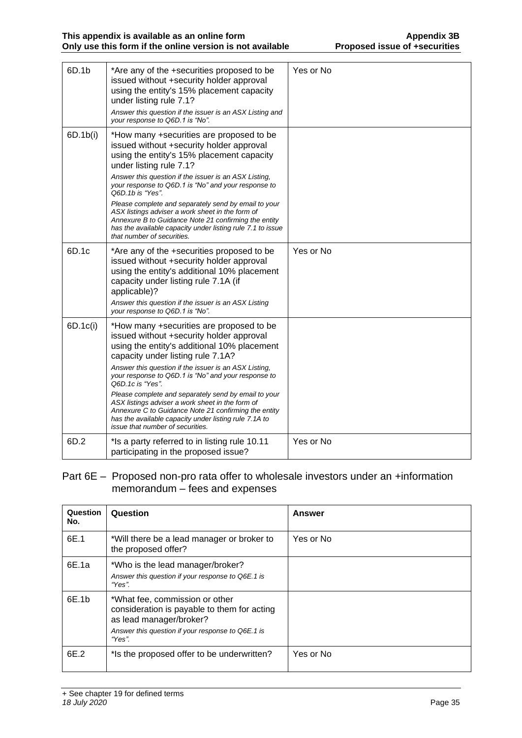| 6D.1b    | *Are any of the +securities proposed to be<br>issued without +security holder approval<br>using the entity's 15% placement capacity<br>under listing rule 7.1?<br>Answer this question if the issuer is an ASX Listing and<br>your response to Q6D.1 is "No".                                                                                                                                                                                                                                                                                                                 | Yes or No |
|----------|-------------------------------------------------------------------------------------------------------------------------------------------------------------------------------------------------------------------------------------------------------------------------------------------------------------------------------------------------------------------------------------------------------------------------------------------------------------------------------------------------------------------------------------------------------------------------------|-----------|
| 6D.1b(i) | *How many +securities are proposed to be<br>issued without +security holder approval<br>using the entity's 15% placement capacity<br>under listing rule 7.1?<br>Answer this question if the issuer is an ASX Listing,<br>your response to Q6D.1 is "No" and your response to<br>Q6D.1b is "Yes".<br>Please complete and separately send by email to your<br>ASX listings adviser a work sheet in the form of<br>Annexure B to Guidance Note 21 confirming the entity<br>has the available capacity under listing rule 7.1 to issue<br>that number of securities.              |           |
| 6D.1c    | *Are any of the +securities proposed to be<br>issued without +security holder approval<br>using the entity's additional 10% placement<br>capacity under listing rule 7.1A (if<br>applicable)?<br>Answer this question if the issuer is an ASX Listing<br>your response to Q6D.1 is "No".                                                                                                                                                                                                                                                                                      | Yes or No |
| 6D.1c(i) | *How many +securities are proposed to be<br>issued without +security holder approval<br>using the entity's additional 10% placement<br>capacity under listing rule 7.1A?<br>Answer this question if the issuer is an ASX Listing,<br>your response to Q6D.1 is "No" and your response to<br>Q6D.1c is "Yes".<br>Please complete and separately send by email to your<br>ASX listings adviser a work sheet in the form of<br>Annexure C to Guidance Note 21 confirming the entity<br>has the available capacity under listing rule 7.1A to<br>issue that number of securities. |           |
| 6D.2     | *Is a party referred to in listing rule 10.11<br>participating in the proposed issue?                                                                                                                                                                                                                                                                                                                                                                                                                                                                                         | Yes or No |

#### Part 6E – Proposed non-pro rata offer to wholesale investors under an +information memorandum – fees and expenses

| Question<br>No. | Question                                                                                                                                                                | <b>Answer</b> |
|-----------------|-------------------------------------------------------------------------------------------------------------------------------------------------------------------------|---------------|
| 6E.1            | *Will there be a lead manager or broker to<br>the proposed offer?                                                                                                       | Yes or No     |
| 6E.1a           | *Who is the lead manager/broker?<br>Answer this question if your response to Q6E.1 is<br>"Yes".                                                                         |               |
| 6E.1b           | *What fee, commission or other<br>consideration is payable to them for acting<br>as lead manager/broker?<br>Answer this question if your response to Q6E.1 is<br>"Yes". |               |
| 6E.2            | *Is the proposed offer to be underwritten?                                                                                                                              | Yes or No     |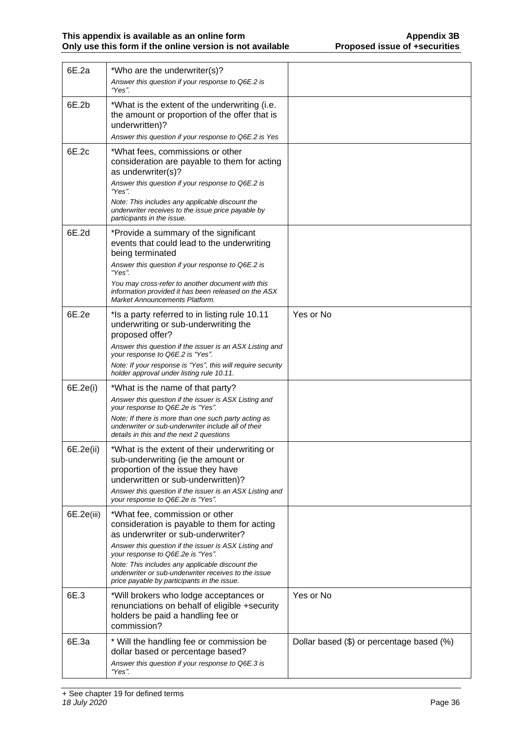| 6E.2a      | *Who are the underwriter(s)?<br>Answer this question if your response to Q6E.2 is                                                                                                                                                                                                                                                                                           |                                           |
|------------|-----------------------------------------------------------------------------------------------------------------------------------------------------------------------------------------------------------------------------------------------------------------------------------------------------------------------------------------------------------------------------|-------------------------------------------|
| 6E.2b      | "Yes".<br>*What is the extent of the underwriting (i.e.<br>the amount or proportion of the offer that is<br>underwritten)?<br>Answer this question if your response to Q6E.2 is Yes                                                                                                                                                                                         |                                           |
| 6E.2c      | *What fees, commissions or other<br>consideration are payable to them for acting<br>as underwriter(s)?<br>Answer this question if your response to Q6E.2 is<br>"Yes".<br>Note: This includes any applicable discount the<br>underwriter receives to the issue price payable by<br>participants in the issue.                                                                |                                           |
| 6E.2d      | *Provide a summary of the significant<br>events that could lead to the underwriting<br>being terminated<br>Answer this question if your response to Q6E.2 is<br>"Yes".<br>You may cross-refer to another document with this<br>information provided it has been released on the ASX<br>Market Announcements Platform.                                                       |                                           |
| 6E.2e      | *Is a party referred to in listing rule 10.11<br>underwriting or sub-underwriting the<br>proposed offer?<br>Answer this question if the issuer is an ASX Listing and<br>your response to Q6E.2 is "Yes".<br>Note: If your response is "Yes", this will require security<br>holder approval under listing rule 10.11.                                                        | Yes or No                                 |
| 6E.2e(i)   | *What is the name of that party?<br>Answer this question if the issuer is ASX Listing and<br>your response to Q6E.2e is "Yes".<br>Note: If there is more than one such party acting as<br>underwriter or sub-underwriter include all of their<br>details in this and the next 2 questions                                                                                   |                                           |
| 6E.2e(ii)  | *What is the extent of their underwriting or<br>sub-underwriting (ie the amount or<br>proportion of the issue they have<br>underwritten or sub-underwritten)?<br>Answer this question if the issuer is an ASX Listing and<br>your response to Q6E.2e is "Yes".                                                                                                              |                                           |
| 6E.2e(iii) | *What fee, commission or other<br>consideration is payable to them for acting<br>as underwriter or sub-underwriter?<br>Answer this question if the issuer is ASX Listing and<br>your response to Q6E.2e is "Yes".<br>Note: This includes any applicable discount the<br>underwriter or sub-underwriter receives to the issue<br>price payable by participants in the issue. |                                           |
| 6E.3       | *Will brokers who lodge acceptances or<br>renunciations on behalf of eligible +security<br>holders be paid a handling fee or<br>commission?                                                                                                                                                                                                                                 | Yes or No                                 |
| 6E.3a      | * Will the handling fee or commission be<br>dollar based or percentage based?<br>Answer this question if your response to Q6E.3 is<br>"Yes".                                                                                                                                                                                                                                | Dollar based (\$) or percentage based (%) |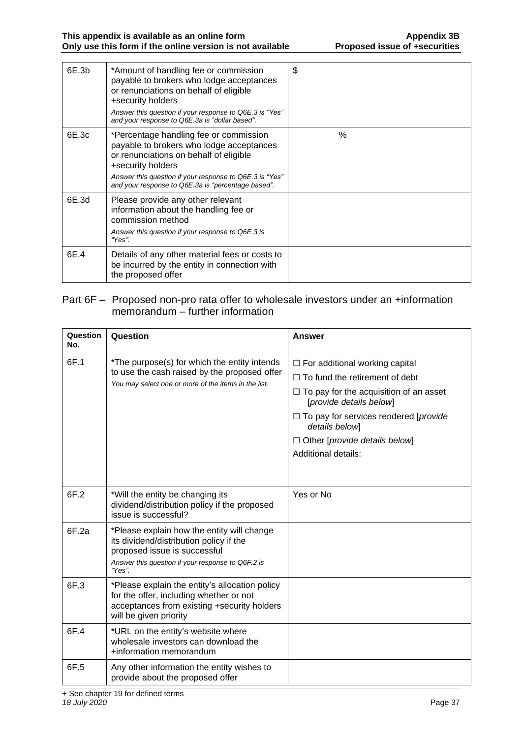| 6E.3b | *Amount of handling fee or commission<br>payable to brokers who lodge acceptances<br>or renunciations on behalf of eligible<br>+security holders<br>Answer this question if your response to Q6E.3 is "Yes"<br>and your response to Q6E.3a is "dollar based".      | \$   |
|-------|--------------------------------------------------------------------------------------------------------------------------------------------------------------------------------------------------------------------------------------------------------------------|------|
| 6E.3c | *Percentage handling fee or commission<br>payable to brokers who lodge acceptances<br>or renunciations on behalf of eligible<br>+security holders<br>Answer this question if your response to Q6E.3 is "Yes"<br>and your response to Q6E.3a is "percentage based". | $\%$ |
| 6E.3d | Please provide any other relevant<br>information about the handling fee or<br>commission method<br>Answer this question if your response to Q6E.3 is<br>"Yes".                                                                                                     |      |
| 6E.4  | Details of any other material fees or costs to<br>be incurred by the entity in connection with<br>the proposed offer                                                                                                                                               |      |

#### Part 6F – Proposed non-pro rata offer to wholesale investors under an +information memorandum – further information

| Question<br>No. | Question                                                                                                                                                                             | <b>Answer</b>                                                            |
|-----------------|--------------------------------------------------------------------------------------------------------------------------------------------------------------------------------------|--------------------------------------------------------------------------|
| 6F.1            | *The purpose(s) for which the entity intends                                                                                                                                         | $\Box$ For additional working capital                                    |
|                 | to use the cash raised by the proposed offer<br>You may select one or more of the items in the list.                                                                                 | $\Box$ To fund the retirement of debt                                    |
|                 |                                                                                                                                                                                      | $\Box$ To pay for the acquisition of an asset<br>[provide details below] |
|                 |                                                                                                                                                                                      | $\Box$ To pay for services rendered [provide<br>details below]           |
|                 |                                                                                                                                                                                      | $\Box$ Other [provide details below]                                     |
|                 |                                                                                                                                                                                      | Additional details:                                                      |
|                 |                                                                                                                                                                                      |                                                                          |
| 6F.2            | *Will the entity be changing its<br>dividend/distribution policy if the proposed<br>issue is successful?                                                                             | Yes or No                                                                |
| 6F.2a           | *Please explain how the entity will change<br>its dividend/distribution policy if the<br>proposed issue is successful<br>Answer this question if your response to Q6F.2 is<br>"Yes". |                                                                          |
| 6F.3            | *Please explain the entity's allocation policy<br>for the offer, including whether or not<br>acceptances from existing +security holders<br>will be given priority                   |                                                                          |
| 6F.4            | *URL on the entity's website where<br>wholesale investors can download the<br>+information memorandum                                                                                |                                                                          |
| 6F.5            | Any other information the entity wishes to<br>provide about the proposed offer                                                                                                       |                                                                          |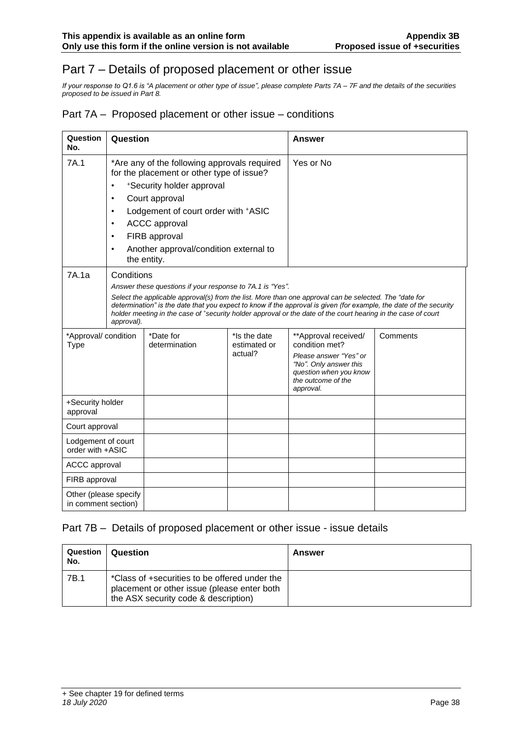# Part 7 – Details of proposed placement or other issue

*If your response to Q1.6 is "A placement or other type of issue", please complete Parts 7A – 7F and the details of the securities proposed to be issued in Part 8.*

#### Part 7A – Proposed placement or other issue – conditions

| Question<br>No.                              | Question                                                                                                                                                                                                                                                                                                                                                                                                                               |                            | Answer                                  |                                                                                                                                                         |          |
|----------------------------------------------|----------------------------------------------------------------------------------------------------------------------------------------------------------------------------------------------------------------------------------------------------------------------------------------------------------------------------------------------------------------------------------------------------------------------------------------|----------------------------|-----------------------------------------|---------------------------------------------------------------------------------------------------------------------------------------------------------|----------|
| 7A.1                                         | *Are any of the following approvals required<br>for the placement or other type of issue?<br>*Security holder approval<br>$\bullet$<br>Court approval<br>$\bullet$<br>Lodgement of court order with +ASIC<br>$\bullet$<br><b>ACCC</b> approval<br>$\bullet$<br>FIRB approval<br>$\bullet$<br>Another approval/condition external to<br>$\bullet$<br>the entity.                                                                        |                            | Yes or No                               |                                                                                                                                                         |          |
| 7A.1a                                        | Conditions<br>Answer these questions if your response to 7A.1 is "Yes".<br>Select the applicable approval(s) from the list. More than one approval can be selected. The "date for<br>determination" is the date that you expect to know if the approval is given (for example, the date of the security<br>holder meeting in the case of *security holder approval or the date of the court hearing in the case of court<br>approval). |                            |                                         |                                                                                                                                                         |          |
| *Approval/ condition<br><b>Type</b>          |                                                                                                                                                                                                                                                                                                                                                                                                                                        | *Date for<br>determination | *Is the date<br>estimated or<br>actual? | **Approval received/<br>condition met?<br>Please answer "Yes" or<br>"No". Only answer this<br>question when you know<br>the outcome of the<br>approval. | Comments |
| +Security holder<br>approval                 |                                                                                                                                                                                                                                                                                                                                                                                                                                        |                            |                                         |                                                                                                                                                         |          |
| Court approval                               |                                                                                                                                                                                                                                                                                                                                                                                                                                        |                            |                                         |                                                                                                                                                         |          |
| Lodgement of court<br>order with +ASIC       |                                                                                                                                                                                                                                                                                                                                                                                                                                        |                            |                                         |                                                                                                                                                         |          |
| <b>ACCC</b> approval                         |                                                                                                                                                                                                                                                                                                                                                                                                                                        |                            |                                         |                                                                                                                                                         |          |
| FIRB approval                                |                                                                                                                                                                                                                                                                                                                                                                                                                                        |                            |                                         |                                                                                                                                                         |          |
| Other (please specify<br>in comment section) |                                                                                                                                                                                                                                                                                                                                                                                                                                        |                            |                                         |                                                                                                                                                         |          |

#### Part 7B – Details of proposed placement or other issue - issue details

| Question<br>No. | Question                                                                                                                             | Answer |
|-----------------|--------------------------------------------------------------------------------------------------------------------------------------|--------|
| 7B.1            | *Class of +securities to be offered under the<br>placement or other issue (please enter both<br>the ASX security code & description) |        |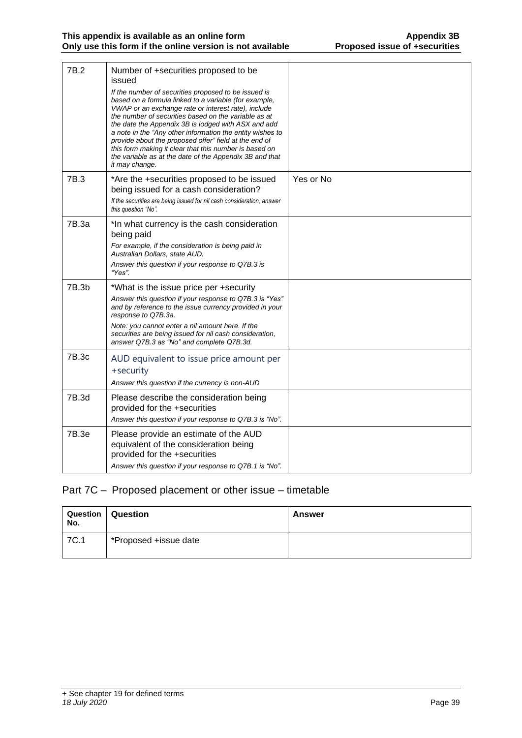| 7B.2  | Number of +securities proposed to be<br>issued<br>If the number of securities proposed to be issued is<br>based on a formula linked to a variable (for example,<br>VWAP or an exchange rate or interest rate), include<br>the number of securities based on the variable as at<br>the date the Appendix 3B is lodged with ASX and add<br>a note in the "Any other information the entity wishes to<br>provide about the proposed offer" field at the end of<br>this form making it clear that this number is based on<br>the variable as at the date of the Appendix 3B and that<br>it may change. |           |
|-------|----------------------------------------------------------------------------------------------------------------------------------------------------------------------------------------------------------------------------------------------------------------------------------------------------------------------------------------------------------------------------------------------------------------------------------------------------------------------------------------------------------------------------------------------------------------------------------------------------|-----------|
| 7B.3  | *Are the +securities proposed to be issued<br>being issued for a cash consideration?<br>If the securities are being issued for nil cash consideration, answer<br>this question "No".                                                                                                                                                                                                                                                                                                                                                                                                               | Yes or No |
| 7B.3a | *In what currency is the cash consideration<br>being paid<br>For example, if the consideration is being paid in<br>Australian Dollars, state AUD.<br>Answer this question if your response to Q7B.3 is<br>"Yes".                                                                                                                                                                                                                                                                                                                                                                                   |           |
| 7B.3b | *What is the issue price per +security<br>Answer this question if your response to Q7B.3 is "Yes"<br>and by reference to the issue currency provided in your<br>response to Q7B.3a.<br>Note: you cannot enter a nil amount here. If the<br>securities are being issued for nil cash consideration,<br>answer Q7B.3 as "No" and complete Q7B.3d.                                                                                                                                                                                                                                                    |           |
| 7B.3c | AUD equivalent to issue price amount per<br>+security<br>Answer this question if the currency is non-AUD                                                                                                                                                                                                                                                                                                                                                                                                                                                                                           |           |
| 7B.3d | Please describe the consideration being<br>provided for the +securities<br>Answer this question if your response to Q7B.3 is "No".                                                                                                                                                                                                                                                                                                                                                                                                                                                                 |           |
| 7B.3e | Please provide an estimate of the AUD<br>equivalent of the consideration being<br>provided for the +securities<br>Answer this question if your response to Q7B.1 is "No".                                                                                                                                                                                                                                                                                                                                                                                                                          |           |

## Part 7C – Proposed placement or other issue – timetable

| <b>Question</b><br>No. | Question              | Answer |
|------------------------|-----------------------|--------|
| 7C.1                   | *Proposed +issue date |        |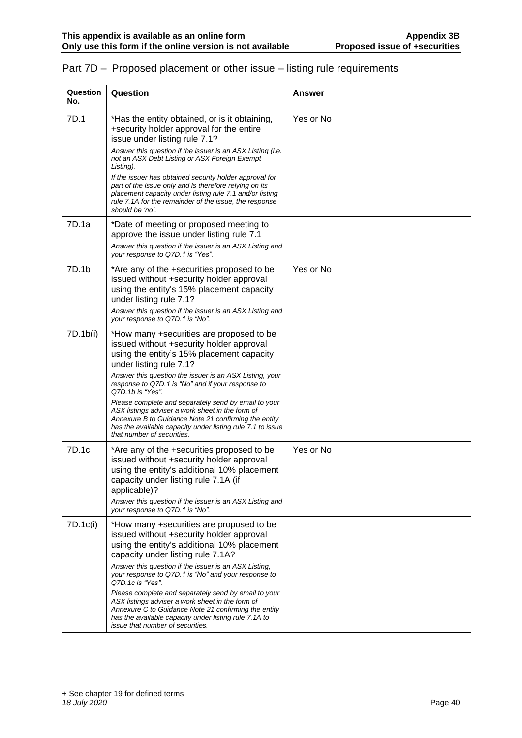| Question<br>No. | Question                                                                                                                                                                                                                                                                                     | <b>Answer</b> |
|-----------------|----------------------------------------------------------------------------------------------------------------------------------------------------------------------------------------------------------------------------------------------------------------------------------------------|---------------|
| 7D.1            | *Has the entity obtained, or is it obtaining,<br>+security holder approval for the entire<br>issue under listing rule 7.1?                                                                                                                                                                   | Yes or No     |
|                 | Answer this question if the issuer is an ASX Listing (i.e.<br>not an ASX Debt Listing or ASX Foreign Exempt<br>Listing).                                                                                                                                                                     |               |
|                 | If the issuer has obtained security holder approval for<br>part of the issue only and is therefore relying on its<br>placement capacity under listing rule 7.1 and/or listing<br>rule 7.1A for the remainder of the issue, the response<br>should be 'no'.                                   |               |
| 7D.1a           | *Date of meeting or proposed meeting to<br>approve the issue under listing rule 7.1<br>Answer this question if the issuer is an ASX Listing and<br>your response to Q7D.1 is "Yes".                                                                                                          |               |
| 7D.1b           | *Are any of the +securities proposed to be<br>issued without +security holder approval<br>using the entity's 15% placement capacity<br>under listing rule 7.1?                                                                                                                               | Yes or No     |
|                 | Answer this question if the issuer is an ASX Listing and<br>your response to Q7D.1 is "No".                                                                                                                                                                                                  |               |
| 7D.1b(i)        | *How many +securities are proposed to be<br>issued without +security holder approval<br>using the entity's 15% placement capacity<br>under listing rule 7.1?                                                                                                                                 |               |
|                 | Answer this question the issuer is an ASX Listing, your<br>response to Q7D.1 is "No" and if your response to<br>Q7D.1b is "Yes".                                                                                                                                                             |               |
|                 | Please complete and separately send by email to your<br>ASX listings adviser a work sheet in the form of<br>Annexure B to Guidance Note 21 confirming the entity<br>has the available capacity under listing rule 7.1 to issue<br>that number of securities.                                 |               |
| 7D.1c           | *Are any of the +securities proposed to be<br>issued without +security holder approval<br>using the entity's additional 10% placement<br>capacity under listing rule 7.1A (if<br>applicable)?<br>Answer this question if the issuer is an ASX Listing and<br>your response to Q7D.1 is "No". | Yes or No     |
| 7D.1c(i)        | *How many +securities are proposed to be<br>issued without +security holder approval<br>using the entity's additional 10% placement<br>capacity under listing rule 7.1A?                                                                                                                     |               |
|                 | Answer this question if the issuer is an ASX Listing,<br>your response to Q7D.1 is "No" and your response to<br>Q7D.1c is "Yes".                                                                                                                                                             |               |
|                 | Please complete and separately send by email to your<br>ASX listings adviser a work sheet in the form of<br>Annexure C to Guidance Note 21 confirming the entity<br>has the available capacity under listing rule 7.1A to<br>issue that number of securities.                                |               |

#### Part 7D – Proposed placement or other issue – listing rule requirements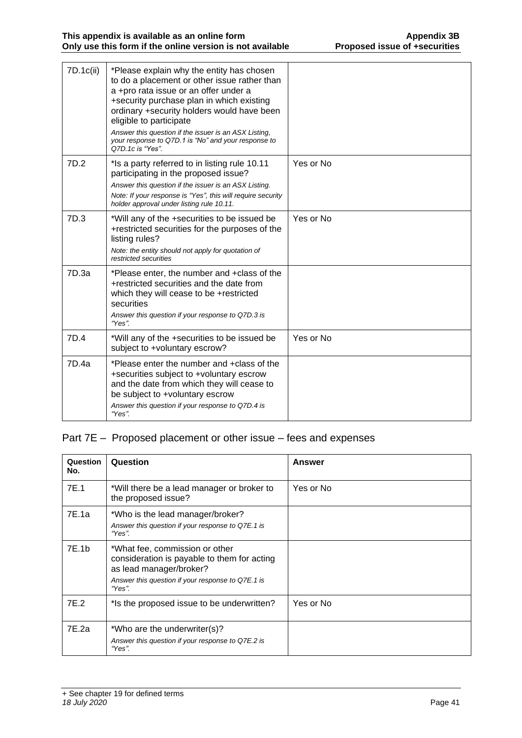| 7D.1c(ii) | *Please explain why the entity has chosen<br>to do a placement or other issue rather than<br>a +pro rata issue or an offer under a<br>+security purchase plan in which existing<br>ordinary +security holders would have been<br>eligible to participate<br>Answer this question if the issuer is an ASX Listing,<br>your response to Q7D.1 is "No" and your response to<br>Q7D.1c is "Yes". |           |
|-----------|----------------------------------------------------------------------------------------------------------------------------------------------------------------------------------------------------------------------------------------------------------------------------------------------------------------------------------------------------------------------------------------------|-----------|
| 7D.2      | *Is a party referred to in listing rule 10.11<br>participating in the proposed issue?<br>Answer this question if the issuer is an ASX Listing.<br>Note: If your response is "Yes", this will require security<br>holder approval under listing rule 10.11.                                                                                                                                   | Yes or No |
| 7D.3      | *Will any of the +securities to be issued be<br>+restricted securities for the purposes of the<br>listing rules?<br>Note: the entity should not apply for quotation of<br>restricted securities                                                                                                                                                                                              | Yes or No |
| 7D.3a     | *Please enter, the number and +class of the<br>+restricted securities and the date from<br>which they will cease to be +restricted<br>securities<br>Answer this question if your response to Q7D.3 is<br>"Yes".                                                                                                                                                                              |           |
| 7D.4      | *Will any of the +securities to be issued be<br>subject to +voluntary escrow?                                                                                                                                                                                                                                                                                                                | Yes or No |
| 7D.4a     | *Please enter the number and +class of the<br>+securities subject to +voluntary escrow<br>and the date from which they will cease to<br>be subject to +voluntary escrow<br>Answer this question if your response to Q7D.4 is<br>"Yes".                                                                                                                                                       |           |

# Part 7E – Proposed placement or other issue – fees and expenses

| Question<br>No. | Question                                                                                                                                                                | Answer    |
|-----------------|-------------------------------------------------------------------------------------------------------------------------------------------------------------------------|-----------|
| 7E.1            | *Will there be a lead manager or broker to<br>the proposed issue?                                                                                                       | Yes or No |
| 7E.1a           | *Who is the lead manager/broker?<br>Answer this question if your response to Q7E.1 is<br>"Yes".                                                                         |           |
| 7E.1b           | *What fee, commission or other<br>consideration is payable to them for acting<br>as lead manager/broker?<br>Answer this question if your response to Q7E.1 is<br>"Yes". |           |
| 7E.2            | *Is the proposed issue to be underwritten?                                                                                                                              | Yes or No |
| 7E.2a           | *Who are the underwriter(s)?<br>Answer this question if your response to Q7E.2 is<br>"Yes".                                                                             |           |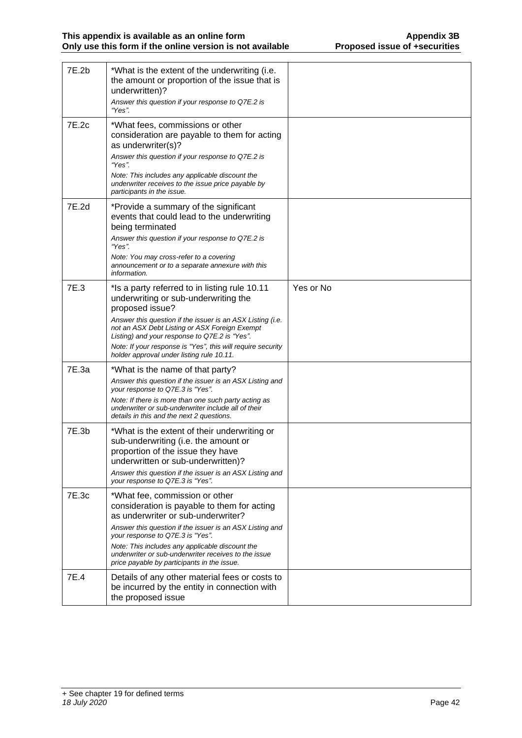| 7E.2b | *What is the extent of the underwriting (i.e.<br>the amount or proportion of the issue that is<br>underwritten)?<br>Answer this question if your response to Q7E.2 is<br>"Yes".                                                                                                                                                                                                      |           |
|-------|--------------------------------------------------------------------------------------------------------------------------------------------------------------------------------------------------------------------------------------------------------------------------------------------------------------------------------------------------------------------------------------|-----------|
| 7E.2c | *What fees, commissions or other<br>consideration are payable to them for acting<br>as underwriter(s)?<br>Answer this question if your response to Q7E.2 is<br>"Yes".<br>Note: This includes any applicable discount the<br>underwriter receives to the issue price payable by<br>participants in the issue.                                                                         |           |
| 7E.2d | *Provide a summary of the significant<br>events that could lead to the underwriting<br>being terminated<br>Answer this question if your response to Q7E.2 is<br>"Yes".<br>Note: You may cross-refer to a covering<br>announcement or to a separate annexure with this<br>information.                                                                                                |           |
| 7E.3  | *Is a party referred to in listing rule 10.11<br>underwriting or sub-underwriting the<br>proposed issue?<br>Answer this question if the issuer is an ASX Listing (i.e.<br>not an ASX Debt Listing or ASX Foreign Exempt<br>Listing) and your response to Q7E.2 is "Yes".<br>Note: If your response is "Yes", this will require security<br>holder approval under listing rule 10.11. | Yes or No |
| 7E.3a | *What is the name of that party?<br>Answer this question if the issuer is an ASX Listing and<br>your response to Q7E.3 is "Yes".<br>Note: If there is more than one such party acting as<br>underwriter or sub-underwriter include all of their<br>details in this and the next 2 questions.                                                                                         |           |
| 7E.3b | *What is the extent of their underwriting or<br>sub-underwriting (i.e. the amount or<br>proportion of the issue they have<br>underwritten or sub-underwritten)?<br>Answer this question if the issuer is an ASX Listing and<br>your response to Q7E.3 is "Yes".                                                                                                                      |           |
| 7E.3c | *What fee, commission or other<br>consideration is payable to them for acting<br>as underwriter or sub-underwriter?<br>Answer this question if the issuer is an ASX Listing and<br>your response to Q7E.3 is "Yes".<br>Note: This includes any applicable discount the<br>underwriter or sub-underwriter receives to the issue<br>price payable by participants in the issue.        |           |
| 7E.4  | Details of any other material fees or costs to<br>be incurred by the entity in connection with<br>the proposed issue                                                                                                                                                                                                                                                                 |           |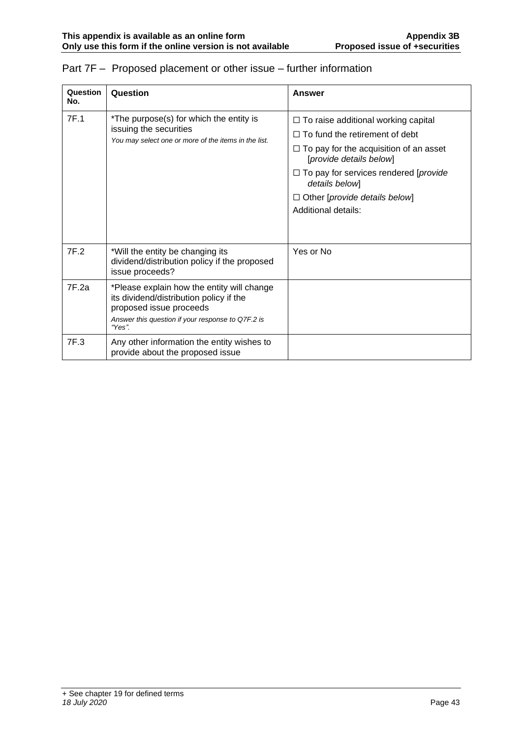| Question<br>No. | Question                                                                                                                                                                        | Answer                                                                                                                                                                                                                                                                                                     |
|-----------------|---------------------------------------------------------------------------------------------------------------------------------------------------------------------------------|------------------------------------------------------------------------------------------------------------------------------------------------------------------------------------------------------------------------------------------------------------------------------------------------------------|
| 7F.1            | *The purpose(s) for which the entity is<br>issuing the securities<br>You may select one or more of the items in the list.                                                       | $\Box$ To raise additional working capital<br>$\Box$ To fund the retirement of debt<br>$\Box$ To pay for the acquisition of an asset<br>[provide details below]<br>$\Box$ To pay for services rendered [ <i>provide</i> ]<br>details below]<br>$\Box$ Other [provide details below]<br>Additional details: |
| 7F.2            | *Will the entity be changing its<br>dividend/distribution policy if the proposed<br>issue proceeds?                                                                             | Yes or No                                                                                                                                                                                                                                                                                                  |
| 7F.2a           | *Please explain how the entity will change<br>its dividend/distribution policy if the<br>proposed issue proceeds<br>Answer this question if your response to Q7F.2 is<br>"Yes". |                                                                                                                                                                                                                                                                                                            |
| 7F.3            | Any other information the entity wishes to<br>provide about the proposed issue                                                                                                  |                                                                                                                                                                                                                                                                                                            |

## Part 7F – Proposed placement or other issue – further information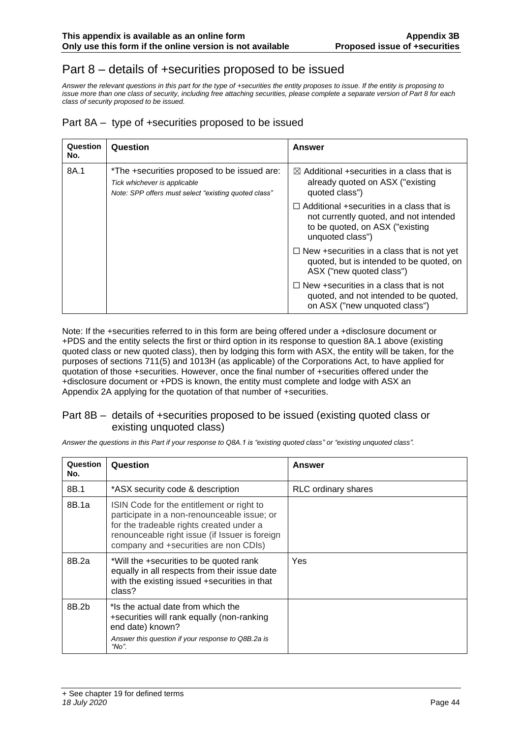# Part 8 – details of +securities proposed to be issued

*Answer the relevant questions in this part for the type of +securities the entity proposes to issue. If the entity is proposing to issue more than one class of security, including free attaching securities, please complete a separate version of Part 8 for each class of security proposed to be issued.*

#### Part 8A – type of +securities proposed to be issued

| Question<br>No. | Question                                                                                                                                          | Answer                                                                                                                    |
|-----------------|---------------------------------------------------------------------------------------------------------------------------------------------------|---------------------------------------------------------------------------------------------------------------------------|
| 8A.1            | *The +securities proposed to be issued are:<br>Tick whichever is applicable<br>Note: SPP offers must select "existing quoted class"               | $\boxtimes$ Additional +securities in a class that is<br>already quoted on ASX ("existing<br>quoted class")               |
|                 | $\Box$ Additional +securities in a class that is<br>not currently quoted, and not intended<br>to be quoted, on ASX ("existing<br>unquoted class") |                                                                                                                           |
|                 |                                                                                                                                                   | $\Box$ New +securities in a class that is not yet<br>quoted, but is intended to be quoted, on<br>ASX ("new quoted class") |
|                 |                                                                                                                                                   | $\Box$ New +securities in a class that is not<br>quoted, and not intended to be quoted,<br>on ASX ("new unquoted class")  |

Note: If the +securities referred to in this form are being offered under a +disclosure document or +PDS and the entity selects the first or third option in its response to question 8A.1 above (existing quoted class or new quoted class), then by lodging this form with ASX, the entity will be taken, for the purposes of sections 711(5) and 1013H (as applicable) of the Corporations Act, to have applied for quotation of those +securities. However, once the final number of +securities offered under the +disclosure document or +PDS is known, the entity must complete and lodge with ASX an Appendix 2A applying for the quotation of that number of +securities.

#### Part 8B – details of +securities proposed to be issued (existing quoted class or existing unquoted class)

*Answer the questions in this Part if your response to Q8A.1 is "existing quoted class" or "existing unquoted class".*

| <b>Question</b><br>No. | Question                                                                                                                                                                                                                        | <b>Answer</b>              |
|------------------------|---------------------------------------------------------------------------------------------------------------------------------------------------------------------------------------------------------------------------------|----------------------------|
| 8B.1                   | *ASX security code & description                                                                                                                                                                                                | <b>RLC</b> ordinary shares |
| 8B.1a                  | ISIN Code for the entitlement or right to<br>participate in a non-renounceable issue; or<br>for the tradeable rights created under a<br>renounceable right issue (if Issuer is foreign<br>company and +securities are non CDIs) |                            |
| 8B.2a                  | *Will the +securities to be quoted rank<br>equally in all respects from their issue date<br>with the existing issued +securities in that<br>class?                                                                              | Yes                        |
| 8B.2b                  | *Is the actual date from which the<br>+securities will rank equally (non-ranking<br>end date) known?<br>Answer this question if your response to Q8B.2a is<br>"No".                                                             |                            |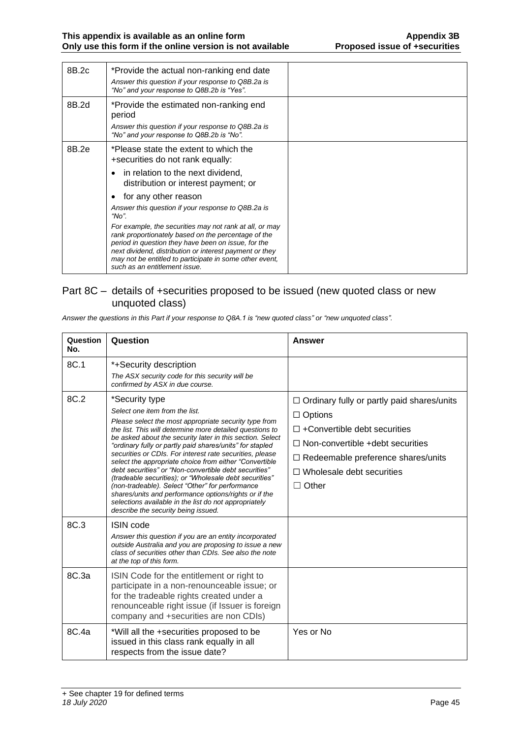| 8B.2c | *Provide the actual non-ranking end date<br>Answer this question if your response to Q8B.2a is<br>"No" and your response to Q8B.2b is "Yes".                                                                                                                                                                                 |  |
|-------|------------------------------------------------------------------------------------------------------------------------------------------------------------------------------------------------------------------------------------------------------------------------------------------------------------------------------|--|
| 8B.2d | *Provide the estimated non-ranking end<br>period<br>Answer this question if your response to Q8B.2a is<br>"No" and your response to Q8B.2b is "No".                                                                                                                                                                          |  |
| 8B.2e | *Please state the extent to which the<br>+securities do not rank equally:                                                                                                                                                                                                                                                    |  |
|       | in relation to the next dividend,<br>$\bullet$<br>distribution or interest payment; or                                                                                                                                                                                                                                       |  |
|       | for any other reason                                                                                                                                                                                                                                                                                                         |  |
|       | Answer this question if your response to Q8B.2a is<br>"No".                                                                                                                                                                                                                                                                  |  |
|       | For example, the securities may not rank at all, or may<br>rank proportionately based on the percentage of the<br>period in question they have been on issue, for the<br>next dividend, distribution or interest payment or they<br>may not be entitled to participate in some other event,<br>such as an entitlement issue. |  |

#### Part 8C – details of +securities proposed to be issued (new quoted class or new unquoted class)

*Answer the questions in this Part if your response to Q8A.1 is "new quoted class" or "new unquoted class".*

| Question<br>No. | Question                                                                                                                                                                                                                                                                                                                                                                                                                                                                                                                                                                                                                                                                                                                                            | Answer                                                                                                                                                                                                                                            |
|-----------------|-----------------------------------------------------------------------------------------------------------------------------------------------------------------------------------------------------------------------------------------------------------------------------------------------------------------------------------------------------------------------------------------------------------------------------------------------------------------------------------------------------------------------------------------------------------------------------------------------------------------------------------------------------------------------------------------------------------------------------------------------------|---------------------------------------------------------------------------------------------------------------------------------------------------------------------------------------------------------------------------------------------------|
| 8C.1            | *+Security description<br>The ASX security code for this security will be<br>confirmed by ASX in due course.                                                                                                                                                                                                                                                                                                                                                                                                                                                                                                                                                                                                                                        |                                                                                                                                                                                                                                                   |
| 8C.2            | *Security type<br>Select one item from the list.<br>Please select the most appropriate security type from<br>the list. This will determine more detailed questions to<br>be asked about the security later in this section. Select<br>"ordinary fully or partly paid shares/units" for stapled<br>securities or CDIs. For interest rate securities, please<br>select the appropriate choice from either "Convertible<br>debt securities" or "Non-convertible debt securities"<br>(tradeable securities); or "Wholesale debt securities"<br>(non-tradeable). Select "Other" for performance<br>shares/units and performance options/rights or if the<br>selections available in the list do not appropriately<br>describe the security being issued. | $\Box$ Ordinary fully or partly paid shares/units<br>$\Box$ Options<br>$\Box$ +Convertible debt securities<br>$\Box$ Non-convertible +debt securities<br>□ Redeemable preference shares/units<br>$\Box$ Wholesale debt securities<br>$\Box$ Other |
| 8C.3            | <b>ISIN</b> code<br>Answer this question if you are an entity incorporated<br>outside Australia and you are proposing to issue a new<br>class of securities other than CDIs. See also the note<br>at the top of this form.                                                                                                                                                                                                                                                                                                                                                                                                                                                                                                                          |                                                                                                                                                                                                                                                   |
| 8C.3a           | ISIN Code for the entitlement or right to<br>participate in a non-renounceable issue; or<br>for the tradeable rights created under a<br>renounceable right issue (if Issuer is foreign<br>company and +securities are non CDIs)                                                                                                                                                                                                                                                                                                                                                                                                                                                                                                                     |                                                                                                                                                                                                                                                   |
| 8C.4a           | *Will all the +securities proposed to be<br>issued in this class rank equally in all<br>respects from the issue date?                                                                                                                                                                                                                                                                                                                                                                                                                                                                                                                                                                                                                               | Yes or No                                                                                                                                                                                                                                         |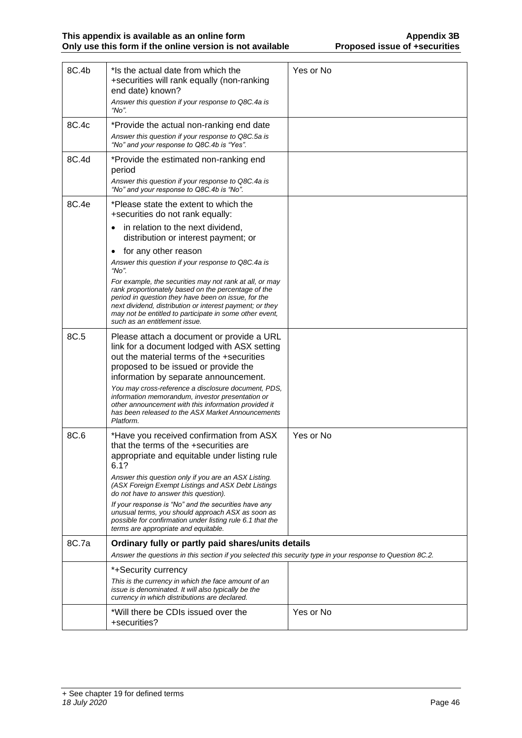| 8C.4b | *Is the actual date from which the<br>+securities will rank equally (non-ranking<br>end date) known?<br>Answer this question if your response to Q8C.4a is<br>"No".                                                                                                                                                                                                                                                                                                                                                | Yes or No |
|-------|--------------------------------------------------------------------------------------------------------------------------------------------------------------------------------------------------------------------------------------------------------------------------------------------------------------------------------------------------------------------------------------------------------------------------------------------------------------------------------------------------------------------|-----------|
| 8C.4c | *Provide the actual non-ranking end date<br>Answer this question if your response to Q8C.5a is<br>"No" and your response to Q8C.4b is "Yes".                                                                                                                                                                                                                                                                                                                                                                       |           |
| 8C.4d | *Provide the estimated non-ranking end<br>period<br>Answer this question if your response to Q8C.4a is<br>"No" and your response to Q8C.4b is "No".                                                                                                                                                                                                                                                                                                                                                                |           |
| 8C.4e | *Please state the extent to which the<br>+securities do not rank equally:                                                                                                                                                                                                                                                                                                                                                                                                                                          |           |
|       | in relation to the next dividend,<br>distribution or interest payment; or                                                                                                                                                                                                                                                                                                                                                                                                                                          |           |
|       | for any other reason<br>٠                                                                                                                                                                                                                                                                                                                                                                                                                                                                                          |           |
|       | Answer this question if your response to Q8C.4a is<br>"No".                                                                                                                                                                                                                                                                                                                                                                                                                                                        |           |
|       | For example, the securities may not rank at all, or may<br>rank proportionately based on the percentage of the<br>period in question they have been on issue, for the<br>next dividend, distribution or interest payment; or they<br>may not be entitled to participate in some other event,<br>such as an entitlement issue.                                                                                                                                                                                      |           |
| 8C.5  | Please attach a document or provide a URL<br>link for a document lodged with ASX setting<br>out the material terms of the +securities<br>proposed to be issued or provide the<br>information by separate announcement.                                                                                                                                                                                                                                                                                             |           |
|       | You may cross-reference a disclosure document, PDS,<br>information memorandum, investor presentation or<br>other announcement with this information provided it<br>has been released to the ASX Market Announcements<br>Platform.                                                                                                                                                                                                                                                                                  |           |
| 8C.6  | *Have you received confirmation from ASX<br>that the terms of the +securities are<br>appropriate and equitable under listing rule<br>6.1?<br>Answer this question only if you are an ASX Listing.<br>(ASX Foreign Exempt Listings and ASX Debt Listings<br>do not have to answer this question).<br>If your response is "No" and the securities have any<br>unusual terms, you should approach ASX as soon as<br>possible for confirmation under listing rule 6.1 that the<br>terms are appropriate and equitable. | Yes or No |
| 8C.7a | Ordinary fully or partly paid shares/units details                                                                                                                                                                                                                                                                                                                                                                                                                                                                 |           |
|       | Answer the questions in this section if you selected this security type in your response to Question 8C.2.                                                                                                                                                                                                                                                                                                                                                                                                         |           |
|       | *+Security currency                                                                                                                                                                                                                                                                                                                                                                                                                                                                                                |           |
|       | This is the currency in which the face amount of an<br>issue is denominated. It will also typically be the<br>currency in which distributions are declared.                                                                                                                                                                                                                                                                                                                                                        |           |
|       | *Will there be CDIs issued over the<br>+securities?                                                                                                                                                                                                                                                                                                                                                                                                                                                                | Yes or No |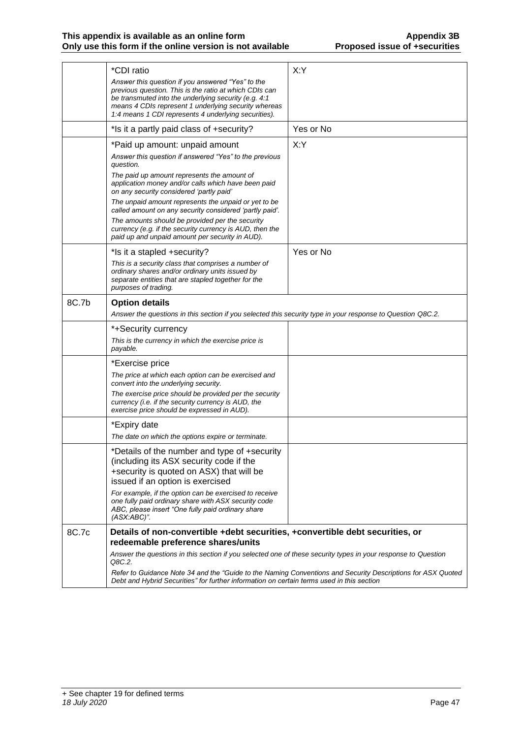|       | *CDI ratio<br>Answer this question if you answered "Yes" to the<br>previous question. This is the ratio at which CDIs can<br>be transmuted into the underlying security (e.g. 4:1<br>means 4 CDIs represent 1 underlying security whereas<br>1:4 means 1 CDI represents 4 underlying securities). | X:Y       |
|-------|---------------------------------------------------------------------------------------------------------------------------------------------------------------------------------------------------------------------------------------------------------------------------------------------------|-----------|
|       | *Is it a partly paid class of +security?                                                                                                                                                                                                                                                          | Yes or No |
|       | *Paid up amount: unpaid amount                                                                                                                                                                                                                                                                    | X:Y       |
|       | Answer this question if answered "Yes" to the previous<br>question.                                                                                                                                                                                                                               |           |
|       | The paid up amount represents the amount of<br>application money and/or calls which have been paid<br>on any security considered 'partly paid'                                                                                                                                                    |           |
|       | The unpaid amount represents the unpaid or yet to be<br>called amount on any security considered 'partly paid'.                                                                                                                                                                                   |           |
|       | The amounts should be provided per the security<br>currency (e.g. if the security currency is AUD, then the<br>paid up and unpaid amount per security in AUD).                                                                                                                                    |           |
|       | *Is it a stapled +security?                                                                                                                                                                                                                                                                       | Yes or No |
|       | This is a security class that comprises a number of<br>ordinary shares and/or ordinary units issued by<br>separate entities that are stapled together for the<br>purposes of trading.                                                                                                             |           |
| 8C.7b | <b>Option details</b>                                                                                                                                                                                                                                                                             |           |
|       | Answer the questions in this section if you selected this security type in your response to Question Q8C.2.                                                                                                                                                                                       |           |
|       | *+Security currency<br>This is the currency in which the exercise price is<br>payable.                                                                                                                                                                                                            |           |
|       | *Exercise price                                                                                                                                                                                                                                                                                   |           |
|       | The price at which each option can be exercised and<br>convert into the underlying security.                                                                                                                                                                                                      |           |
|       | The exercise price should be provided per the security<br>currency (i.e. if the security currency is AUD, the<br>exercise price should be expressed in AUD).                                                                                                                                      |           |
|       | *Expiry date                                                                                                                                                                                                                                                                                      |           |
|       | The date on which the options expire or terminate.                                                                                                                                                                                                                                                |           |
|       | *Details of the number and type of +security<br>(including its ASX security code if the<br>+security is quoted on ASX) that will be<br>issued if an option is exercised                                                                                                                           |           |
|       | For example, if the option can be exercised to receive<br>one fully paid ordinary share with ASX security code<br>ABC, please insert "One fully paid ordinary share<br>$(ASX:ABC)$ ".                                                                                                             |           |
| 8C.7c | Details of non-convertible +debt securities, +convertible debt securities, or                                                                                                                                                                                                                     |           |
|       | redeemable preference shares/units<br>Answer the questions in this section if you selected one of these security types in your response to Question                                                                                                                                               |           |
|       | Q8C.2.                                                                                                                                                                                                                                                                                            |           |
|       | Refer to Guidance Note 34 and the "Guide to the Naming Conventions and Security Descriptions for ASX Quoted<br>Debt and Hybrid Securities" for further information on certain terms used in this section                                                                                          |           |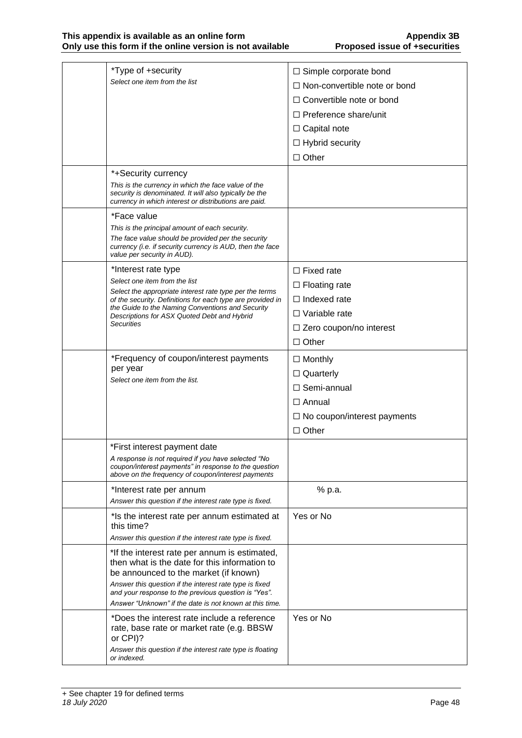| *Type of +security                                                                                                                                                     | $\Box$ Simple corporate bond           |
|------------------------------------------------------------------------------------------------------------------------------------------------------------------------|----------------------------------------|
| Select one item from the list                                                                                                                                          | $\Box$ Non-convertible note or bond    |
|                                                                                                                                                                        | $\Box$ Convertible note or bond        |
|                                                                                                                                                                        | $\Box$ Preference share/unit           |
|                                                                                                                                                                        | $\Box$ Capital note                    |
|                                                                                                                                                                        |                                        |
|                                                                                                                                                                        | $\Box$ Hybrid security<br>$\Box$ Other |
|                                                                                                                                                                        |                                        |
| *+Security currency                                                                                                                                                    |                                        |
| This is the currency in which the face value of the<br>security is denominated. It will also typically be the<br>currency in which interest or distributions are paid. |                                        |
| *Face value                                                                                                                                                            |                                        |
| This is the principal amount of each security.                                                                                                                         |                                        |
| The face value should be provided per the security<br>currency (i.e. if security currency is AUD, then the face<br>value per security in AUD).                         |                                        |
| *Interest rate type                                                                                                                                                    | $\Box$ Fixed rate                      |
| Select one item from the list                                                                                                                                          | $\Box$ Floating rate                   |
| Select the appropriate interest rate type per the terms<br>of the security. Definitions for each type are provided in                                                  | $\Box$ Indexed rate                    |
| the Guide to the Naming Conventions and Security<br>Descriptions for ASX Quoted Debt and Hybrid                                                                        | $\Box$ Variable rate                   |
| Securities                                                                                                                                                             | $\Box$ Zero coupon/no interest         |
|                                                                                                                                                                        | $\Box$ Other                           |
| *Frequency of coupon/interest payments                                                                                                                                 | $\Box$ Monthly                         |
| per year                                                                                                                                                               | $\Box$ Quarterly                       |
| Select one item from the list.                                                                                                                                         | $\Box$ Semi-annual                     |
|                                                                                                                                                                        | $\Box$ Annual                          |
|                                                                                                                                                                        |                                        |
|                                                                                                                                                                        | $\Box$ No coupon/interest payments     |
|                                                                                                                                                                        | $\Box$ Other                           |
| *First interest payment date                                                                                                                                           |                                        |
| A response is not required if you have selected "No<br>coupon/interest payments" in response to the question<br>above on the frequency of coupon/interest payments     |                                        |
| *Interest rate per annum                                                                                                                                               | % p.a.                                 |
| Answer this question if the interest rate type is fixed.                                                                                                               |                                        |
| *Is the interest rate per annum estimated at<br>this time?                                                                                                             | Yes or No                              |
| Answer this question if the interest rate type is fixed.                                                                                                               |                                        |
| *If the interest rate per annum is estimated,<br>then what is the date for this information to                                                                         |                                        |
| be announced to the market (if known)                                                                                                                                  |                                        |
| Answer this question if the interest rate type is fixed                                                                                                                |                                        |
| and your response to the previous question is "Yes".<br>Answer "Unknown" if the date is not known at this time.                                                        |                                        |
| *Does the interest rate include a reference                                                                                                                            | Yes or No                              |
| rate, base rate or market rate (e.g. BBSW)<br>or CPI)?                                                                                                                 |                                        |
| Answer this question if the interest rate type is floating<br>or indexed.                                                                                              |                                        |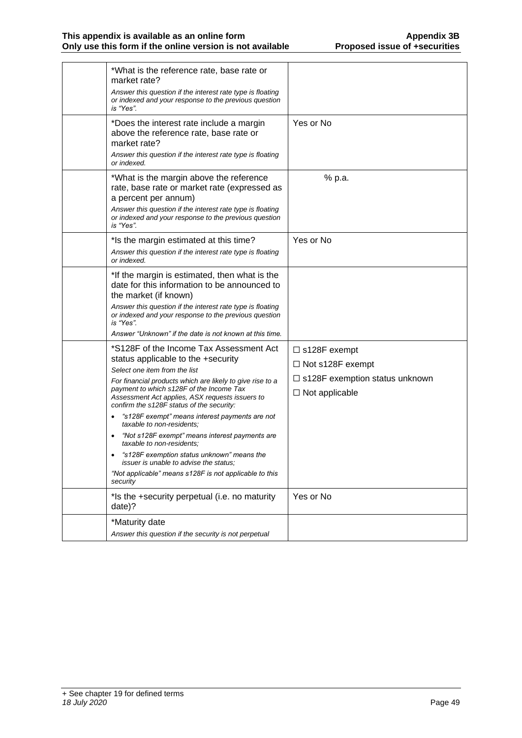| *What is the reference rate, base rate or<br>market rate?<br>Answer this question if the interest rate type is floating<br>or indexed and your response to the previous question<br>is "Yes".                                                                                                                                                                                                                                                                                                                                                                                                                                                              |                                                                                                             |
|------------------------------------------------------------------------------------------------------------------------------------------------------------------------------------------------------------------------------------------------------------------------------------------------------------------------------------------------------------------------------------------------------------------------------------------------------------------------------------------------------------------------------------------------------------------------------------------------------------------------------------------------------------|-------------------------------------------------------------------------------------------------------------|
| *Does the interest rate include a margin<br>above the reference rate, base rate or<br>market rate?<br>Answer this question if the interest rate type is floating<br>or indexed.                                                                                                                                                                                                                                                                                                                                                                                                                                                                            | Yes or No                                                                                                   |
| *What is the margin above the reference<br>rate, base rate or market rate (expressed as<br>a percent per annum)<br>Answer this question if the interest rate type is floating<br>or indexed and your response to the previous question<br>is "Yes".                                                                                                                                                                                                                                                                                                                                                                                                        | % p.a.                                                                                                      |
| *Is the margin estimated at this time?<br>Answer this question if the interest rate type is floating<br>or indexed.                                                                                                                                                                                                                                                                                                                                                                                                                                                                                                                                        | Yes or No                                                                                                   |
| *If the margin is estimated, then what is the<br>date for this information to be announced to<br>the market (if known)<br>Answer this question if the interest rate type is floating<br>or indexed and your response to the previous question<br>is "Yes".<br>Answer "Unknown" if the date is not known at this time.                                                                                                                                                                                                                                                                                                                                      |                                                                                                             |
| *S128F of the Income Tax Assessment Act<br>status applicable to the +security<br>Select one item from the list<br>For financial products which are likely to give rise to a<br>payment to which s128F of the Income Tax<br>Assessment Act applies, ASX requests issuers to<br>confirm the s128F status of the security:<br>"s128F exempt" means interest payments are not<br>taxable to non-residents:<br>"Not s128F exempt" means interest payments are<br>taxable to non-residents:<br>"s128F exemption status unknown" means the<br><i>issuer is unable to advise the status:</i><br>"Not applicable" means s128F is not applicable to this<br>security | $\Box$ s128F exempt<br>□ Not s128F exempt<br>$\Box$ s128F exemption status unknown<br>$\Box$ Not applicable |
| *Is the +security perpetual (i.e. no maturity<br>date)?                                                                                                                                                                                                                                                                                                                                                                                                                                                                                                                                                                                                    | Yes or No                                                                                                   |
| *Maturity date<br>Answer this question if the security is not perpetual                                                                                                                                                                                                                                                                                                                                                                                                                                                                                                                                                                                    |                                                                                                             |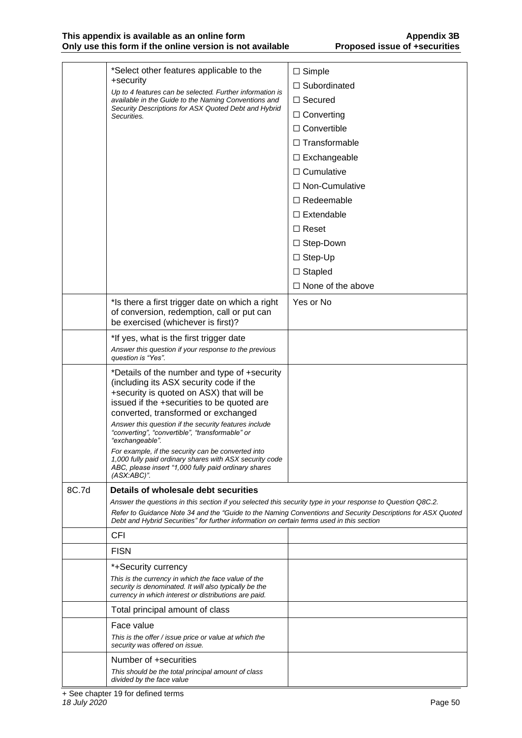#### **This appendix is available as an online form Appendix 3B Only use this form if the online version is not available Proposed issue of +securities**

|       | *Select other features applicable to the<br>+security<br>Up to 4 features can be selected. Further information is<br>available in the Guide to the Naming Conventions and                                                | $\Box$ Simple            |
|-------|--------------------------------------------------------------------------------------------------------------------------------------------------------------------------------------------------------------------------|--------------------------|
|       |                                                                                                                                                                                                                          | $\Box$ Subordinated      |
|       |                                                                                                                                                                                                                          | $\Box$ Secured           |
|       | Security Descriptions for ASX Quoted Debt and Hybrid<br>Securities.                                                                                                                                                      | $\Box$ Converting        |
|       |                                                                                                                                                                                                                          | $\Box$ Convertible       |
|       |                                                                                                                                                                                                                          | $\Box$ Transformable     |
|       |                                                                                                                                                                                                                          | $\Box$ Exchangeable      |
|       |                                                                                                                                                                                                                          | $\Box$ Cumulative        |
|       |                                                                                                                                                                                                                          | □ Non-Cumulative         |
|       |                                                                                                                                                                                                                          | $\Box$ Redeemable        |
|       |                                                                                                                                                                                                                          | $\Box$ Extendable        |
|       |                                                                                                                                                                                                                          | $\Box$ Reset             |
|       |                                                                                                                                                                                                                          | $\Box$ Step-Down         |
|       |                                                                                                                                                                                                                          | $\Box$ Step-Up           |
|       |                                                                                                                                                                                                                          | $\Box$ Stapled           |
|       |                                                                                                                                                                                                                          | $\Box$ None of the above |
|       | *Is there a first trigger date on which a right<br>of conversion, redemption, call or put can<br>be exercised (whichever is first)?                                                                                      | Yes or No                |
|       | *If yes, what is the first trigger date                                                                                                                                                                                  |                          |
|       | Answer this question if your response to the previous<br>question is "Yes".                                                                                                                                              |                          |
|       | *Details of the number and type of +security<br>(including its ASX security code if the<br>+security is quoted on ASX) that will be<br>issued if the +securities to be quoted are<br>converted, transformed or exchanged |                          |
|       | Answer this question if the security features include<br>"converting", "convertible", "transformable" or<br>"exchangeable".                                                                                              |                          |
|       | For example, if the security can be converted into<br>1,000 fully paid ordinary shares with ASX security code<br>ABC, please insert "1,000 fully paid ordinary shares<br>$(ASX:ABC)$ ".                                  |                          |
| 8C.7d | Details of wholesale debt securities                                                                                                                                                                                     |                          |
|       | Answer the questions in this section if you selected this security type in your response to Question Q8C.2.                                                                                                              |                          |
|       | Refer to Guidance Note 34 and the "Guide to the Naming Conventions and Security Descriptions for ASX Quoted<br>Debt and Hybrid Securities" for further information on certain terms used in this section                 |                          |
|       | CFI                                                                                                                                                                                                                      |                          |
|       | <b>FISN</b>                                                                                                                                                                                                              |                          |
|       | *+Security currency                                                                                                                                                                                                      |                          |
|       | This is the currency in which the face value of the<br>security is denominated. It will also typically be the<br>currency in which interest or distributions are paid.                                                   |                          |
|       | Total principal amount of class                                                                                                                                                                                          |                          |
|       | Face value                                                                                                                                                                                                               |                          |
|       | This is the offer / issue price or value at which the<br>security was offered on issue.                                                                                                                                  |                          |
|       | Number of +securities                                                                                                                                                                                                    |                          |
|       | This should be the total principal amount of class<br>divided by the face value                                                                                                                                          |                          |